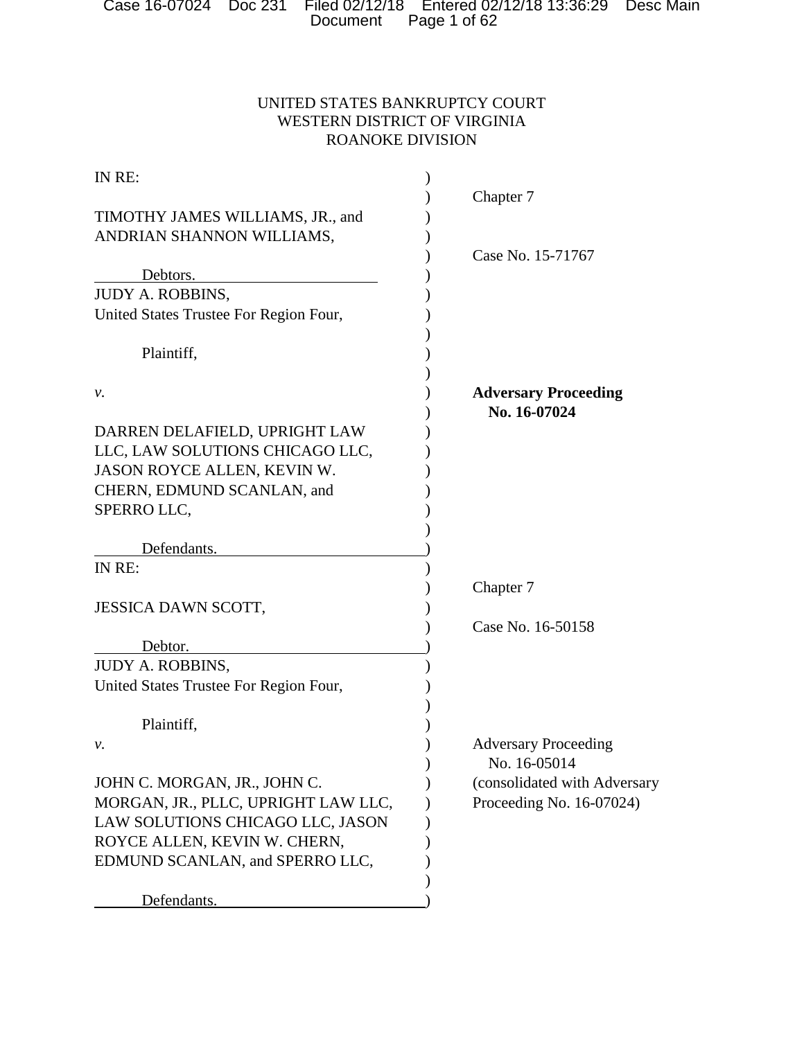# UNITED STATES BANKRUPTCY COURT WESTERN DISTRICT OF VIRGINIA ROANOKE DIVISION

| IN RE:                                 |                              |
|----------------------------------------|------------------------------|
|                                        | Chapter 7                    |
| TIMOTHY JAMES WILLIAMS, JR., and       |                              |
| ANDRIAN SHANNON WILLIAMS,              |                              |
|                                        | Case No. 15-71767            |
| Debtors.                               |                              |
| <b>JUDY A. ROBBINS,</b>                |                              |
| United States Trustee For Region Four, |                              |
| Plaintiff,                             |                              |
| ν.                                     | <b>Adversary Proceeding</b>  |
|                                        | No. 16-07024                 |
| DARREN DELAFIELD, UPRIGHT LAW          |                              |
| LLC, LAW SOLUTIONS CHICAGO LLC,        |                              |
| JASON ROYCE ALLEN, KEVIN W.            |                              |
| CHERN, EDMUND SCANLAN, and             |                              |
| SPERRO LLC,                            |                              |
|                                        |                              |
| Defendants.                            |                              |
| IN RE:                                 |                              |
|                                        | Chapter 7                    |
| JESSICA DAWN SCOTT,                    |                              |
|                                        | Case No. 16-50158            |
| Debtor.                                |                              |
| <b>JUDY A. ROBBINS,</b>                |                              |
| United States Trustee For Region Four, |                              |
| Plaintiff,                             |                              |
| ν.                                     | <b>Adversary Proceeding</b>  |
|                                        | No. 16-05014                 |
| JOHN C. MORGAN, JR., JOHN C.           | (consolidated with Adversary |
| MORGAN, JR., PLLC, UPRIGHT LAW LLC,    | Proceeding No. 16-07024)     |
| LAW SOLUTIONS CHICAGO LLC, JASON       |                              |
| ROYCE ALLEN, KEVIN W. CHERN,           |                              |
| EDMUND SCANLAN, and SPERRO LLC,        |                              |
|                                        |                              |
| Defendants.                            |                              |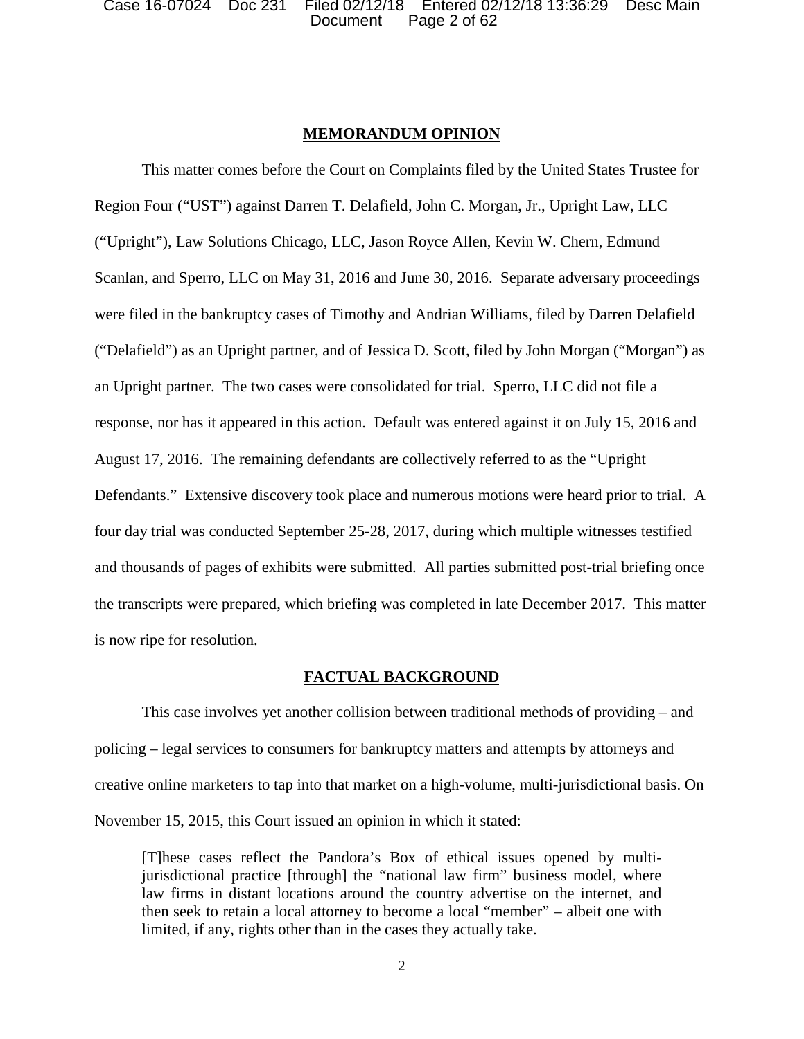Document Page 2 of 62 Case 16-07024 Doc 231 Filed 02/12/18 Entered 02/12/18 13:36:29 Desc Main

## **MEMORANDUM OPINION**

This matter comes before the Court on Complaints filed by the United States Trustee for Region Four ("UST") against Darren T. Delafield, John C. Morgan, Jr., Upright Law, LLC ("Upright"), Law Solutions Chicago, LLC, Jason Royce Allen, Kevin W. Chern, Edmund Scanlan, and Sperro, LLC on May 31, 2016 and June 30, 2016. Separate adversary proceedings were filed in the bankruptcy cases of Timothy and Andrian Williams, filed by Darren Delafield ("Delafield") as an Upright partner, and of Jessica D. Scott, filed by John Morgan ("Morgan") as an Upright partner. The two cases were consolidated for trial. Sperro, LLC did not file a response, nor has it appeared in this action. Default was entered against it on July 15, 2016 and August 17, 2016. The remaining defendants are collectively referred to as the "Upright Defendants." Extensive discovery took place and numerous motions were heard prior to trial. A four day trial was conducted September 25-28, 2017, during which multiple witnesses testified and thousands of pages of exhibits were submitted. All parties submitted post-trial briefing once the transcripts were prepared, which briefing was completed in late December 2017. This matter is now ripe for resolution.

## **FACTUAL BACKGROUND**

This case involves yet another collision between traditional methods of providing – and policing – legal services to consumers for bankruptcy matters and attempts by attorneys and creative online marketers to tap into that market on a high-volume, multi-jurisdictional basis. On November 15, 2015, this Court issued an opinion in which it stated:

[T]hese cases reflect the Pandora's Box of ethical issues opened by multijurisdictional practice [through] the "national law firm" business model, where law firms in distant locations around the country advertise on the internet, and then seek to retain a local attorney to become a local "member" – albeit one with limited, if any, rights other than in the cases they actually take.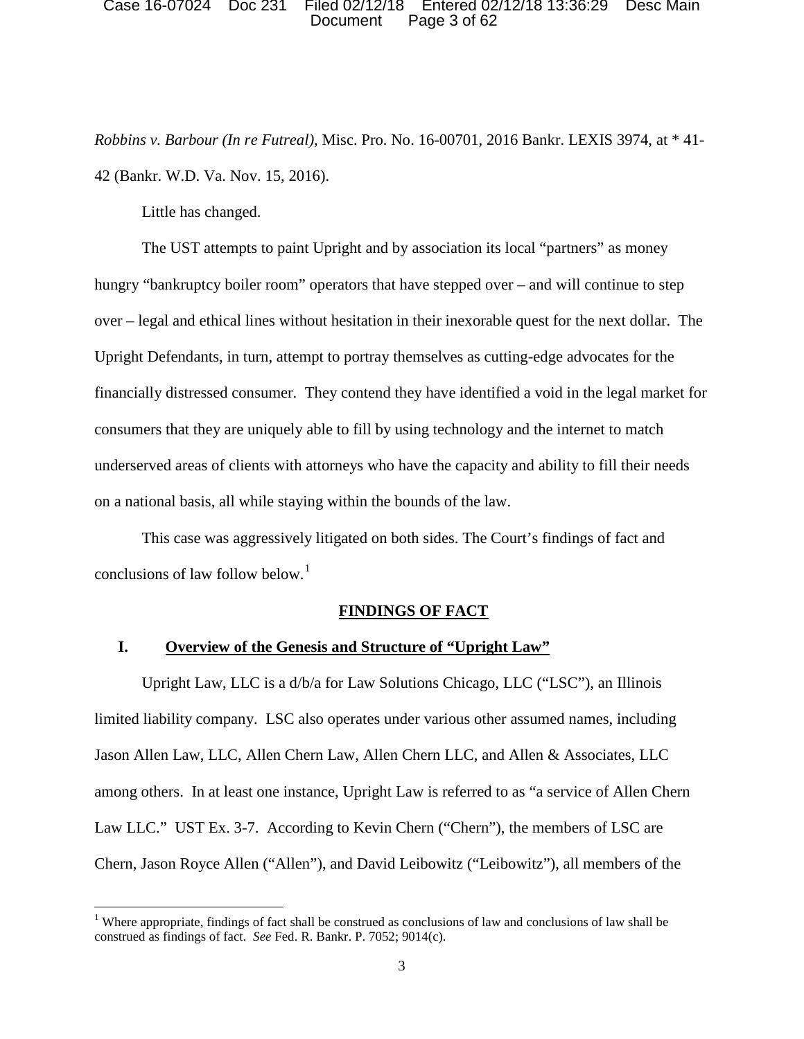### Document Page 3 of 62 Case 16-07024 Doc 231 Filed 02/12/18 Entered 02/12/18 13:36:29 Desc Main

*Robbins v. Barbour (In re Futreal)*, Misc. Pro. No. 16-00701, 2016 Bankr. LEXIS 3974, at \* 41- 42 (Bankr. W.D. Va. Nov. 15, 2016).

Little has changed.

l

 The UST attempts to paint Upright and by association its local "partners" as money hungry "bankruptcy boiler room" operators that have stepped over – and will continue to step over – legal and ethical lines without hesitation in their inexorable quest for the next dollar. The financially distressed consumer. They contend they have identified a void in the legal market for on a national basis, all while staying within the bounds of the law. Upright Defendants, in turn, attempt to portray themselves as cutting-edge advocates for the consumers that they are uniquely able to fill by using technology and the internet to match underserved areas of clients with attorneys who have the capacity and ability to fill their needs

 This case was aggressively litigated on both sides. The Court's findings of fact and conclusions of law follow below.<sup>1</sup>

## **FINDINGS OF FACT**

## **I. Overview of the Genesis and Structure of "Upright Law"**

Upright Law, LLC is a d/b/a for Law Solutions Chicago, LLC ("LSC"), an Illinois limited liability company. LSC also operates under various other assumed names, including Jason Allen Law, LLC, Allen Chern Law, Allen Chern LLC, and Allen & Associates, LLC among others. In at least one instance, Upright Law is referred to as "a service of Allen Chern Law LLC." UST Ex. 3-7. According to Kevin Chern ("Chern"), the members of LSC are Chern, Jason Royce Allen ("Allen"), and David Leibowitz ("Leibowitz"), all members of the

 construed as findings of fact. *See* Fed. R. Bankr. P. 7052; 9014(c). <sup>1</sup> Where appropriate, findings of fact shall be construed as conclusions of law and conclusions of law shall be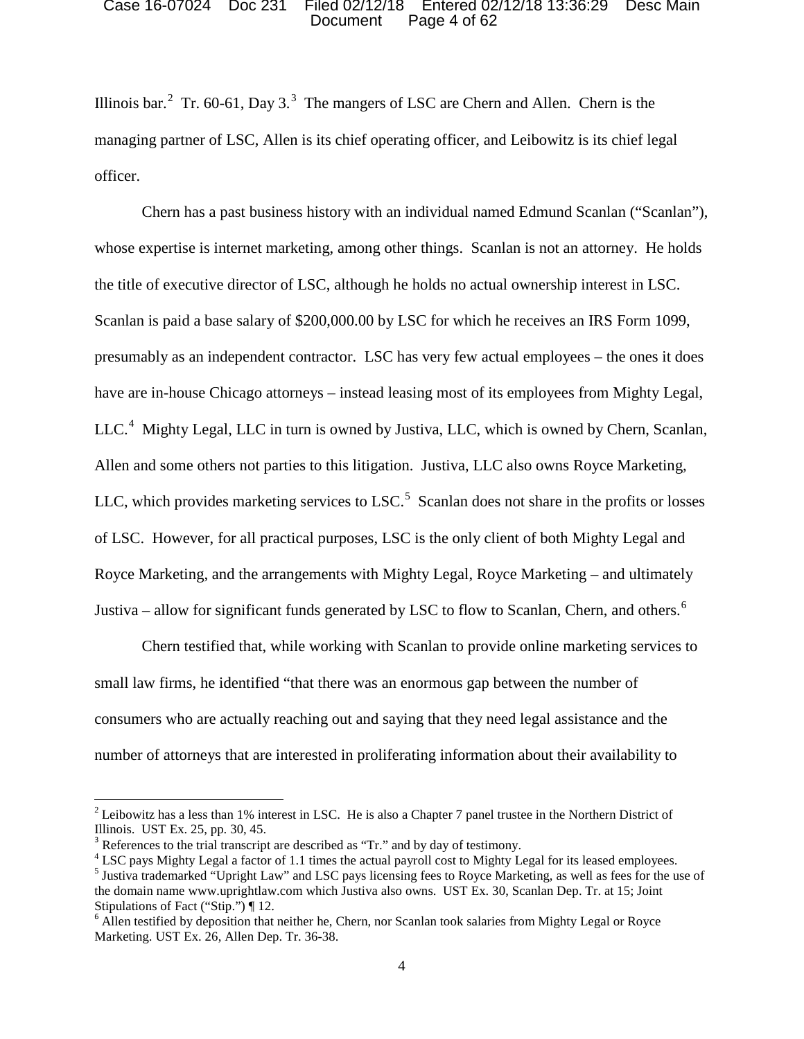### Document Page 4 of 62 Case 16-07024 Doc 231 Filed 02/12/18 Entered 02/12/18 13:36:29 Desc Main

Illinois bar.<sup>2</sup> Tr. 60-61, Day 3.<sup>3</sup> The mangers of LSC are Chern and Allen. Chern is the managing partner of LSC, Allen is its chief operating officer, and Leibowitz is its chief legal officer.

 presumably as an independent contractor. LSC has very few actual employees – the ones it does have are in-house Chicago attorneys – instead leasing most of its employees from Mighty Legal,  $LLC<sup>4</sup>$  Mighty Legal, LLC in turn is owned by Justiva, LLC, which is owned by Chern, Scanlan, LLC, which provides marketing services to LSC. $5$  Scanlan does not share in the profits or losses Justiva – allow for significant funds generated by LSC to flow to Scanlan, Chern, and others.<sup>6</sup> Chern has a past business history with an individual named Edmund Scanlan ("Scanlan"), whose expertise is internet marketing, among other things. Scanlan is not an attorney. He holds the title of executive director of LSC, although he holds no actual ownership interest in LSC. Scanlan is paid a base salary of \$200,000.00 by LSC for which he receives an IRS Form 1099, Allen and some others not parties to this litigation. Justiva, LLC also owns Royce Marketing, of LSC. However, for all practical purposes, LSC is the only client of both Mighty Legal and Royce Marketing, and the arrangements with Mighty Legal, Royce Marketing – and ultimately

 small law firms, he identified "that there was an enormous gap between the number of Chern testified that, while working with Scanlan to provide online marketing services to consumers who are actually reaching out and saying that they need legal assistance and the number of attorneys that are interested in proliferating information about their availability to

Illinois. UST Ex. 25, pp. 30, 45.  $2$  Leibowitz has a less than 1% interest in LSC. He is also a Chapter 7 panel trustee in the Northern District of

 $3$  References to the trial transcript are described as "Tr." and by day of testimony.

 the domain name www.uprightlaw.com which Justiva also owns. UST Ex. 30, Scanlan Dep. Tr. at 15; Joint <sup>4</sup> LSC pays Mighty Legal a factor of 1.1 times the actual payroll cost to Mighty Legal for its leased employees. 5 Justiva trademarked "Upright Law" and LSC pays licensing fees to Royce Marketing, as well as fees for the use of Stipulations of Fact ("Stip.") ¶ 12.

 $6$  Allen testified by deposition that neither he, Chern, nor Scanlan took salaries from Mighty Legal or Royce Marketing. UST Ex. 26, Allen Dep. Tr. 36-38. 4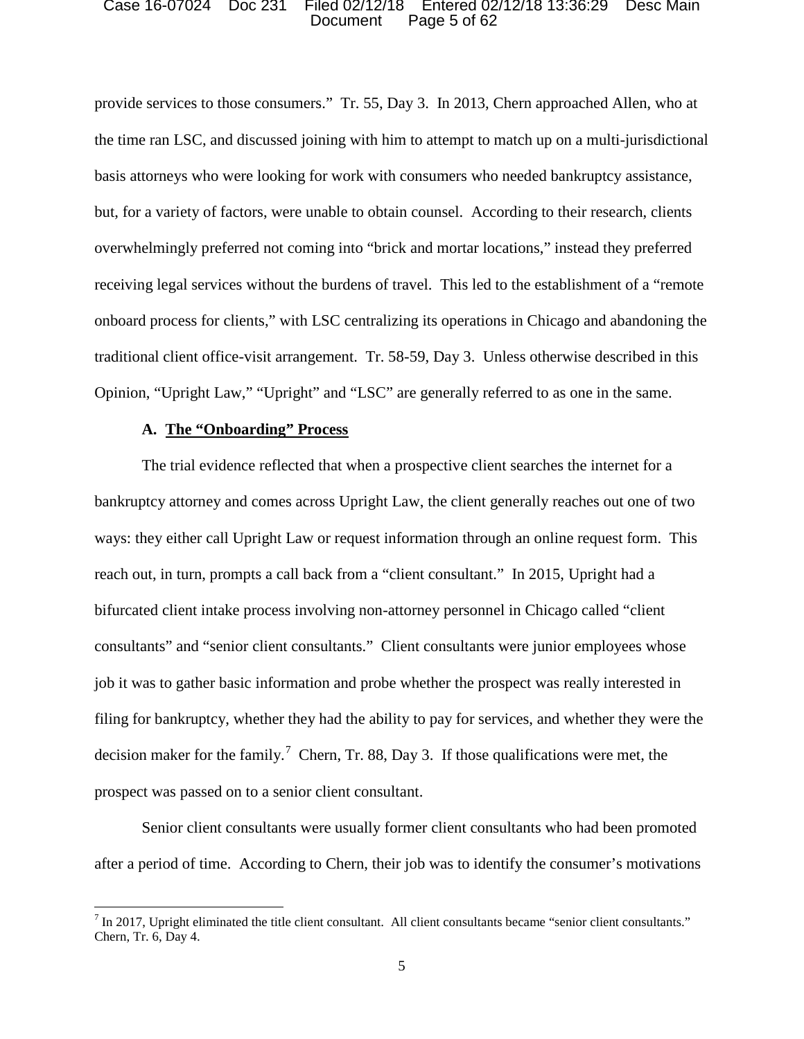### Document Page 5 of 62 Case 16-07024 Doc 231 Filed 02/12/18 Entered 02/12/18 13:36:29 Desc Main

 provide services to those consumers." Tr. 55, Day 3. In 2013, Chern approached Allen, who at overwhelmingly preferred not coming into "brick and mortar locations," instead they preferred traditional client office-visit arrangement. Tr. 58-59, Day 3. Unless otherwise described in this the time ran LSC, and discussed joining with him to attempt to match up on a multi-jurisdictional basis attorneys who were looking for work with consumers who needed bankruptcy assistance, but, for a variety of factors, were unable to obtain counsel. According to their research, clients receiving legal services without the burdens of travel. This led to the establishment of a "remote onboard process for clients," with LSC centralizing its operations in Chicago and abandoning the Opinion, "Upright Law," "Upright" and "LSC" are generally referred to as one in the same.

## **A. The "Onboarding" Process**

l

 reach out, in turn, prompts a call back from a "client consultant." In 2015, Upright had a consultants" and "senior client consultants." Client consultants were junior employees whose filing for bankruptcy, whether they had the ability to pay for services, and whether they were the decision maker for the family.<sup>7</sup> Chern, Tr. 88, Day 3. If those qualifications were met, the The trial evidence reflected that when a prospective client searches the internet for a bankruptcy attorney and comes across Upright Law, the client generally reaches out one of two ways: they either call Upright Law or request information through an online request form. This bifurcated client intake process involving non-attorney personnel in Chicago called "client job it was to gather basic information and probe whether the prospect was really interested in prospect was passed on to a senior client consultant.

Senior client consultants were usually former client consultants who had been promoted after a period of time. According to Chern, their job was to identify the consumer's motivations

 $<sup>7</sup>$  In 2017, Upright eliminated the title client consultant. All client consultants became "senior client consultants."</sup> Chern, Tr. 6, Day 4.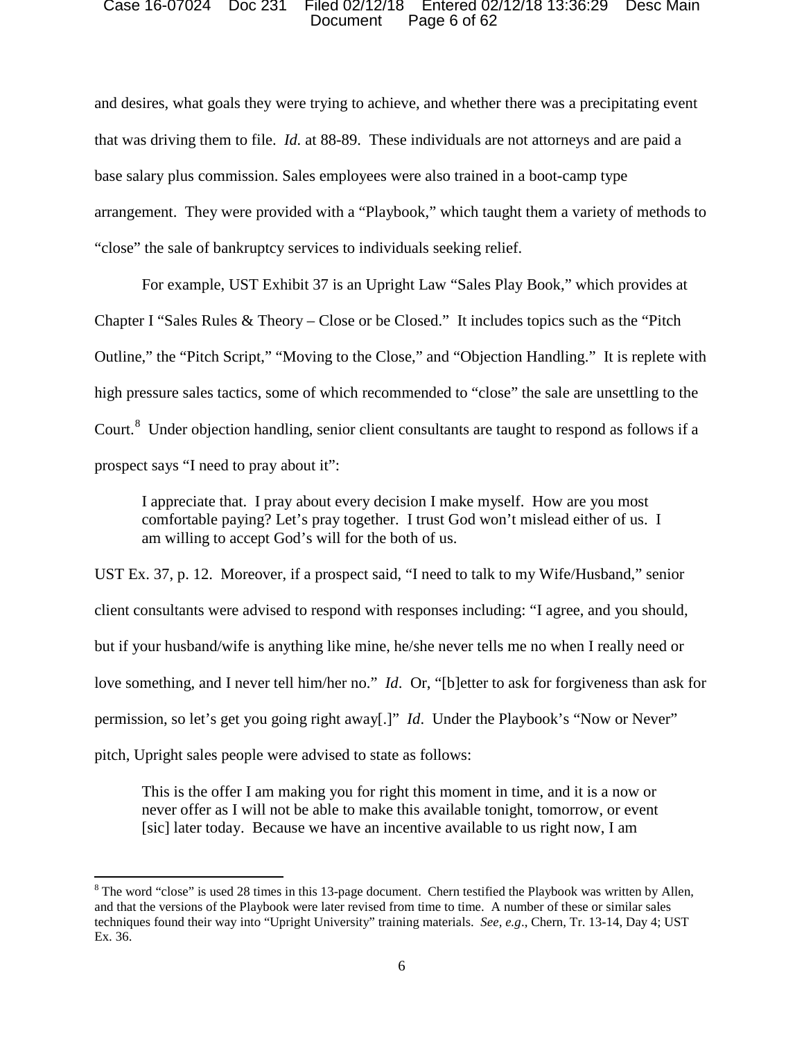### Document Page 6 of 62 Case 16-07024 Doc 231 Filed 02/12/18 Entered 02/12/18 13:36:29 Desc Main

 and desires, what goals they were trying to achieve, and whether there was a precipitating event that was driving them to file. *Id.* at 88-89. These individuals are not attorneys and are paid a base salary plus commission. Sales employees were also trained in a boot-camp type arrangement. They were provided with a "Playbook," which taught them a variety of methods to "close" the sale of bankruptcy services to individuals seeking relief.

 For example, UST Exhibit 37 is an Upright Law "Sales Play Book," which provides at Chapter I "Sales Rules & Theory – Close or be Closed." It includes topics such as the "Pitch Outline," the "Pitch Script," "Moving to the Close," and "Objection Handling." It is replete with high pressure sales tactics, some of which recommended to "close" the sale are unsettling to the Court.<sup>8</sup> Under objection handling, senior client consultants are taught to respond as follows if a prospect says "I need to pray about it":

prospect says "I need to pray about it":<br>I appreciate that. I pray about every decision I make myself. How are you most comfortable paying? Let's pray together. I trust God won't mislead either of us. I am willing to accept God's will for the both of us.

 UST Ex. 37, p. 12. Moreover, if a prospect said, "I need to talk to my Wife/Husband," senior client consultants were advised to respond with responses including: "I agree, and you should, but if your husband/wife is anything like mine, he/she never tells me no when I really need or love something, and I never tell him/her no." *Id*. Or, "[b]etter to ask for forgiveness than ask for permission, so let's get you going right away[.]" *Id*. Under the Playbook's "Now or Never" pitch, Upright sales people were advised to state as follows:

 This is the offer I am making you for right this moment in time, and it is a now or never offer as I will not be able to make this available tonight, tomorrow, or event [sic] later today. Because we have an incentive available to us right now, I am

 $8$  The word "close" is used 28 times in this 13-page document. Chern testified the Playbook was written by Allen, techniques found their way into "Upright University" training materials. *See, e.g*., Chern, Tr. 13-14, Day 4; UST Ex. 36. and that the versions of the Playbook were later revised from time to time. A number of these or similar sales Ex. 36. 6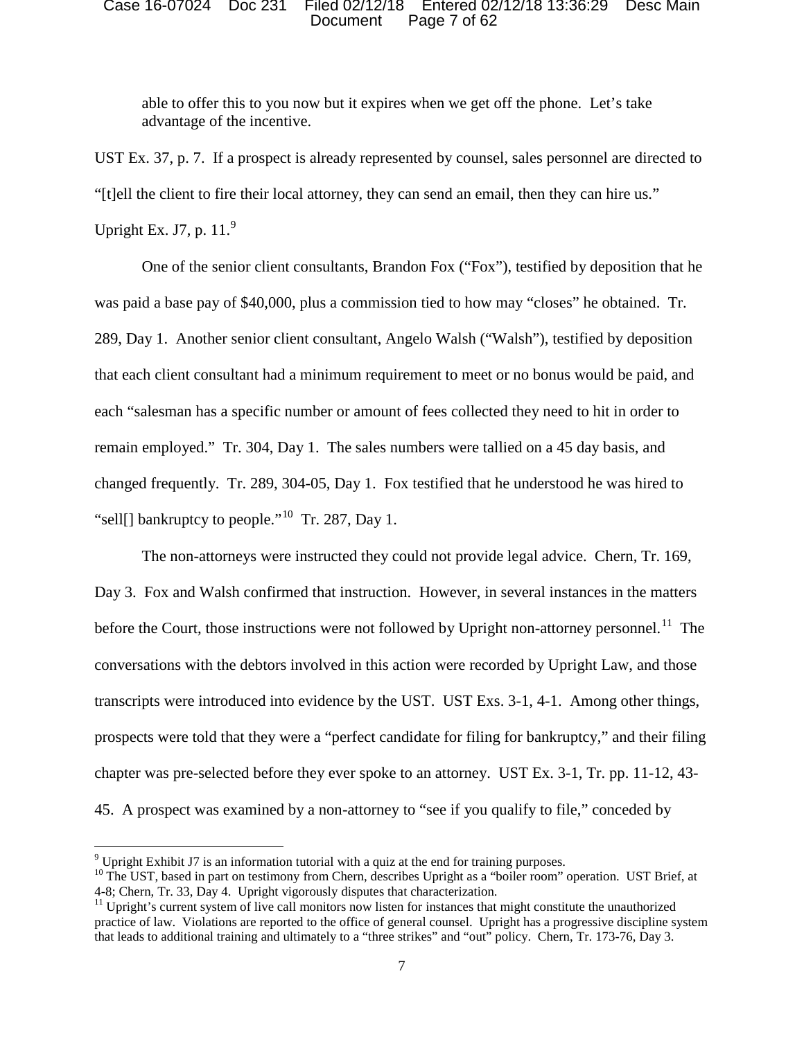### Document Page 7 of 62 Case 16-07024 Doc 231 Filed 02/12/18 Entered 02/12/18 13:36:29 Desc Main

advantage of the incentive. able to offer this to you now but it expires when we get off the phone. Let's take

UST Ex. 37, p. 7. If a prospect is already represented by counsel, sales personnel are directed to "[t]ell the client to fire their local attorney, they can send an email, then they can hire us."

Upright Ex. J7, p.  $11.<sup>9</sup>$ 

 $\overline{\phantom{a}}$ 

 One of the senior client consultants, Brandon Fox ("Fox"), testified by deposition that he was paid a base pay of \$40,000, plus a commission tied to how may "closes" he obtained. Tr. that each client consultant had a minimum requirement to meet or no bonus would be paid, and remain employed." Tr. 304, Day 1. The sales numbers were tallied on a 45 day basis, and changed frequently. Tr. 289, 304-05, Day 1. Fox testified that he understood he was hired to "sell[] bankruptcy to people."<sup>10</sup> Tr. 287, Day 1. 289, Day 1. Another senior client consultant, Angelo Walsh ("Walsh"), testified by deposition each "salesman has a specific number or amount of fees collected they need to hit in order to

 The non-attorneys were instructed they could not provide legal advice. Chern, Tr. 169, before the Court, those instructions were not followed by Upright non-attorney personnel.<sup>11</sup> The transcripts were introduced into evidence by the UST. UST Exs. 3-1, 4-1. Among other things, prospects were told that they were a "perfect candidate for filing for bankruptcy," and their filing 45. A prospect was examined by a non-attorney to "see if you qualify to file," conceded by Day 3. Fox and Walsh confirmed that instruction. However, in several instances in the matters conversations with the debtors involved in this action were recorded by Upright Law, and those chapter was pre-selected before they ever spoke to an attorney. UST Ex. 3-1, Tr. pp. 11-12, 43-

 $9$  Upright Exhibit J7 is an information tutorial with a quiz at the end for training purposes.

<sup>4-8;</sup> Chern, Tr. 33, Day 4. Upright vigorously disputes that characterization. <sup>10</sup> The UST, based in part on testimony from Chern, describes Upright as a "boiler room" operation. UST Brief, at

 that leads to additional training and ultimately to a "three strikes" and "out" policy. Chern, Tr. 173-76, Day 3.  $11$  Upright's current system of live call monitors now listen for instances that might constitute the unauthorized practice of law. Violations are reported to the office of general counsel. Upright has a progressive discipline system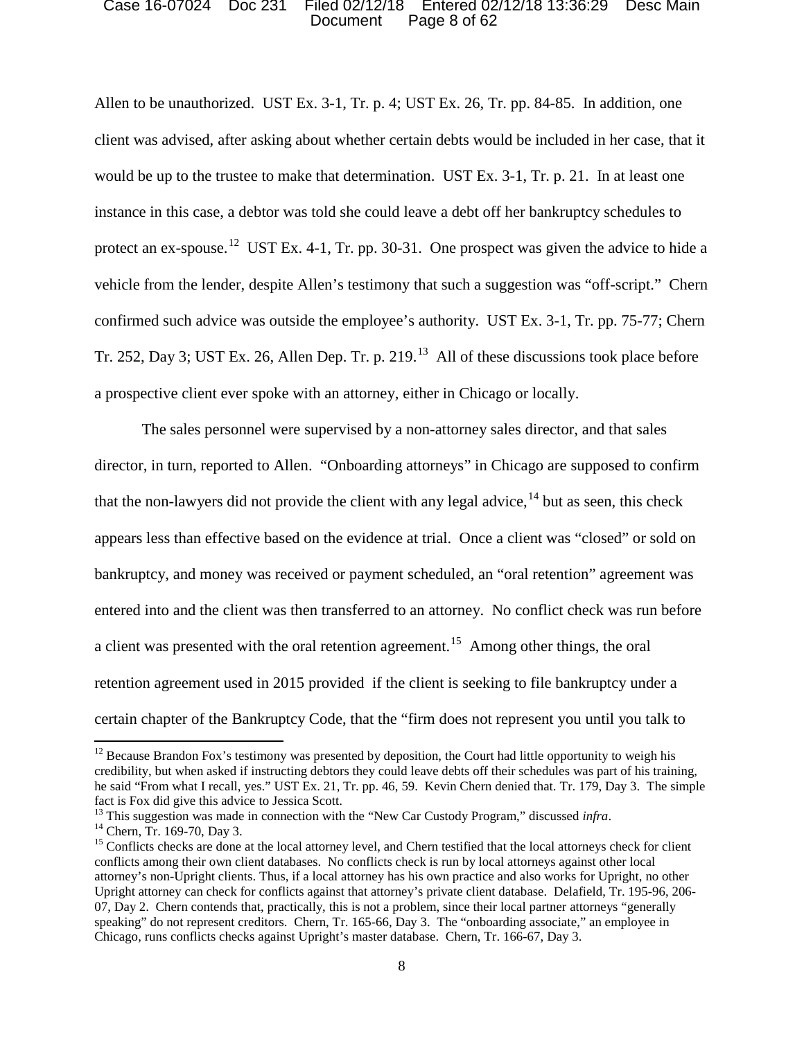### Document Page 8 of 62 Case 16-07024 Doc 231 Filed 02/12/18 Entered 02/12/18 13:36:29 Desc Main

protect an ex-spouse.<sup>12</sup> UST Ex. 4-1, Tr. pp. 30-31. One prospect was given the advice to hide a vehicle from the lender, despite Allen's testimony that such a suggestion was "off-script." Chern confirmed such advice was outside the employee's authority. UST Ex. 3-1, Tr. pp. 75-77; Chern Tr. 252, Day 3; UST Ex. 26, Allen Dep. Tr. p. 219.<sup>13</sup> All of these discussions took place before a prospective client ever spoke with an attorney, either in Chicago or locally. Allen to be unauthorized. UST Ex. 3-1, Tr. p. 4; UST Ex. 26, Tr. pp. 84-85. In addition, one client was advised, after asking about whether certain debts would be included in her case, that it would be up to the trustee to make that determination. UST Ex. 3-1, Tr. p. 21. In at least one instance in this case, a debtor was told she could leave a debt off her bankruptcy schedules to

 appears less than effective based on the evidence at trial. Once a client was "closed" or sold on a client was presented with the oral retention agreement.<sup>15</sup> Among other things, the oral certain chapter of the Bankruptcy Code, that the "firm does not represent you until you talk to The sales personnel were supervised by a non-attorney sales director, and that sales director, in turn, reported to Allen. "Onboarding attorneys" in Chicago are supposed to confirm that the non-lawyers did not provide the client with any legal advice,  $^{14}$  but as seen, this check bankruptcy, and money was received or payment scheduled, an "oral retention" agreement was entered into and the client was then transferred to an attorney. No conflict check was run before retention agreement used in 2015 provided if the client is seeking to file bankruptcy under a

 he said "From what I recall, yes." UST Ex. 21, Tr. pp. 46, 59. Kevin Chern denied that. Tr. 179, Day 3. The simple  $12$  Because Brandon Fox's testimony was presented by deposition, the Court had little opportunity to weigh his credibility, but when asked if instructing debtors they could leave debts off their schedules was part of his training, fact is Fox did give this advice to Jessica Scott.

 $^{13}$  This suggestion was made in connection with the "New Car Custody Program," discussed infra.

 attorney's non-Upright clients. Thus, if a local attorney has his own practice and also works for Upright, no other 07, Day 2. Chern contends that, practically, this is not a problem, since their local partner attorneys "generally speaking" do not represent creditors. Chern, Tr. 165-66, Day 3. The "onboarding associate," an employee in Chicago, runs conflicts checks against Upright's master database. Chern, Tr. 166-67, Day 3. <sup>14</sup> Chern, Tr. 169-70, Day 3.<br><sup>15</sup> Conflicts checks are done at the local attorney level, and Chern testified that the local attorneys check for client conflicts among their own client databases. No conflicts check is run by local attorneys against other local Upright attorney can check for conflicts against that attorney's private client database. Delafield, Tr. 195-96, 206-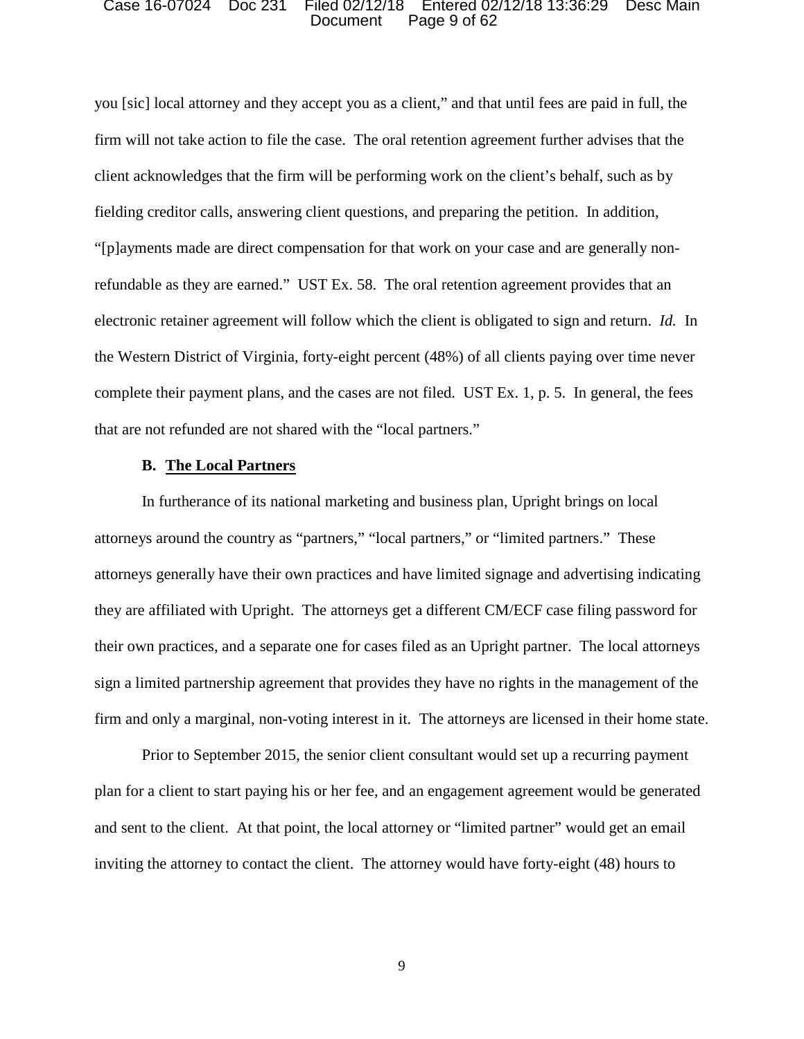#### Document Page 9 of 62 Case 16-07024 Doc 231 Filed 02/12/18 Entered 02/12/18 13:36:29 Desc Main

 you [sic] local attorney and they accept you as a client," and that until fees are paid in full, the firm will not take action to file the case. The oral retention agreement further advises that the client acknowledges that the firm will be performing work on the client's behalf, such as by "[p]ayments made are direct compensation for that work on your case and are generally non- electronic retainer agreement will follow which the client is obligated to sign and return. *Id.* In that are not refunded are not shared with the "local partners." fielding creditor calls, answering client questions, and preparing the petition. In addition, refundable as they are earned." UST Ex. 58. The oral retention agreement provides that an the Western District of Virginia, forty-eight percent (48%) of all clients paying over time never complete their payment plans, and the cases are not filed. UST Ex. 1, p. 5. In general, the fees

## **B. The Local Partners**

 they are affiliated with Upright. The attorneys get a different CM/ECF case filing password for In furtherance of its national marketing and business plan, Upright brings on local attorneys around the country as "partners," "local partners," or "limited partners." These attorneys generally have their own practices and have limited signage and advertising indicating their own practices, and a separate one for cases filed as an Upright partner. The local attorneys sign a limited partnership agreement that provides they have no rights in the management of the firm and only a marginal, non-voting interest in it. The attorneys are licensed in their home state.

 inviting the attorney to contact the client. The attorney would have forty-eight (48) hours to Prior to September 2015, the senior client consultant would set up a recurring payment plan for a client to start paying his or her fee, and an engagement agreement would be generated and sent to the client. At that point, the local attorney or "limited partner" would get an email

9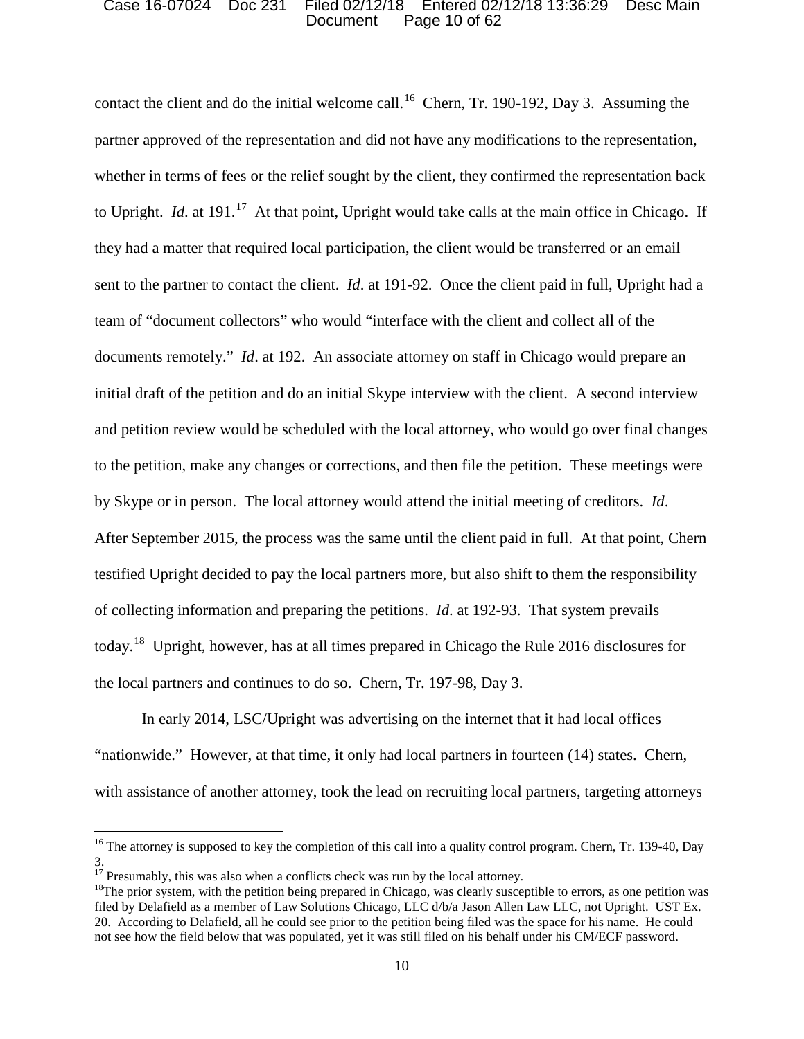### Document Page 10 of 62 Case 16-07024 Doc 231 Filed 02/12/18 Entered 02/12/18 13:36:29 Desc Main

contact the client and do the initial welcome call.<sup>16</sup> Chern, Tr. 190-192, Day 3. Assuming the whether in terms of fees or the relief sought by the client, they confirmed the representation back to Upright. *Id.* at 191.<sup>17</sup> At that point, Upright would take calls at the main office in Chicago. If sent to the partner to contact the client. *Id*. at 191-92. Once the client paid in full, Upright had a documents remotely." *Id*. at 192. An associate attorney on staff in Chicago would prepare an to the petition, make any changes or corrections, and then file the petition. These meetings were  of collecting information and preparing the petitions. *Id*. at 192-93. That system prevails today.<sup>18</sup> Upright, however, has at all times prepared in Chicago the Rule 2016 disclosures for partner approved of the representation and did not have any modifications to the representation, they had a matter that required local participation, the client would be transferred or an email team of "document collectors" who would "interface with the client and collect all of the initial draft of the petition and do an initial Skype interview with the client. A second interview and petition review would be scheduled with the local attorney, who would go over final changes by Skype or in person. The local attorney would attend the initial meeting of creditors. *Id*. After September 2015, the process was the same until the client paid in full. At that point, Chern testified Upright decided to pay the local partners more, but also shift to them the responsibility the local partners and continues to do so. Chern, Tr. 197-98, Day 3.

In early 2014, LSC/Upright was advertising on the internet that it had local offices "nationwide." However, at that time, it only had local partners in fourteen (14) states. Chern, with assistance of another attorney, took the lead on recruiting local partners, targeting attorneys

<sup>&</sup>lt;sup>16</sup> The attorney is supposed to key the completion of this call into a quality control program. Chern, Tr. 139-40, Day 3.

<sup>&</sup>lt;sup>18</sup>The prior system, with the petition being prepared in Chicago, was clearly susceptible to errors, as one petition was filed by Delafield as a member of Law Solutions Chicago, LLC d/b/a Jason Allen Law LLC, not Upright. UST Ex. 20. According to Delafield, all he could see prior to the petition being filed was the space for his name. He could not see how the field below that was populated, yet it was still filed on his behalf under his CM/ECF password. <sup>17</sup> Presumably, this was also when a conflicts check was run by the local attorney.<br><sup>18</sup>The prior system, with the petition being prepared in Chicago, was clearly susceptible to errors, as one petition was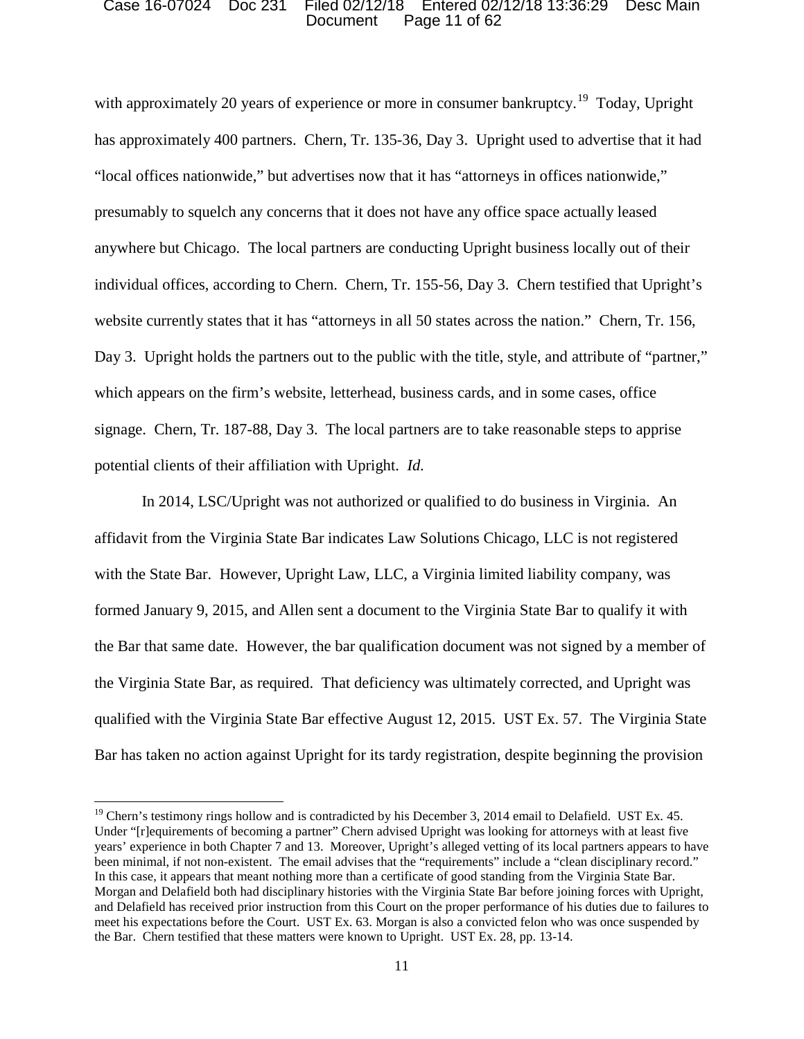### Document Page 11 of 62 Case 16-07024 Doc 231 Filed 02/12/18 Entered 02/12/18 13:36:29 Desc Main

with approximately 20 years of experience or more in consumer bankruptcy.<sup>19</sup> Today, Upright has approximately 400 partners. Chern, Tr. 135-36, Day 3. Upright used to advertise that it had presumably to squelch any concerns that it does not have any office space actually leased website currently states that it has "attorneys in all 50 states across the nation." Chern, Tr. 156, Day 3. Upright holds the partners out to the public with the title, style, and attribute of "partner," potential clients of their affiliation with Upright. *Id.*  "local offices nationwide," but advertises now that it has "attorneys in offices nationwide," anywhere but Chicago. The local partners are conducting Upright business locally out of their individual offices, according to Chern. Chern, Tr. 155-56, Day 3. Chern testified that Upright's which appears on the firm's website, letterhead, business cards, and in some cases, office signage. Chern, Tr. 187-88, Day 3. The local partners are to take reasonable steps to apprise

 with the State Bar. However, Upright Law, LLC, a Virginia limited liability company, was the Bar that same date. However, the bar qualification document was not signed by a member of In 2014, LSC/Upright was not authorized or qualified to do business in Virginia. An affidavit from the Virginia State Bar indicates Law Solutions Chicago, LLC is not registered formed January 9, 2015, and Allen sent a document to the Virginia State Bar to qualify it with the Virginia State Bar, as required. That deficiency was ultimately corrected, and Upright was qualified with the Virginia State Bar effective August 12, 2015. UST Ex. 57. The Virginia State Bar has taken no action against Upright for its tardy registration, despite beginning the provision

<sup>&</sup>lt;sup>19</sup> Chern's testimony rings hollow and is contradicted by his December 3, 2014 email to Delafield. UST Ex. 45. Under "[r]equirements of becoming a partner" Chern advised Upright was looking for attorneys with at least five been minimal, if not non-existent. The email advises that the "requirements" include a "clean disciplinary record." In this case, it appears that meant nothing more than a certificate of good standing from the Virginia State Bar. been minimal, if not non-existent. The email advises that the "requirements" include a "clean disciplinary record."<br>In this case, it appears that meant nothing more than a certificate of good standing from the Virginia Sta and Delafield has received prior instruction from this Court on the proper performance of his duties due to failures to the Bar. Chern testified that these matters were known to Upright. UST Ex. 28, pp. 13-14. years' experience in both Chapter 7 and 13. Moreover, Upright's alleged vetting of its local partners appears to have meet his expectations before the Court. UST Ex. 63. Morgan is also a convicted felon who was once suspended by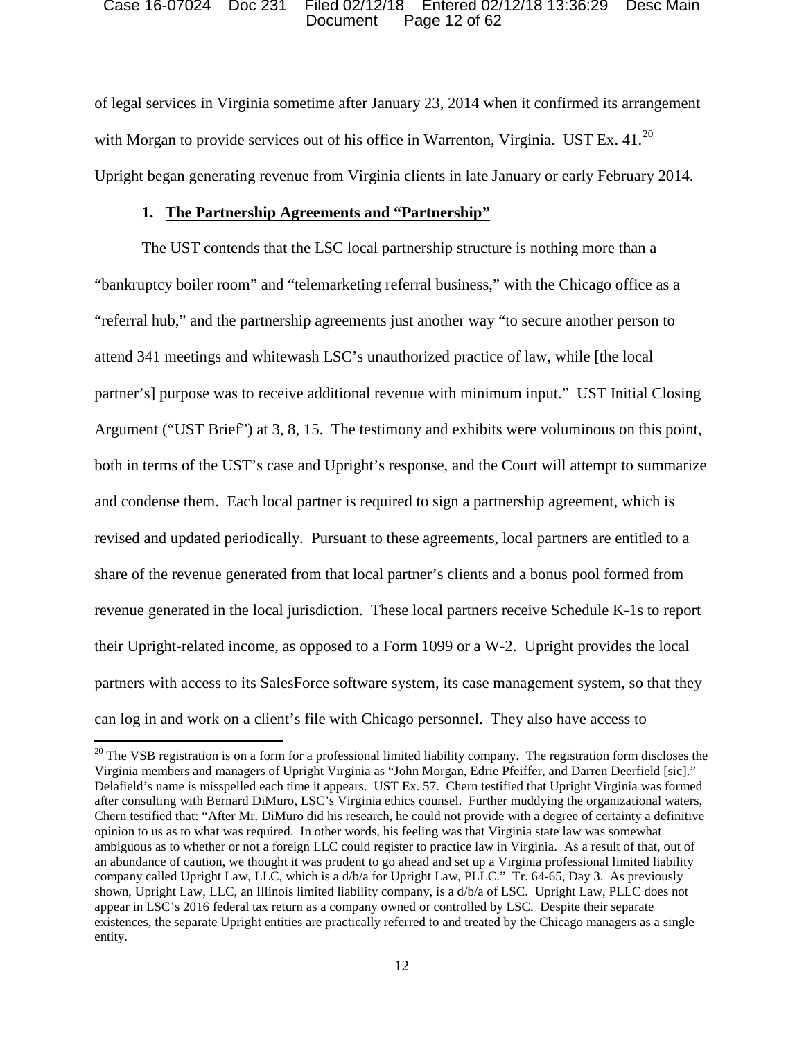### Document Page 12 of 62 Case 16-07024 Doc 231 Filed 02/12/18 Entered 02/12/18 13:36:29 Desc Main

with Morgan to provide services out of his office in Warrenton, Virginia. UST Ex.  $41.^{20}$  Upright began generating revenue from Virginia clients in late January or early February 2014. of legal services in Virginia sometime after January 23, 2014 when it confirmed its arrangement

## **1. The Partnership Agreements and "Partnership"**

 attend 341 meetings and whitewash LSC's unauthorized practice of law, while [the local partner's] purpose was to receive additional revenue with minimum input." UST Initial Closing The UST contends that the LSC local partnership structure is nothing more than a "bankruptcy boiler room" and "telemarketing referral business," with the Chicago office as a "referral hub," and the partnership agreements just another way "to secure another person to Argument ("UST Brief") at 3, 8, 15. The testimony and exhibits were voluminous on this point, both in terms of the UST's case and Upright's response, and the Court will attempt to summarize and condense them. Each local partner is required to sign a partnership agreement, which is revised and updated periodically. Pursuant to these agreements, local partners are entitled to a share of the revenue generated from that local partner's clients and a bonus pool formed from revenue generated in the local jurisdiction. These local partners receive Schedule K-1s to report their Upright-related income, as opposed to a Form 1099 or a W-2. Upright provides the local partners with access to its SalesForce software system, its case management system, so that they can log in and work on a client's file with Chicago personnel. They also have access to

 $20$  The VSB registration is on a form for a professional limited liability company. The registration form discloses the after consulting with Bernard DiMuro, LSC's Virginia ethics counsel. Further muddying the organizational waters, opinion to us as to what was required. In other words, his feeling was that Virginia state law was somewhat ambiguous as to whether or not a foreign LLC could register to practice law in Virginia. As a result of that, out of an abundance of caution, we thought it was prudent to go ahead and set up a Virginia professional limited liability company called Upright Law, LLC, which is a d/b/a for Upright Law, PLLC." Tr. 64-65, Day 3. As previously shown, Upright Law, LLC, an Illinois limited liability company, is a d/b/a of LSC. Upright Law, PLLC does not Virginia members and managers of Upright Virginia as "John Morgan, Edrie Pfeiffer, and Darren Deerfield [sic]." Delafield's name is misspelled each time it appears. UST Ex. 57. Chern testified that Upright Virginia was formed Chern testified that: "After Mr. DiMuro did his research, he could not provide with a degree of certainty a definitive appear in LSC's 2016 federal tax return as a company owned or controlled by LSC. Despite their separate existences, the separate Upright entities are practically referred to and treated by the Chicago managers as a single entity.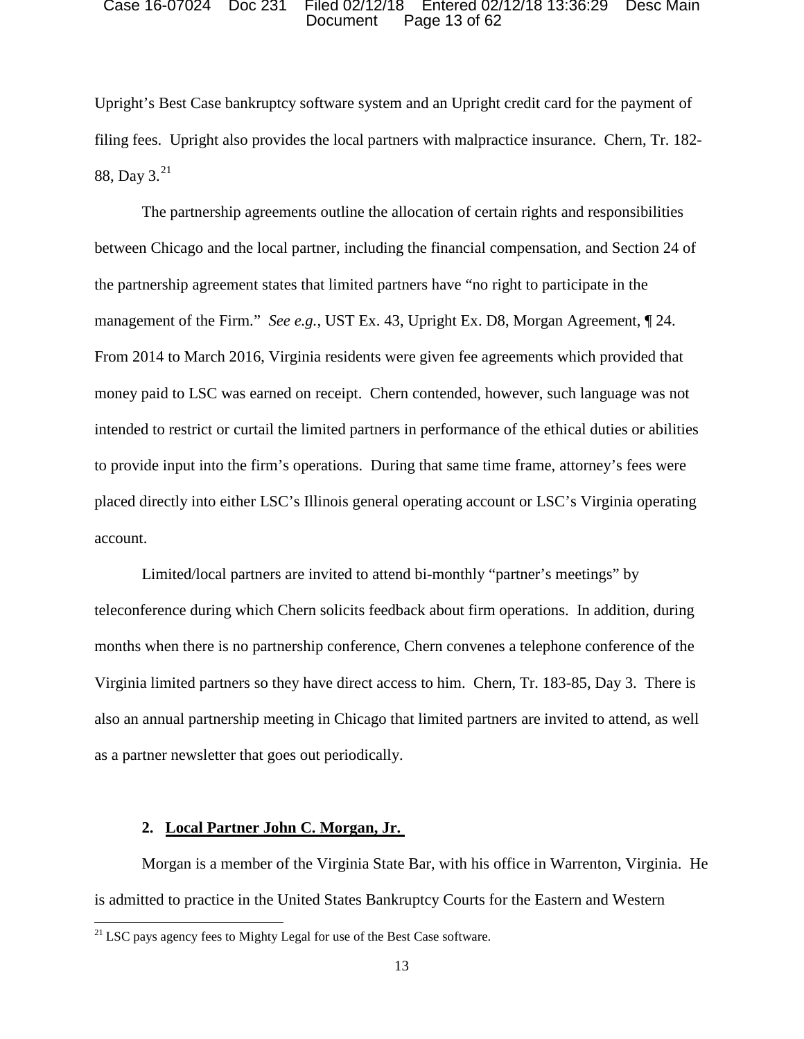#### Document Page 13 of 62 Case 16-07024 Doc 231 Filed 02/12/18 Entered 02/12/18 13:36:29 Desc Main

 Upright's Best Case bankruptcy software system and an Upright credit card for the payment of 88, Day  $3.^{21}$ filing fees. Upright also provides the local partners with malpractice insurance. Chern, Tr. 182-

 money paid to LSC was earned on receipt. Chern contended, however, such language was not to provide input into the firm's operations. During that same time frame, attorney's fees were placed directly into either LSC's Illinois general operating account or LSC's Virginia operating account. The partnership agreements outline the allocation of certain rights and responsibilities between Chicago and the local partner, including the financial compensation, and Section 24 of the partnership agreement states that limited partners have "no right to participate in the management of the Firm." *See e.g.*, UST Ex. 43, Upright Ex. D8, Morgan Agreement, ¶ 24. From 2014 to March 2016, Virginia residents were given fee agreements which provided that intended to restrict or curtail the limited partners in performance of the ethical duties or abilities

 teleconference during which Chern solicits feedback about firm operations. In addition, during as a partner newsletter that goes out periodically. Limited/local partners are invited to attend bi-monthly "partner's meetings" by months when there is no partnership conference, Chern convenes a telephone conference of the Virginia limited partners so they have direct access to him. Chern, Tr. 183-85, Day 3. There is also an annual partnership meeting in Chicago that limited partners are invited to attend, as well

## **2. Local Partner John C. Morgan, Jr.**

l

 is admitted to practice in the United States Bankruptcy Courts for the Eastern and Western Morgan is a member of the Virginia State Bar, with his office in Warrenton, Virginia. He

 $21$  LSC pays agency fees to Mighty Legal for use of the Best Case software.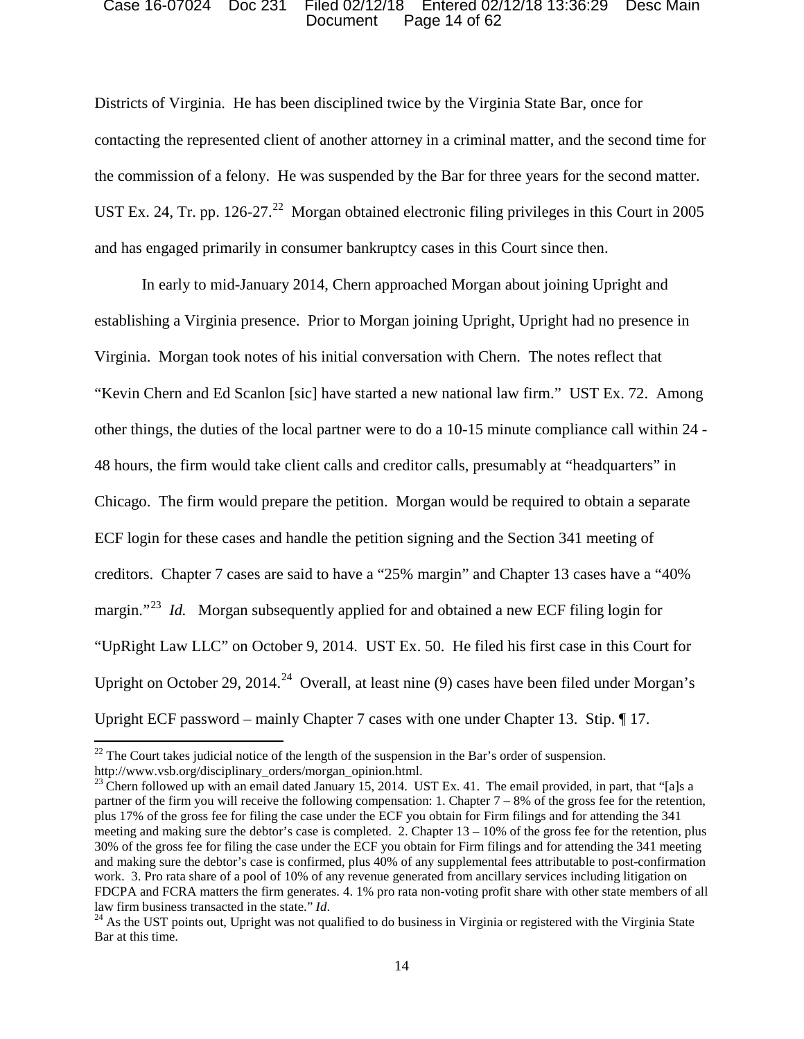### Document Page 14 of 62 Case 16-07024 Doc 231 Filed 02/12/18 Entered 02/12/18 13:36:29 Desc Main

 Districts of Virginia. He has been disciplined twice by the Virginia State Bar, once for contacting the represented client of another attorney in a criminal matter, and the second time for the commission of a felony. He was suspended by the Bar for three years for the second matter. UST Ex. 24, Tr. pp. 126-27.<sup>22</sup> Morgan obtained electronic filing privileges in this Court in 2005 and has engaged primarily in consumer bankruptcy cases in this Court since then.

 establishing a Virginia presence. Prior to Morgan joining Upright, Upright had no presence in Virginia. Morgan took notes of his initial conversation with Chern. The notes reflect that margin."<sup>23</sup> *Id.* Morgan subsequently applied for and obtained a new ECF filing login for Upright on October 29, 2014.<sup>24</sup> Overall, at least nine (9) cases have been filed under Morgan's In early to mid-January 2014, Chern approached Morgan about joining Upright and "Kevin Chern and Ed Scanlon [sic] have started a new national law firm." UST Ex. 72. Among other things, the duties of the local partner were to do a 10-15 minute compliance call within 24 - 48 hours, the firm would take client calls and creditor calls, presumably at "headquarters" in Chicago. The firm would prepare the petition. Morgan would be required to obtain a separate ECF login for these cases and handle the petition signing and the Section 341 meeting of creditors. Chapter 7 cases are said to have a "25% margin" and Chapter 13 cases have a "40% "UpRight Law LLC" on October 9, 2014. UST Ex. 50. He filed his first case in this Court for Upright ECF password – mainly Chapter 7 cases with one under Chapter 13. Stip. ¶ 17.

 http://www.vsb.org/disciplinary\_orders/morgan\_opinion.html.  $^{22}$  The Court takes judicial notice of the length of the suspension in the Bar's order of suspension.

<sup>&</sup>lt;sup>23</sup> Chern followed up with an email dated January 15, 2014. UST Ex. 41. The email provided, in part, that "[a]s a partner of the firm you will receive the following compensation: 1. Chapter 7 – 8% of the gross fee for the retention, plus 17% of the gross fee for filing the case under the ECF you obtain for Firm filings and for attending the 341 meeting and making sure the debtor's case is completed. 2. Chapter 13 – 10% of the gross fee for the retention, plus 30% of the gross fee for filing the case under the ECF you obtain for Firm filings and for attending the 341 meeting work. 3. Pro rata share of a pool of 10% of any revenue generated from ancillary services including litigation on law firm business transacted in the state." Id. and making sure the debtor's case is confirmed, plus 40% of any supplemental fees attributable to post-confirmation FDCPA and FCRA matters the firm generates. 4. 1% pro rata non-voting profit share with other state members of all

law firm business transacted in the state." *Id*.<br><sup>24</sup> As the UST points out, Upright was not qualified to do business in Virginia or registered with the Virginia State Bar at this time.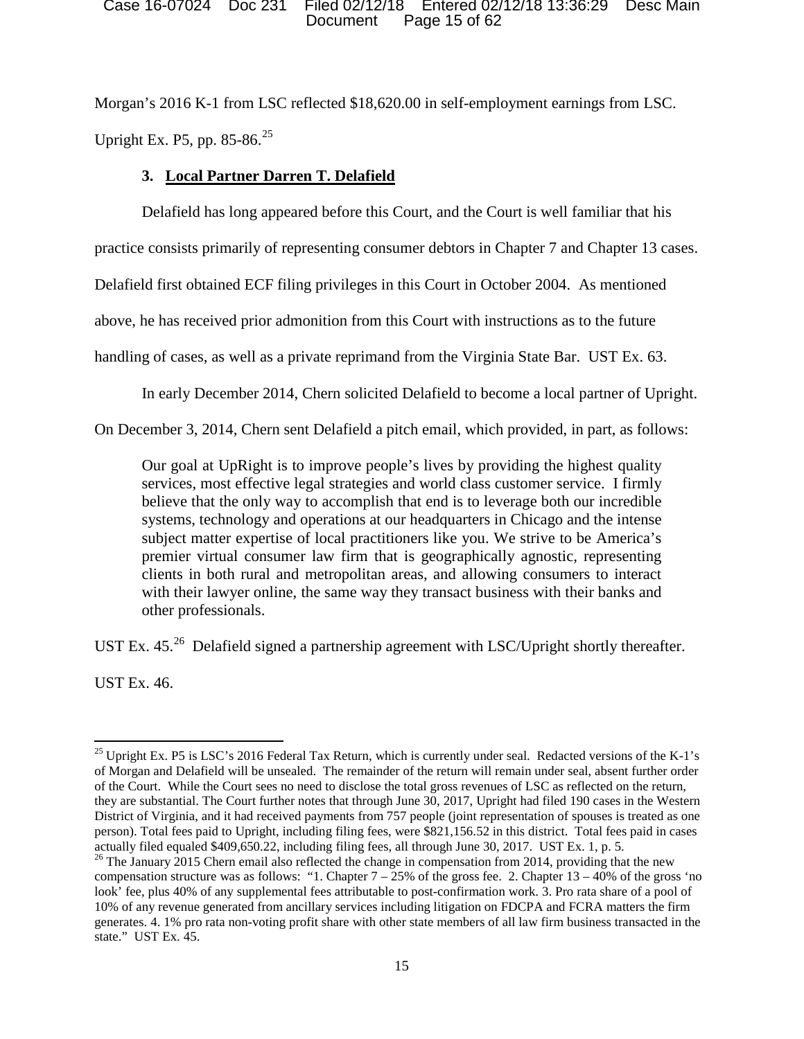### Document Page 15 of 62 Case 16-07024 Doc 231 Filed 02/12/18 Entered 02/12/18 13:36:29 Desc Main

 Morgan's 2016 K-1 from LSC reflected \$18,620.00 in self-employment earnings from LSC. Upright Ex. P5, pp. 85-86.<sup>25</sup>

# **3. Local Partner Darren T. Delafield**

Delafield has long appeared before this Court, and the Court is well familiar that his

practice consists primarily of representing consumer debtors in Chapter 7 and Chapter 13 cases.

Delafield first obtained ECF filing privileges in this Court in October 2004. As mentioned

above, he has received prior admonition from this Court with instructions as to the future

handling of cases, as well as a private reprimand from the Virginia State Bar. UST Ex. 63.

In early December 2014, Chern solicited Delafield to become a local partner of Upright.

On December 3, 2014, Chern sent Delafield a pitch email, which provided, in part, as follows: Our goal at UpRight is to improve people's lives by providing the highest quality

 services, most effective legal strategies and world class customer service. I firmly systems, technology and operations at our headquarters in Chicago and the intense premier virtual consumer law firm that is geographically agnostic, representing clients in both rural and metropolitan areas, and allowing consumers to interact believe that the only way to accomplish that end is to leverage both our incredible subject matter expertise of local practitioners like you. We strive to be America's with their lawyer online, the same way they transact business with their banks and other professionals.

UST Ex. 45.<sup>26</sup> Delafield signed a partnership agreement with LSC/Upright shortly thereafter.

UST Ex. 46.

l <sup>25</sup> Upright Ex. P5 is LSC's 2016 Federal Tax Return, which is currently under seal. Redacted versions of the K-1's of the Court. While the Court sees no need to disclose the total gross revenues of LSC as reflected on the return, person). Total fees paid to Upright, including filing fees, were \$821,156.52 in this district. Total fees paid in cases actually filed equaled \$409,650.22, including filing fees, all through June 30, 2017. UST Ex. 1, p. 5.<br><sup>26</sup> The January 2015 Chern email also reflected the change in compensation from 2014, providing that the new of Morgan and Delafield will be unsealed. The remainder of the return will remain under seal, absent further order they are substantial. The Court further notes that through June 30, 2017, Upright had filed 190 cases in the Western District of Virginia, and it had received payments from 757 people (joint representation of spouses is treated as one

compensation structure was as follows: "1. Chapter  $7 - 25%$  of the gross fee. 2. Chapter  $13 - 40%$  of the gross 'no 10% of any revenue generated from ancillary services including litigation on FDCPA and FCRA matters the firm generates. 4. 1% pro rata non-voting profit share with other state members of all law firm business transacted in the state." UST Ex. 45. look' fee, plus 40% of any supplemental fees attributable to post-confirmation work. 3. Pro rata share of a pool of state." UST Ex. 45. 15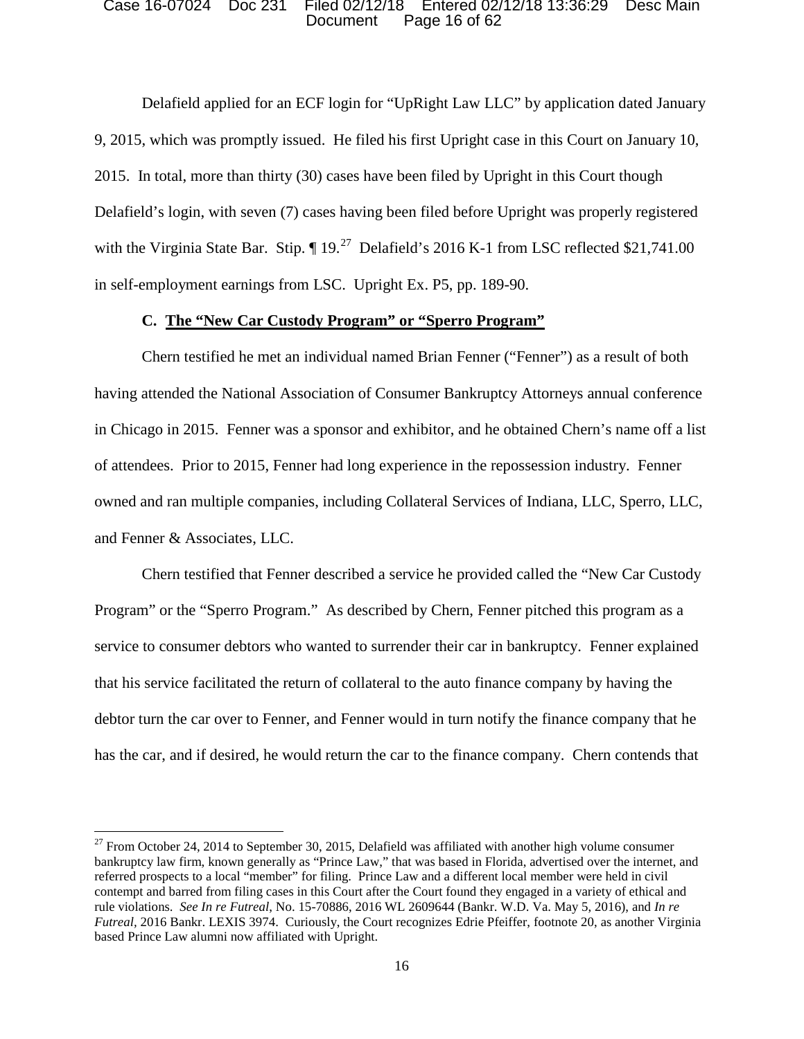### Document Page 16 of 62 Case 16-07024 Doc 231 Filed 02/12/18 Entered 02/12/18 13:36:29 Desc Main

 Delafield applied for an ECF login for "UpRight Law LLC" by application dated January with the Virginia State Bar. Stip.  $\P 19$ .<sup>27</sup> Delafield's 2016 K-1 from LSC reflected \$21,741.00 9, 2015, which was promptly issued. He filed his first Upright case in this Court on January 10, 2015. In total, more than thirty (30) cases have been filed by Upright in this Court though Delafield's login, with seven (7) cases having been filed before Upright was properly registered in self-employment earnings from LSC. Upright Ex. P5, pp. 189-90.

## **C. The "New Car Custody Program" or "Sperro Program"**

 Chern testified he met an individual named Brian Fenner ("Fenner") as a result of both of attendees. Prior to 2015, Fenner had long experience in the repossession industry. Fenner having attended the National Association of Consumer Bankruptcy Attorneys annual conference in Chicago in 2015. Fenner was a sponsor and exhibitor, and he obtained Chern's name off a list owned and ran multiple companies, including Collateral Services of Indiana, LLC, Sperro, LLC, and Fenner & Associates, LLC.

 service to consumer debtors who wanted to surrender their car in bankruptcy. Fenner explained has the car, and if desired, he would return the car to the finance company. Chern contends that Chern testified that Fenner described a service he provided called the "New Car Custody Program" or the "Sperro Program." As described by Chern, Fenner pitched this program as a that his service facilitated the return of collateral to the auto finance company by having the debtor turn the car over to Fenner, and Fenner would in turn notify the finance company that he

 bankruptcy law firm, known generally as "Prince Law," that was based in Florida, advertised over the internet, and referred prospects to a local "member" for filing. Prince Law and a different local member were held in civil contempt and barred from filing cases in this Court after the Court found they engaged in a variety of ethical and *Futreal,* 2016 Bankr. LEXIS 3974. Curiously, the Court recognizes Edrie Pfeiffer, footnote 20, as another Virginia  $^{27}$  From October 24, 2014 to September 30, 2015, Delafield was affiliated with another high volume consumer rule violations. *See In re Futreal*, No. 15-70886, 2016 WL 2609644 (Bankr. W.D. Va. May 5, 2016), and *In re*  based Prince Law alumni now affiliated with Upright.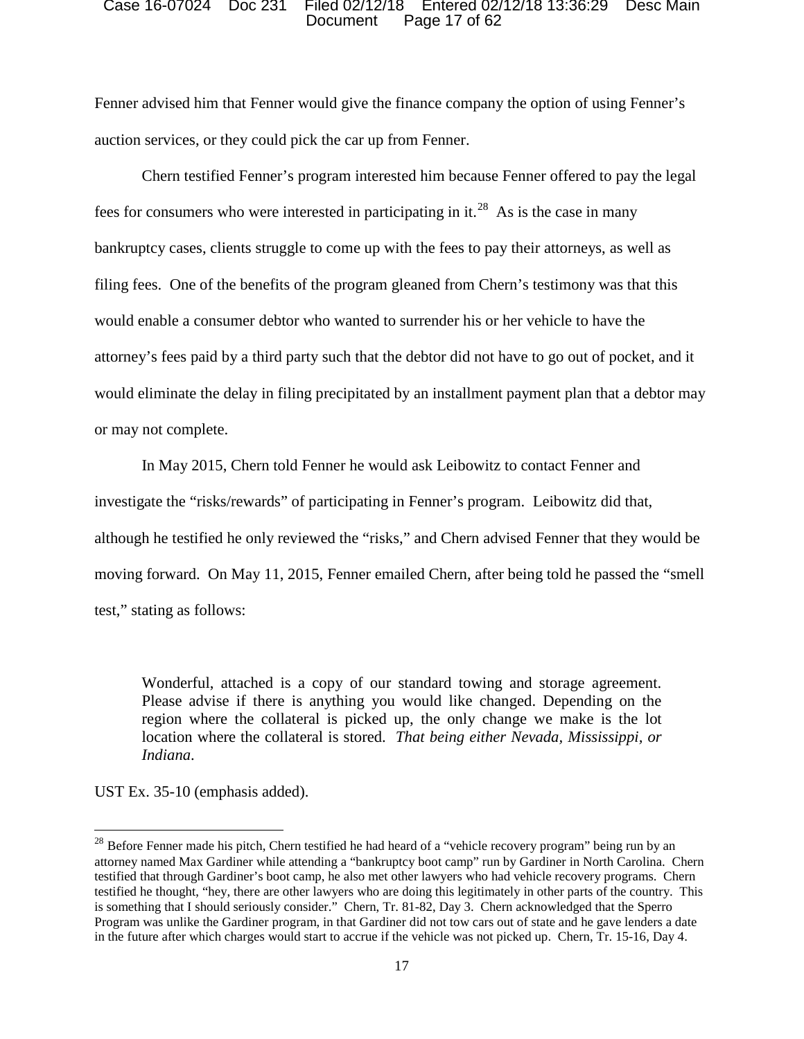### Document Page 17 of 62 Case 16-07024 Doc 231 Filed 02/12/18 Entered 02/12/18 13:36:29 Desc Main

 Fenner advised him that Fenner would give the finance company the option of using Fenner's auction services, or they could pick the car up from Fenner.

fees for consumers who were interested in participating in it.<sup>28</sup> As is the case in many would enable a consumer debtor who wanted to surrender his or her vehicle to have the attorney's fees paid by a third party such that the debtor did not have to go out of pocket, and it or may not complete. Chern testified Fenner's program interested him because Fenner offered to pay the legal bankruptcy cases, clients struggle to come up with the fees to pay their attorneys, as well as filing fees. One of the benefits of the program gleaned from Chern's testimony was that this would eliminate the delay in filing precipitated by an installment payment plan that a debtor may

 although he testified he only reviewed the "risks," and Chern advised Fenner that they would be moving forward. On May 11, 2015, Fenner emailed Chern, after being told he passed the "smell In May 2015, Chern told Fenner he would ask Leibowitz to contact Fenner and investigate the "risks/rewards" of participating in Fenner's program. Leibowitz did that, test," stating as follows:

 Wonderful, attached is a copy of our standard towing and storage agreement. location where the collateral is stored. *That being either Nevada, Mississippi, or*  Please advise if there is anything you would like changed. Depending on the region where the collateral is picked up, the only change we make is the lot *Indiana*.

UST Ex. 35-10 (emphasis added).

l testified that through Gardiner's boot camp, he also met other lawyers who had vehicle recovery programs. Chern is something that I should seriously consider." Chern, Tr. 81-82, Day 3. Chern acknowledged that the Sperro Program was unlike the Gardiner program, in that Gardiner did not tow cars out of state and he gave lenders a date  $^{28}$  Before Fenner made his pitch, Chern testified he had heard of a "vehicle recovery program" being run by an attorney named Max Gardiner while attending a "bankruptcy boot camp" run by Gardiner in North Carolina. Chern testified he thought, "hey, there are other lawyers who are doing this legitimately in other parts of the country. This in the future after which charges would start to accrue if the vehicle was not picked up. Chern, Tr. 15-16, Day 4.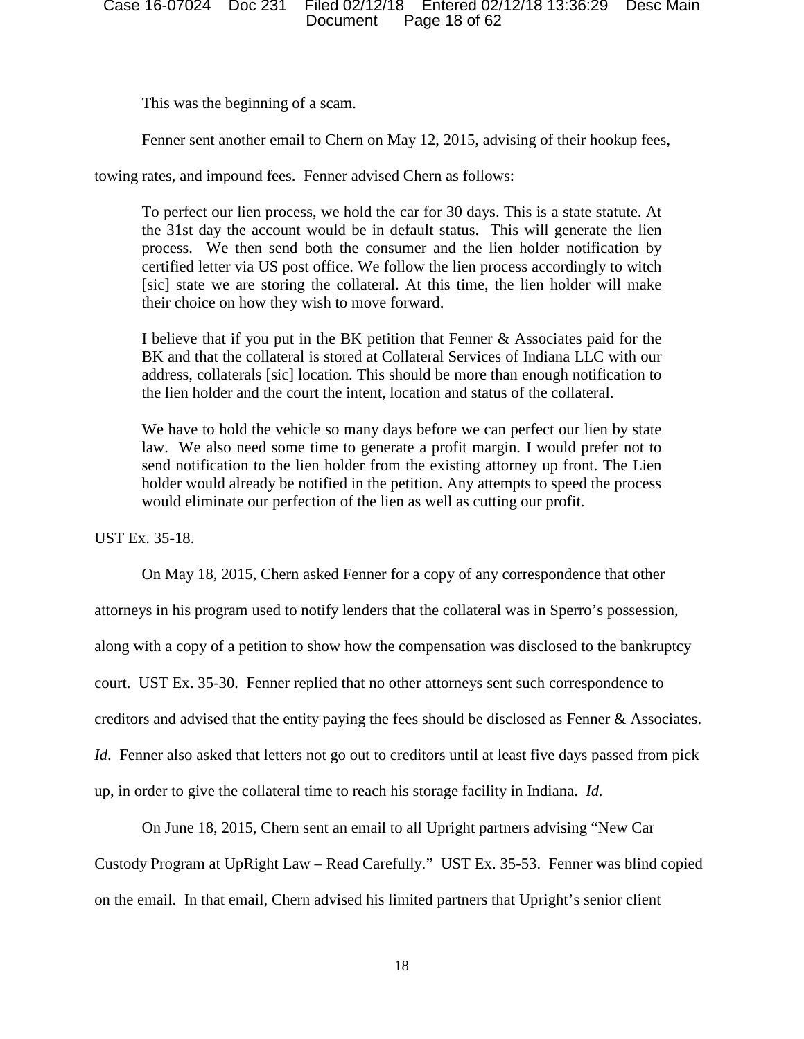This was the beginning of a scam.

Fenner sent another email to Chern on May 12, 2015, advising of their hookup fees,

towing rates, and impound fees. Fenner advised Chern as follows:

 To perfect our lien process, we hold the car for 30 days. This is a state statute. At the 31st day the account would be in default status. This will generate the lien [sic] state we are storing the collateral. At this time, the lien holder will make their choice on how they wish to move forward. process. We then send both the consumer and the lien holder notification by certified letter via US post office. We follow the lien process accordingly to witch

 I believe that if you put in the BK petition that Fenner & Associates paid for the the lien holder and the court the intent, location and status of the collateral. BK and that the collateral is stored at Collateral Services of Indiana LLC with our address, collaterals [sic] location. This should be more than enough notification to

 law. We also need some time to generate a profit margin. I would prefer not to holder would already be notified in the petition. Any attempts to speed the process We have to hold the vehicle so many days before we can perfect our lien by state send notification to the lien holder from the existing attorney up front. The Lien would eliminate our perfection of the lien as well as cutting our profit.

UST Ex. 35-18.

 On May 18, 2015, Chern asked Fenner for a copy of any correspondence that other along with a copy of a petition to show how the compensation was disclosed to the bankruptcy up, in order to give the collateral time to reach his storage facility in Indiana. *Id.* attorneys in his program used to notify lenders that the collateral was in Sperro's possession, court. UST Ex. 35-30. Fenner replied that no other attorneys sent such correspondence to creditors and advised that the entity paying the fees should be disclosed as Fenner & Associates. *Id*. Fenner also asked that letters not go out to creditors until at least five days passed from pick

 on the email. In that email, Chern advised his limited partners that Upright's senior client On June 18, 2015, Chern sent an email to all Upright partners advising "New Car Custody Program at UpRight Law – Read Carefully." UST Ex. 35-53. Fenner was blind copied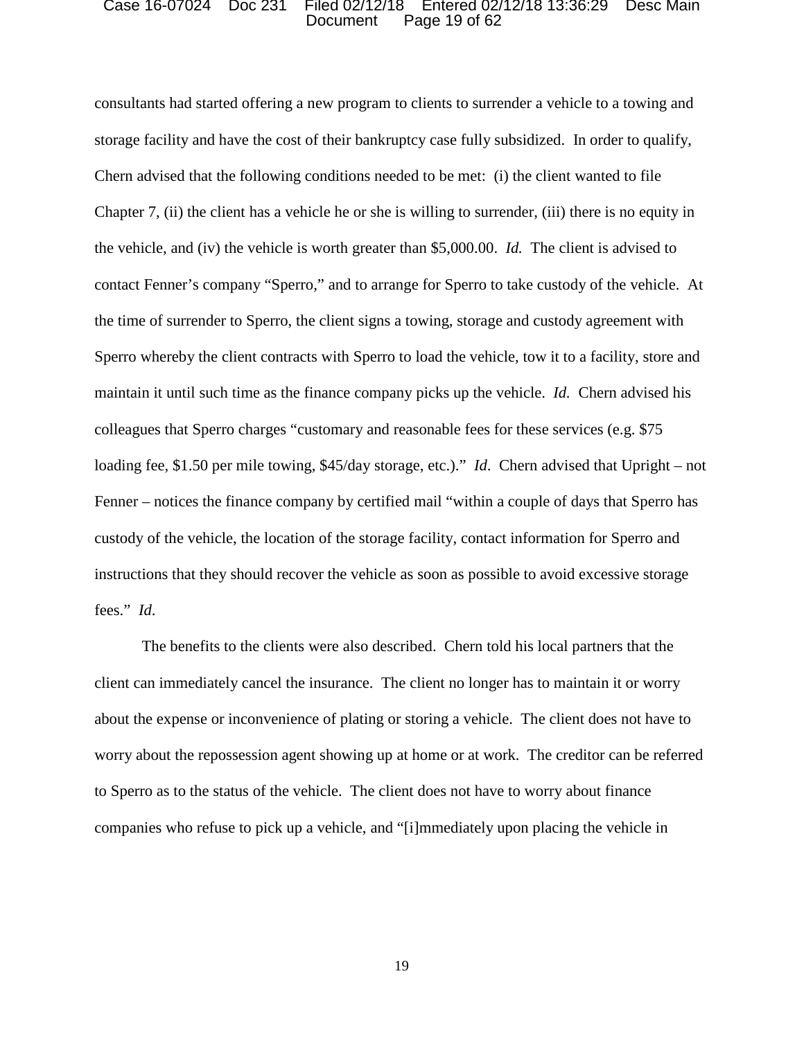#### Document Page 19 of 62 Case 16-07024 Doc 231 Filed 02/12/18 Entered 02/12/18 13:36:29 Desc Main

 storage facility and have the cost of their bankruptcy case fully subsidized. In order to qualify, Chern advised that the following conditions needed to be met: (i) the client wanted to file Chapter 7, (ii) the client has a vehicle he or she is willing to surrender, (iii) there is no equity in the vehicle, and (iv) the vehicle is worth greater than \$5,000.00. *Id.* The client is advised to contact Fenner's company "Sperro," and to arrange for Sperro to take custody of the vehicle. At maintain it until such time as the finance company picks up the vehicle. *Id*. Chern advised his loading fee, \$1.50 per mile towing, \$45/day storage, etc.)." *Id*. Chern advised that Upright – not Fenner – notices the finance company by certified mail "within a couple of days that Sperro has consultants had started offering a new program to clients to surrender a vehicle to a towing and the time of surrender to Sperro, the client signs a towing, storage and custody agreement with Sperro whereby the client contracts with Sperro to load the vehicle, tow it to a facility, store and colleagues that Sperro charges "customary and reasonable fees for these services (e.g. \$75 custody of the vehicle, the location of the storage facility, contact information for Sperro and instructions that they should recover the vehicle as soon as possible to avoid excessive storage fees." *Id*.

 client can immediately cancel the insurance. The client no longer has to maintain it or worry about the expense or inconvenience of plating or storing a vehicle. The client does not have to worry about the repossession agent showing up at home or at work. The creditor can be referred The benefits to the clients were also described. Chern told his local partners that the to Sperro as to the status of the vehicle. The client does not have to worry about finance companies who refuse to pick up a vehicle, and "[i]mmediately upon placing the vehicle in

19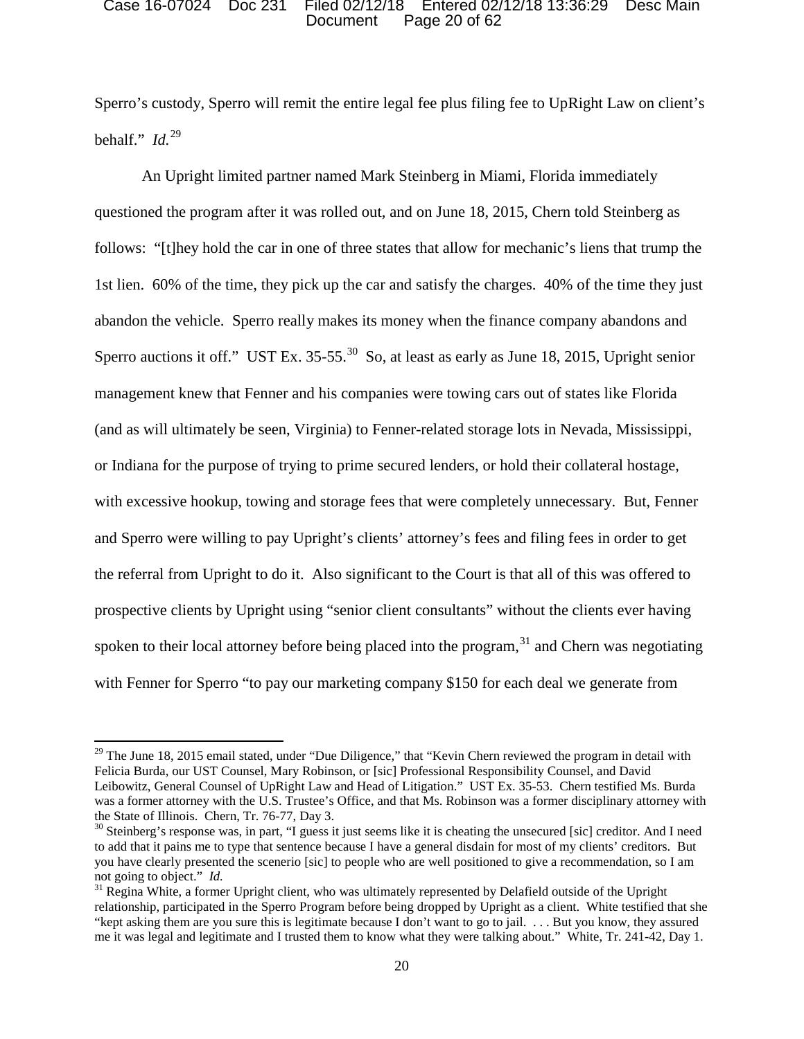### Document Page 20 of 62 Case 16-07024 Doc 231 Filed 02/12/18 Entered 02/12/18 13:36:29 Desc Main

 behalf." *Id.*<sup>29</sup> Sperro's custody, Sperro will remit the entire legal fee plus filing fee to UpRight Law on client's

 questioned the program after it was rolled out, and on June 18, 2015, Chern told Steinberg as 1st lien. 60% of the time, they pick up the car and satisfy the charges. 40% of the time they just Sperro auctions it off." UST Ex. 35-55. $^{30}$  So, at least as early as June 18, 2015, Upright senior management knew that Fenner and his companies were towing cars out of states like Florida or Indiana for the purpose of trying to prime secured lenders, or hold their collateral hostage, with excessive hookup, towing and storage fees that were completely unnecessary. But, Fenner the referral from Upright to do it. Also significant to the Court is that all of this was offered to with Fenner for Sperro "to pay our marketing company \$150 for each deal we generate from An Upright limited partner named Mark Steinberg in Miami, Florida immediately follows: "[t]hey hold the car in one of three states that allow for mechanic's liens that trump the abandon the vehicle. Sperro really makes its money when the finance company abandons and (and as will ultimately be seen, Virginia) to Fenner-related storage lots in Nevada, Mississippi, and Sperro were willing to pay Upright's clients' attorney's fees and filing fees in order to get prospective clients by Upright using "senior client consultants" without the clients ever having spoken to their local attorney before being placed into the program,  $31$  and Chern was negotiating

 was a former attorney with the U.S. Trustee's Office, and that Ms. Robinson was a former disciplinary attorney with the State of Illinois. Chern, Tr. 76-77, Day 3.  $29$  The June 18, 2015 email stated, under "Due Diligence," that "Kevin Chern reviewed the program in detail with Felicia Burda, our UST Counsel, Mary Robinson, or [sic] Professional Responsibility Counsel, and David Leibowitz, General Counsel of UpRight Law and Head of Litigation." UST Ex. 35-53. Chern testified Ms. Burda

not going to object." Id.  $\frac{30}{10}$  Steinberg's response was, in part, "I guess it just seems like it is cheating the unsecured [sic] creditor. And I need to add that it pains me to type that sentence because I have a general disdain for most of my clients' creditors. But you have clearly presented the scenerio [sic] to people who are well positioned to give a recommendation, so I am

not going to object." *Id*.<br><sup>31</sup> Regina White, a former Upright client, who was ultimately represented by Delafield outside of the Upright "kept asking them are you sure this is legitimate because I don't want to go to jail. . . . But you know, they assured me it was legal and legitimate and I trusted them to know what they were talking about." White, Tr. 241-42, Day 1. relationship, participated in the Sperro Program before being dropped by Upright as a client. White testified that she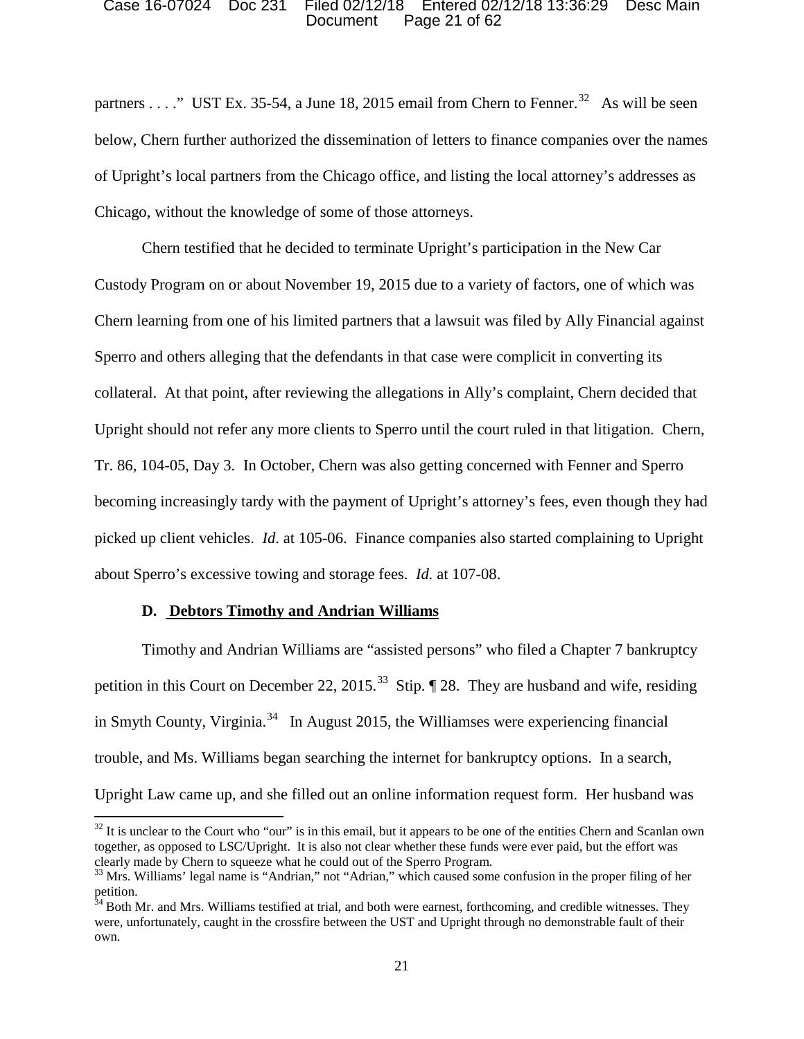### Document Page 21 of 62 Case 16-07024 Doc 231 Filed 02/12/18 Entered 02/12/18 13:36:29 Desc Main

partners . . . ." UST Ex. 35-54, a June 18, 2015 email from Chern to Fenner.<sup>32</sup> As will be seen Chicago, without the knowledge of some of those attorneys. below, Chern further authorized the dissemination of letters to finance companies over the names of Upright's local partners from the Chicago office, and listing the local attorney's addresses as

 Chern learning from one of his limited partners that a lawsuit was filed by Ally Financial against becoming increasingly tardy with the payment of Upright's attorney's fees, even though they had picked up client vehicles. *Id*. at 105-06. Finance companies also started complaining to Upright about Sperro's excessive towing and storage fees. *Id.* at 107-08. Chern testified that he decided to terminate Upright's participation in the New Car Custody Program on or about November 19, 2015 due to a variety of factors, one of which was Sperro and others alleging that the defendants in that case were complicit in converting its collateral. At that point, after reviewing the allegations in Ally's complaint, Chern decided that Upright should not refer any more clients to Sperro until the court ruled in that litigation. Chern, Tr. 86, 104-05, Day 3. In October, Chern was also getting concerned with Fenner and Sperro

## **D. Debtors Timothy and Andrian Williams**

 $\overline{\phantom{a}}$ 

petition in this Court on December 22, 2015.<sup>33</sup> Stip.  $\P$  28. They are husband and wife, residing in Smyth County, Virginia.<sup>34</sup> In August 2015, the Williamses were experiencing financial Timothy and Andrian Williams are "assisted persons" who filed a Chapter 7 bankruptcy trouble, and Ms. Williams began searching the internet for bankruptcy options. In a search, Upright Law came up, and she filled out an online information request form. Her husband was

 together, as opposed to LSC/Upright. It is also not clear whether these funds were ever paid, but the effort was clearly made by Chern to squeeze what he could out of the Sperro Program.  $32$  It is unclear to the Court who "our" is in this email, but it appears to be one of the entities Chern and Scanlan own

<sup>&</sup>lt;sup>33</sup> Mrs. Williams' legal name is "Andrian," not "Adrian," which caused some confusion in the proper filing of her petition.

own. <sup>34</sup> Both Mr. and Mrs. Williams testified at trial, and both were earnest, forthcoming, and credible witnesses. They were, unfortunately, caught in the crossfire between the UST and Upright through no demonstrable fault of their own.<br>21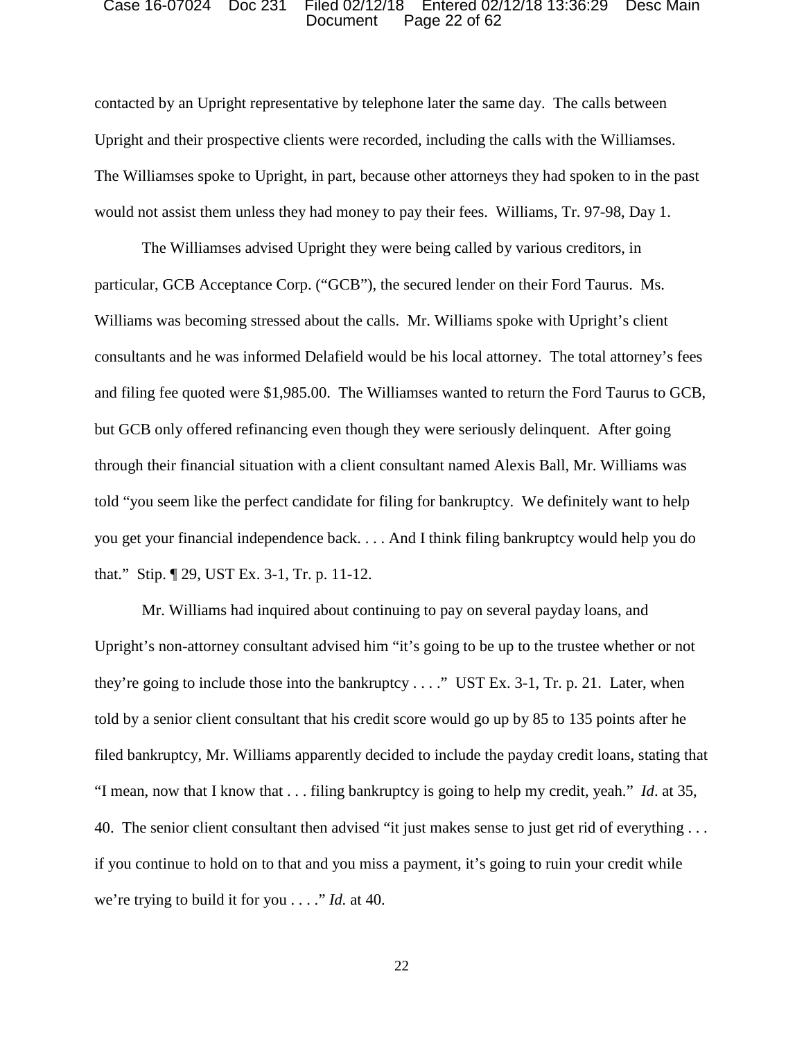### Document Page 22 of 62 Case 16-07024 Doc 231 Filed 02/12/18 Entered 02/12/18 13:36:29 Desc Main

 contacted by an Upright representative by telephone later the same day. The calls between Upright and their prospective clients were recorded, including the calls with the Williamses. would not assist them unless they had money to pay their fees. Williams, Tr. 97-98, Day 1. The Williamses spoke to Upright, in part, because other attorneys they had spoken to in the past

 The Williamses advised Upright they were being called by various creditors, in particular, GCB Acceptance Corp. ("GCB"), the secured lender on their Ford Taurus. Ms. through their financial situation with a client consultant named Alexis Ball, Mr. Williams was told "you seem like the perfect candidate for filing for bankruptcy. We definitely want to help you get your financial independence back. . . . And I think filing bankruptcy would help you do that." Stip. ¶ 29, UST Ex. 3-1, Tr. p. 11-12. Williams was becoming stressed about the calls. Mr. Williams spoke with Upright's client consultants and he was informed Delafield would be his local attorney. The total attorney's fees and filing fee quoted were \$1,985.00. The Williamses wanted to return the Ford Taurus to GCB, but GCB only offered refinancing even though they were seriously delinquent. After going

 they're going to include those into the bankruptcy . . . ." UST Ex. 3-1, Tr. p. 21. Later, when "I mean, now that I know that . . . filing bankruptcy is going to help my credit, yeah." *Id*. at 35, 40. The senior client consultant then advised "it just makes sense to just get rid of everything . . . if you continue to hold on to that and you miss a payment, it's going to ruin your credit while we're trying to build it for you . . . ." *Id.* at 40. Mr. Williams had inquired about continuing to pay on several payday loans, and Upright's non-attorney consultant advised him "it's going to be up to the trustee whether or not told by a senior client consultant that his credit score would go up by 85 to 135 points after he filed bankruptcy, Mr. Williams apparently decided to include the payday credit loans, stating that

22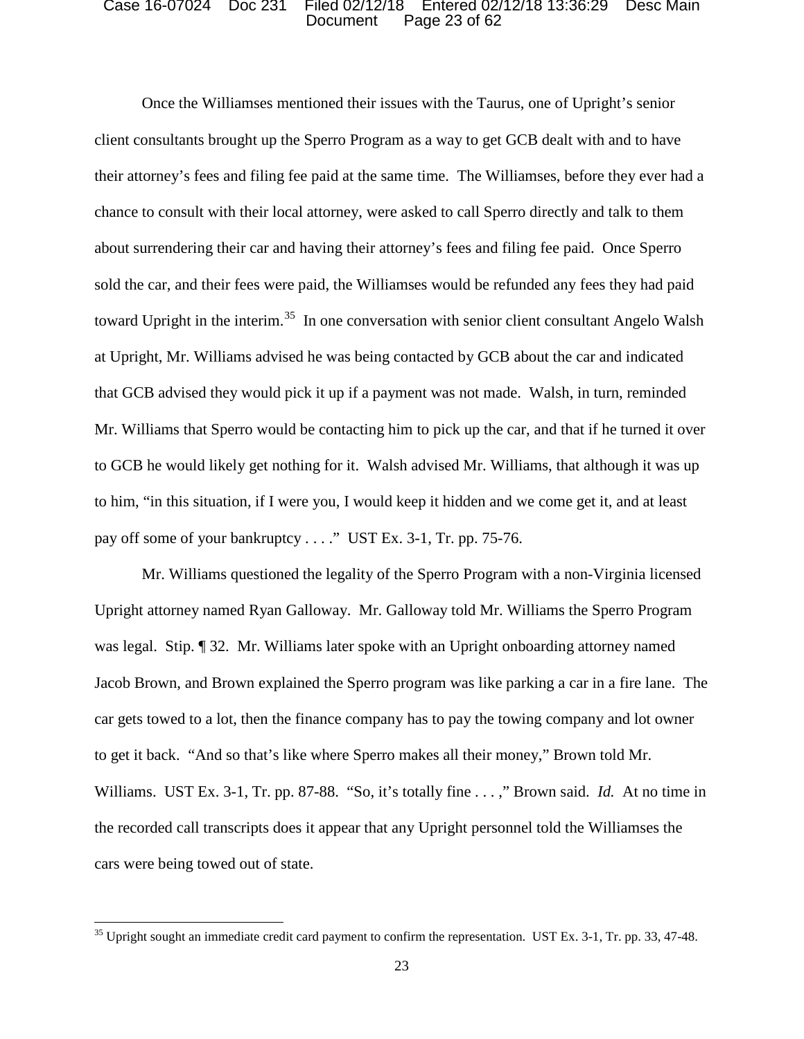### Document Page 23 of 62 Case 16-07024 Doc 231 Filed 02/12/18 Entered 02/12/18 13:36:29 Desc Main

 client consultants brought up the Sperro Program as a way to get GCB dealt with and to have toward Upright in the interim.<sup>35</sup> In one conversation with senior client consultant Angelo Walsh that GCB advised they would pick it up if a payment was not made. Walsh, in turn, reminded to him, "in this situation, if I were you, I would keep it hidden and we come get it, and at least pay off some of your bankruptcy . . . ." UST Ex. 3-1, Tr. pp. 75-76. Once the Williamses mentioned their issues with the Taurus, one of Upright's senior their attorney's fees and filing fee paid at the same time. The Williamses, before they ever had a chance to consult with their local attorney, were asked to call Sperro directly and talk to them about surrendering their car and having their attorney's fees and filing fee paid. Once Sperro sold the car, and their fees were paid, the Williamses would be refunded any fees they had paid at Upright, Mr. Williams advised he was being contacted by GCB about the car and indicated Mr. Williams that Sperro would be contacting him to pick up the car, and that if he turned it over to GCB he would likely get nothing for it. Walsh advised Mr. Williams, that although it was up

was legal. Stip. ¶ 32. Mr. Williams later spoke with an Upright onboarding attorney named car gets towed to a lot, then the finance company has to pay the towing company and lot owner to get it back. "And so that's like where Sperro makes all their money," Brown told Mr. Williams. UST Ex. 3-1, Tr. pp. 87-88. "So, it's totally fine . . . ," Brown said. *Id.* At no time in cars were being towed out of state. Mr. Williams questioned the legality of the Sperro Program with a non-Virginia licensed Upright attorney named Ryan Galloway. Mr. Galloway told Mr. Williams the Sperro Program Jacob Brown, and Brown explained the Sperro program was like parking a car in a fire lane. The the recorded call transcripts does it appear that any Upright personnel told the Williamses the

 $35$  Upright sought an immediate credit card payment to confirm the representation. UST Ex. 3-1, Tr. pp. 33, 47-48.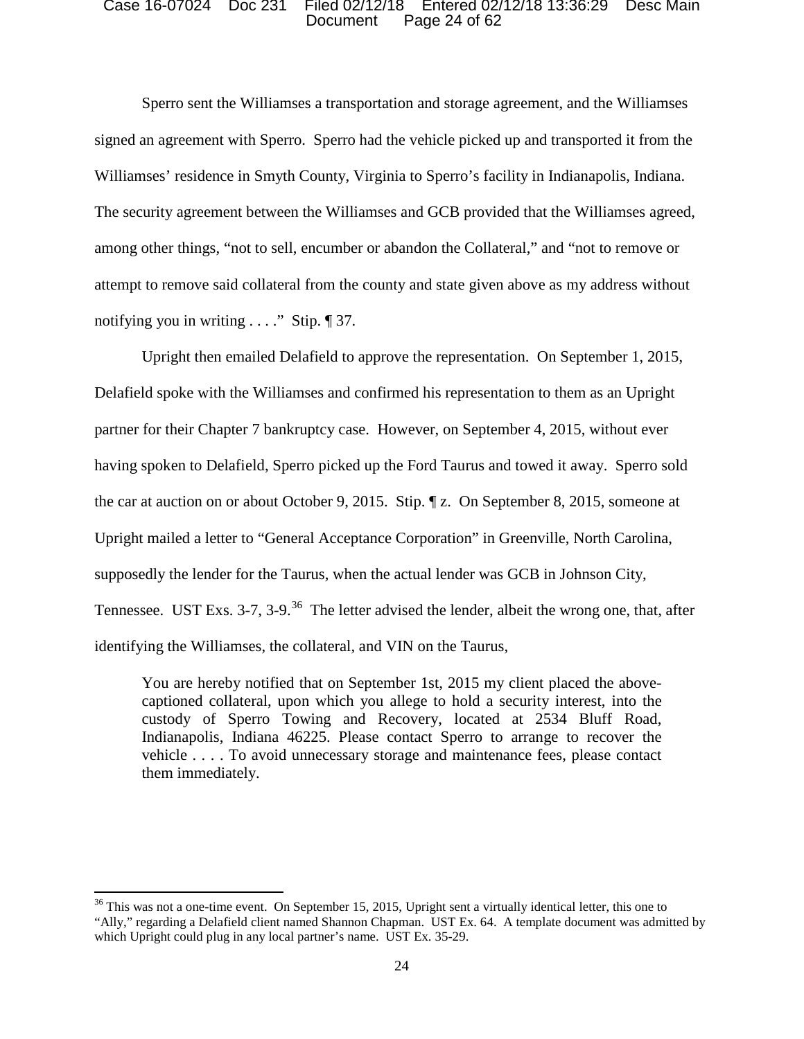### Document Page 24 of 62 Case 16-07024 Doc 231 Filed 02/12/18 Entered 02/12/18 13:36:29 Desc Main

 attempt to remove said collateral from the county and state given above as my address without notifying you in writing . . . ." Stip. ¶ 37. Sperro sent the Williamses a transportation and storage agreement, and the Williamses signed an agreement with Sperro. Sperro had the vehicle picked up and transported it from the Williamses' residence in Smyth County, Virginia to Sperro's facility in Indianapolis, Indiana. The security agreement between the Williamses and GCB provided that the Williamses agreed, among other things, "not to sell, encumber or abandon the Collateral," and "not to remove or

 Upright then emailed Delafield to approve the representation. On September 1, 2015, partner for their Chapter 7 bankruptcy case. However, on September 4, 2015, without ever Tennessee. UST Exs. 3-7, 3-9.<sup>36</sup> The letter advised the lender, albeit the wrong one, that, after Delafield spoke with the Williamses and confirmed his representation to them as an Upright having spoken to Delafield, Sperro picked up the Ford Taurus and towed it away. Sperro sold the car at auction on or about October 9, 2015. Stip. ¶ z. On September 8, 2015, someone at Upright mailed a letter to "General Acceptance Corporation" in Greenville, North Carolina, supposedly the lender for the Taurus, when the actual lender was GCB in Johnson City, identifying the Williamses, the collateral, and VIN on the Taurus,

 vehicle . . . . To avoid unnecessary storage and maintenance fees, please contact You are hereby notified that on September 1st, 2015 my client placed the abovecaptioned collateral, upon which you allege to hold a security interest, into the custody of Sperro Towing and Recovery, located at 2534 Bluff Road, Indianapolis, Indiana 46225. Please contact Sperro to arrange to recover the them immediately.

 $36$  This was not a one-time event. On September 15, 2015, Upright sent a virtually identical letter, this one to "Ally," regarding a Delafield client named Shannon Chapman. UST Ex. 64. A template document was admitted by which Upright could plug in any local partner's name. UST Ex. 35-29.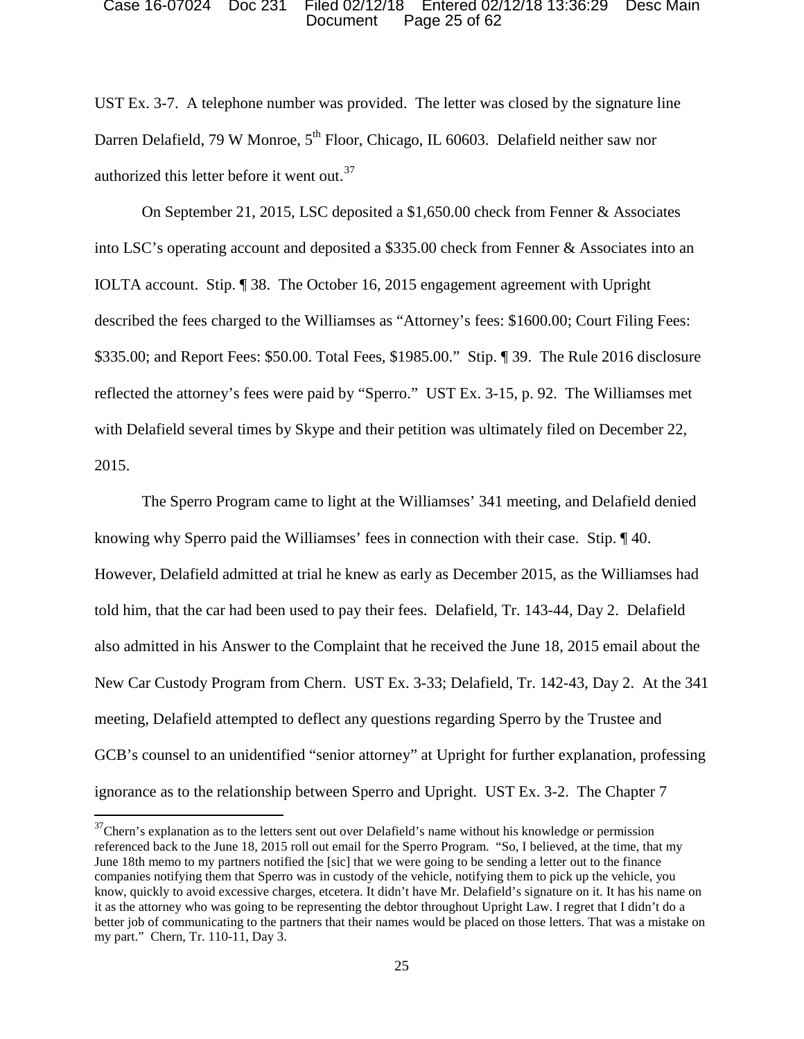### Document Page 25 of 62 Case 16-07024 Doc 231 Filed 02/12/18 Entered 02/12/18 13:36:29 Desc Main

 UST Ex. 3-7. A telephone number was provided. The letter was closed by the signature line authorized this letter before it went out.<sup>37</sup> Darren Delafield, 79 W Monroe,  $5<sup>th</sup>$  Floor, Chicago, IL 60603. Delafield neither saw nor

 IOLTA account. Stip. ¶ 38. The October 16, 2015 engagement agreement with Upright described the fees charged to the Williamses as "Attorney's fees: \$1600.00; Court Filing Fees: \$335.00; and Report Fees: \$50.00. Total Fees, \$1985.00." Stip. ¶ 39. The Rule 2016 disclosure reflected the attorney's fees were paid by "Sperro." UST Ex. 3-15, p. 92. The Williamses met On September 21, 2015, LSC deposited a \$1,650.00 check from Fenner & Associates into LSC's operating account and deposited a \$335.00 check from Fenner & Associates into an with Delafield several times by Skype and their petition was ultimately filed on December 22, 2015.

 knowing why Sperro paid the Williamses' fees in connection with their case. Stip. ¶ 40. However, Delafield admitted at trial he knew as early as December 2015, as the Williamses had New Car Custody Program from Chern. UST Ex. 3-33; Delafield, Tr. 142-43, Day 2. At the 341 GCB's counsel to an unidentified "senior attorney" at Upright for further explanation, professing The Sperro Program came to light at the Williamses' 341 meeting, and Delafield denied told him, that the car had been used to pay their fees. Delafield, Tr. 143-44, Day 2. Delafield also admitted in his Answer to the Complaint that he received the June 18, 2015 email about the meeting, Delafield attempted to deflect any questions regarding Sperro by the Trustee and ignorance as to the relationship between Sperro and Upright. UST Ex. 3-2. The Chapter 7

 referenced back to the June 18, 2015 roll out email for the Sperro Program. "So, I believed, at the time, that my June 18th memo to my partners notified the [sic] that we were going to be sending a letter out to the finance know, quickly to avoid excessive charges, etcetera. It didn't have Mr. Delafield's signature on it. It has his name on my part." Chern, Tr. 110-11, Day 3.<br>25  $37$ Chern's explanation as to the letters sent out over Delafield's name without his knowledge or permission companies notifying them that Sperro was in custody of the vehicle, notifying them to pick up the vehicle, you it as the attorney who was going to be representing the debtor throughout Upright Law. I regret that I didn't do a better job of communicating to the partners that their names would be placed on those letters. That was a mistake on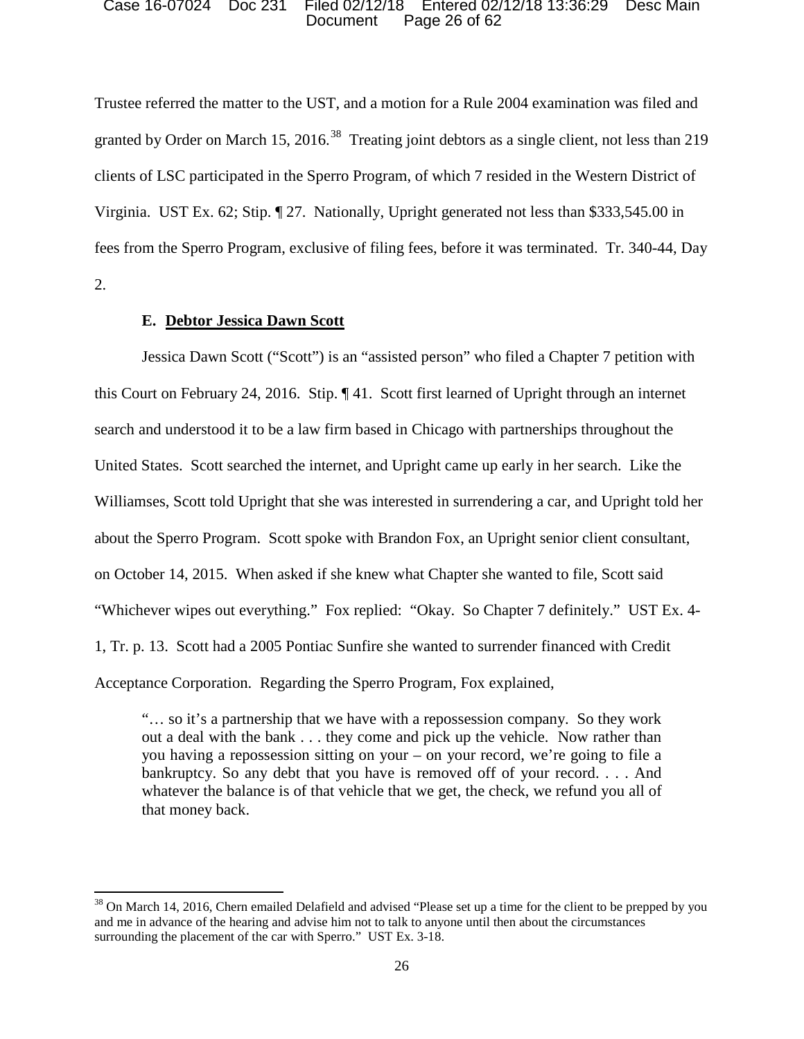### Document Page 26 of 62 Case 16-07024 Doc 231 Filed 02/12/18 Entered 02/12/18 13:36:29 Desc Main

granted by Order on March 15, 2016.<sup>38</sup> Treating joint debtors as a single client, not less than 219 Virginia. UST Ex. 62; Stip. ¶ 27. Nationally, Upright generated not less than \$333,545.00 in Trustee referred the matter to the UST, and a motion for a Rule 2004 examination was filed and clients of LSC participated in the Sperro Program, of which 7 resided in the Western District of fees from the Sperro Program, exclusive of filing fees, before it was terminated. Tr. 340-44, Day 2.

## **E. Debtor Jessica Dawn Scott**

 $\overline{\phantom{a}}$ 

 this Court on February 24, 2016. Stip. ¶ 41. Scott first learned of Upright through an internet search and understood it to be a law firm based in Chicago with partnerships throughout the about the Sperro Program. Scott spoke with Brandon Fox, an Upright senior client consultant, "Whichever wipes out everything." Fox replied: "Okay. So Chapter 7 definitely." UST Ex. 4- 1, Tr. p. 13. Scott had a 2005 Pontiac Sunfire she wanted to surrender financed with Credit Acceptance Corporation. Regarding the Sperro Program, Fox explained, Jessica Dawn Scott ("Scott") is an "assisted person" who filed a Chapter 7 petition with United States. Scott searched the internet, and Upright came up early in her search. Like the Williamses, Scott told Upright that she was interested in surrendering a car, and Upright told her on October 14, 2015. When asked if she knew what Chapter she wanted to file, Scott said

Acceptance Corporation. Regarding the Sperro Program, Fox explained,<br>"... so it's a partnership that we have with a repossession company. So they work out a deal with the bank . . . they come and pick up the vehicle. Now rather than you having a repossession sitting on your – on your record, we're going to file a bankruptcy. So any debt that you have is removed off of your record. . . . And whatever the balance is of that vehicle that we get, the check, we refund you all of that money back.

 $38$  On March 14, 2016, Chern emailed Delafield and advised "Please set up a time for the client to be prepped by you surrounding the placement of the car with Sperro." UST Ex. 3-18.<br>26 and me in advance of the hearing and advise him not to talk to anyone until then about the circumstances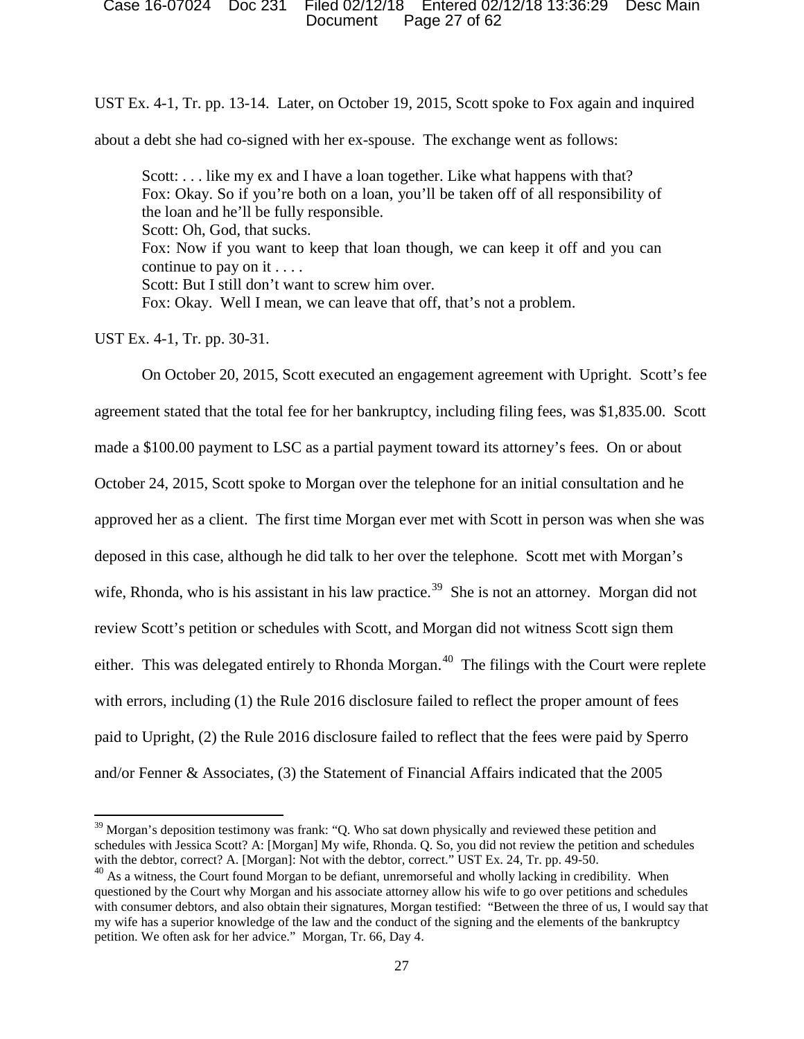### Document Page 27 of 62 Case 16-07024 Doc 231 Filed 02/12/18 Entered 02/12/18 13:36:29 Desc Main

UST Ex. 4-1, Tr. pp. 13-14. Later, on October 19, 2015, Scott spoke to Fox again and inquired

about a debt she had co-signed with her ex-spouse. The exchange went as follows:

Scott: ... like my ex and I have a loan together. Like what happens with that? Fox: Okay. So if you're both on a loan, you'll be taken off of all responsibility of the loan and he'll be fully responsible. continue to pay on it . . . . Scott: Oh, God, that sucks. Fox: Now if you want to keep that loan though, we can keep it off and you can Scott: But I still don't want to screw him over. Fox: Okay. Well I mean, we can leave that off, that's not a problem.

UST Ex. 4-1, Tr. pp. 30-31.

 $\overline{\phantom{a}}$ 

 approved her as a client. The first time Morgan ever met with Scott in person was when she was wife, Rhonda, who is his assistant in his law practice.<sup>39</sup> She is not an attorney. Morgan did not either. This was delegated entirely to Rhonda Morgan.<sup>40</sup> The filings with the Court were replete and/or Fenner & Associates, (3) the Statement of Financial Affairs indicated that the 2005 On October 20, 2015, Scott executed an engagement agreement with Upright. Scott's fee agreement stated that the total fee for her bankruptcy, including filing fees, was \$1,835.00. Scott made a \$100.00 payment to LSC as a partial payment toward its attorney's fees. On or about October 24, 2015, Scott spoke to Morgan over the telephone for an initial consultation and he deposed in this case, although he did talk to her over the telephone. Scott met with Morgan's review Scott's petition or schedules with Scott, and Morgan did not witness Scott sign them with errors, including (1) the Rule 2016 disclosure failed to reflect the proper amount of fees paid to Upright, (2) the Rule 2016 disclosure failed to reflect that the fees were paid by Sperro

 $39$  Morgan's deposition testimony was frank: "Q. Who sat down physically and reviewed these petition and schedules with Jessica Scott? A: [Morgan] My wife, Rhonda. Q. So, you did not review the petition and schedules with the debtor, correct? A. [Morgan]: Not with the debtor, correct." UST Ex. 24, Tr. pp. 49-50.

 $40$  As a witness, the Court found Morgan to be defiant, unremorseful and wholly lacking in credibility. When questioned by the Court why Morgan and his associate attorney allow his wife to go over petitions and schedules petition. We often ask for her advice." Morgan, Tr. 66, Day 4. with consumer debtors, and also obtain their signatures, Morgan testified: "Between the three of us, I would say that my wife has a superior knowledge of the law and the conduct of the signing and the elements of the bankruptcy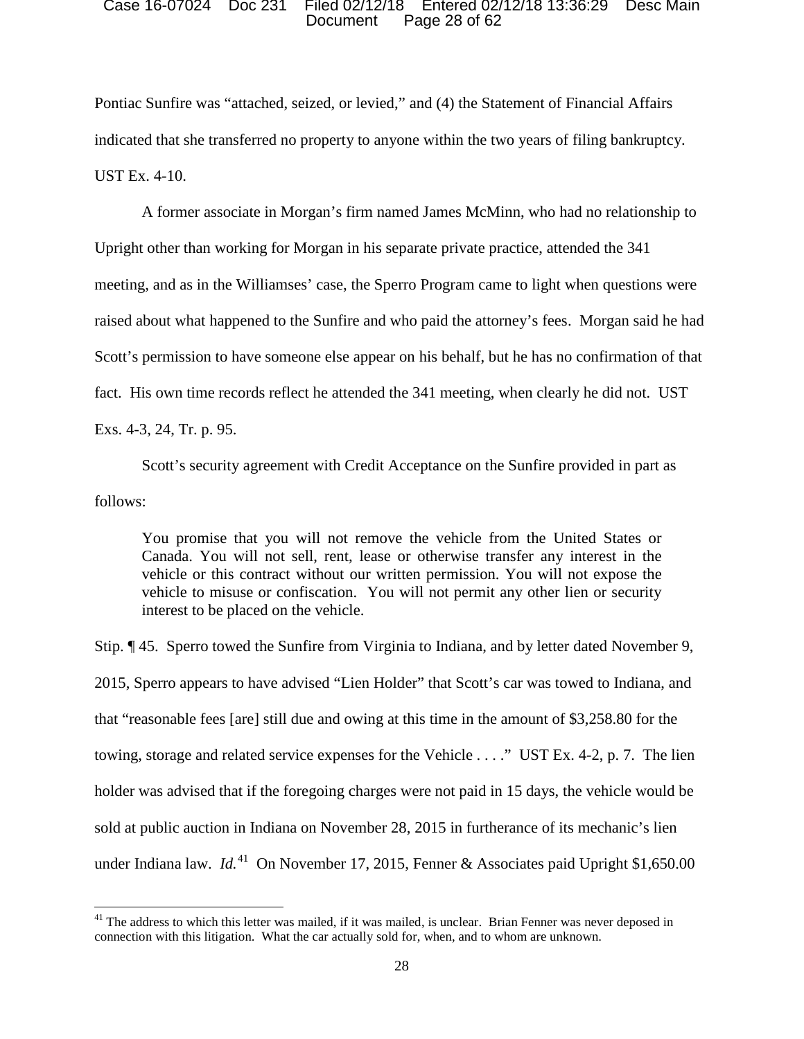### Document Page 28 of 62 Case 16-07024 Doc 231 Filed 02/12/18 Entered 02/12/18 13:36:29 Desc Main

Pontiac Sunfire was "attached, seized, or levied," and (4) the Statement of Financial Affairs indicated that she transferred no property to anyone within the two years of filing bankruptcy. UST Ex. 4-10.

 A former associate in Morgan's firm named James McMinn, who had no relationship to fact. His own time records reflect he attended the 341 meeting, when clearly he did not. UST Upright other than working for Morgan in his separate private practice, attended the 341 meeting, and as in the Williamses' case, the Sperro Program came to light when questions were raised about what happened to the Sunfire and who paid the attorney's fees. Morgan said he had Scott's permission to have someone else appear on his behalf, but he has no confirmation of that Exs. 4-3, 24, Tr. p. 95.

Scott's security agreement with Credit Acceptance on the Sunfire provided in part as follows:

You promise that you will not remove the vehicle from the United States or Canada. You will not sell, rent, lease or otherwise transfer any interest in the vehicle or this contract without our written permission. You will not expose the vehicle to misuse or confiscation. You will not permit any other lien or security interest to be placed on the vehicle.

 2015, Sperro appears to have advised "Lien Holder" that Scott's car was towed to Indiana, and towing, storage and related service expenses for the Vehicle . . . ." UST Ex. 4-2, p. 7. The lien under Indiana law. *Id.*41 On November 17, 2015, Fenner & Associates paid Upright \$1,650.00 Stip. ¶ 45. Sperro towed the Sunfire from Virginia to Indiana, and by letter dated November 9, that "reasonable fees [are] still due and owing at this time in the amount of \$3,258.80 for the holder was advised that if the foregoing charges were not paid in 15 days, the vehicle would be sold at public auction in Indiana on November 28, 2015 in furtherance of its mechanic's lien

<sup>&</sup>lt;sup>41</sup> The address to which this letter was mailed, if it was mailed, is unclear. Brian Fenner was never deposed in connection with this litigation. What the car actually sold for, when, and to whom are unknown.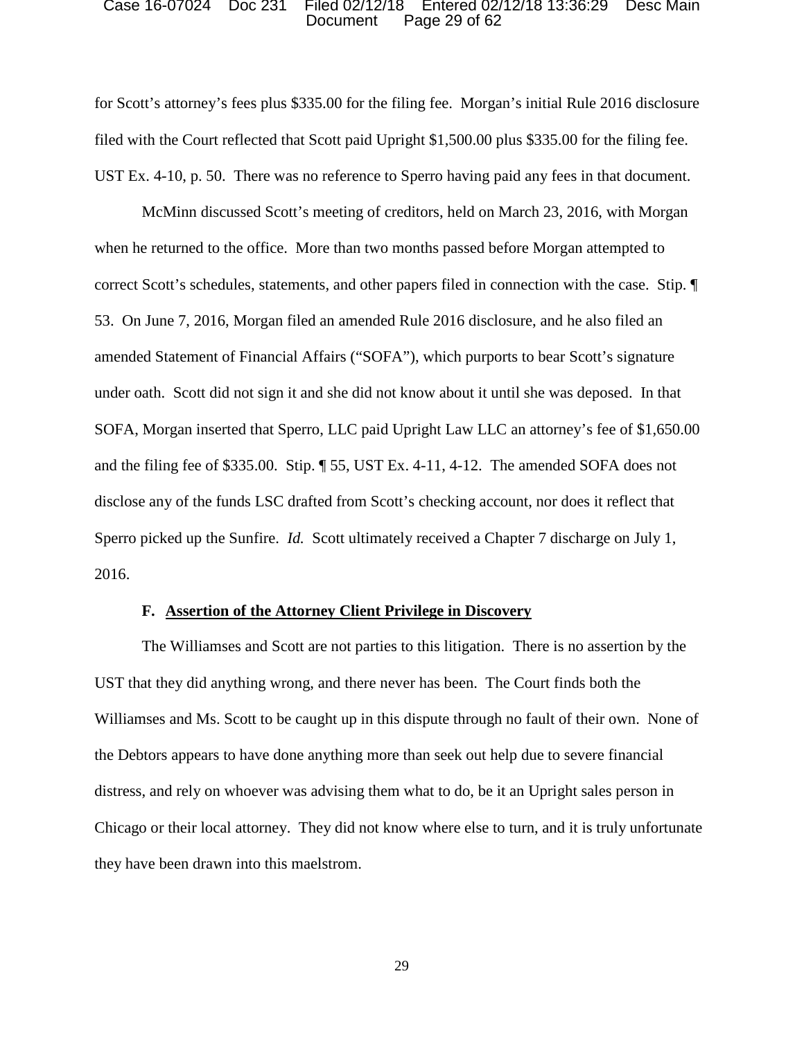### Document Page 29 of 62 Case 16-07024 Doc 231 Filed 02/12/18 Entered 02/12/18 13:36:29 Desc Main

 filed with the Court reflected that Scott paid Upright \$1,500.00 plus \$335.00 for the filing fee. UST Ex. 4-10, p. 50. There was no reference to Sperro having paid any fees in that document. for Scott's attorney's fees plus \$335.00 for the filing fee. Morgan's initial Rule 2016 disclosure

 when he returned to the office. More than two months passed before Morgan attempted to correct Scott's schedules, statements, and other papers filed in connection with the case. Stip. ¶ SOFA, Morgan inserted that Sperro, LLC paid Upright Law LLC an attorney's fee of \$1,650.00 and the filing fee of \$335.00. Stip. ¶ 55, UST Ex. 4-11, 4-12. The amended SOFA does not McMinn discussed Scott's meeting of creditors, held on March 23, 2016, with Morgan 53. On June 7, 2016, Morgan filed an amended Rule 2016 disclosure, and he also filed an amended Statement of Financial Affairs ("SOFA"), which purports to bear Scott's signature under oath. Scott did not sign it and she did not know about it until she was deposed. In that disclose any of the funds LSC drafted from Scott's checking account, nor does it reflect that Sperro picked up the Sunfire. *Id.* Scott ultimately received a Chapter 7 discharge on July 1, 2016.

### **F. Assertion of the Attorney Client Privilege in Discovery**

The Williamses and Scott are not parties to this litigation. There is no assertion by the UST that they did anything wrong, and there never has been. The Court finds both the Williamses and Ms. Scott to be caught up in this dispute through no fault of their own. None of the Debtors appears to have done anything more than seek out help due to severe financial distress, and rely on whoever was advising them what to do, be it an Upright sales person in Chicago or their local attorney. They did not know where else to turn, and it is truly unfortunate they have been drawn into this maelstrom.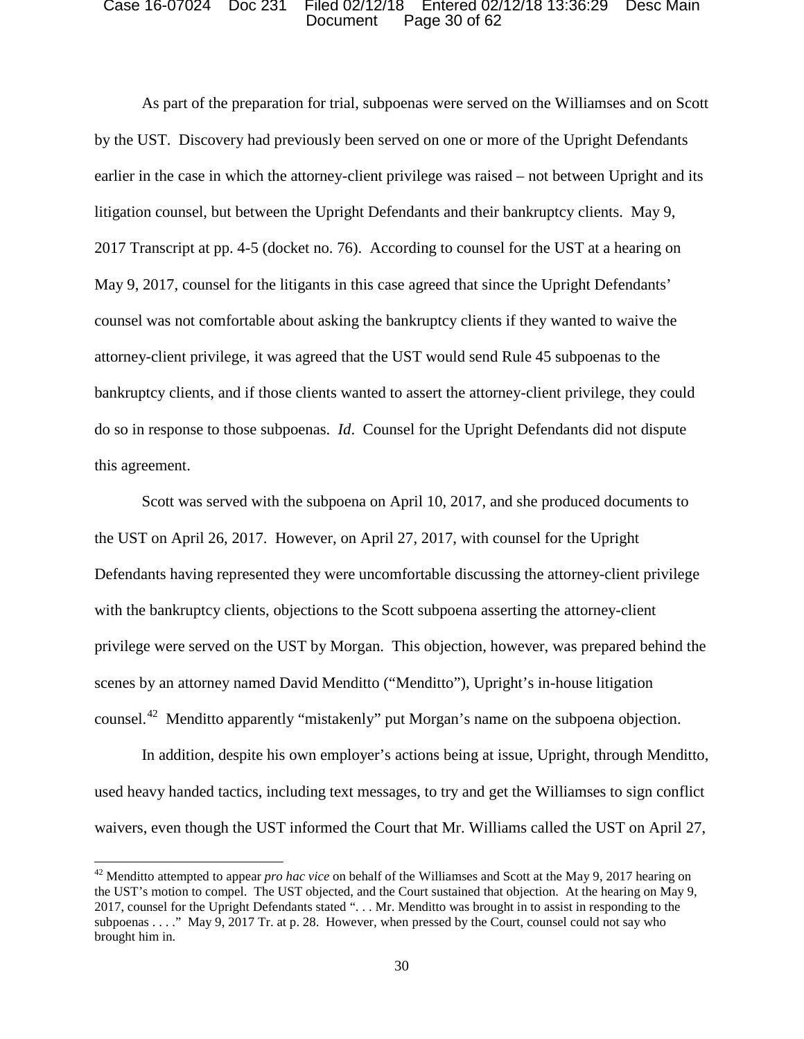### Document Page 30 of 62 Case 16-07024 Doc 231 Filed 02/12/18 Entered 02/12/18 13:36:29 Desc Main

 counsel was not comfortable about asking the bankruptcy clients if they wanted to waive the As part of the preparation for trial, subpoenas were served on the Williamses and on Scott by the UST. Discovery had previously been served on one or more of the Upright Defendants earlier in the case in which the attorney-client privilege was raised – not between Upright and its litigation counsel, but between the Upright Defendants and their bankruptcy clients. May 9, 2017 Transcript at pp. 4-5 (docket no. 76). According to counsel for the UST at a hearing on May 9, 2017, counsel for the litigants in this case agreed that since the Upright Defendants' attorney-client privilege, it was agreed that the UST would send Rule 45 subpoenas to the bankruptcy clients, and if those clients wanted to assert the attorney-client privilege, they could do so in response to those subpoenas. *Id*. Counsel for the Upright Defendants did not dispute this agreement.

 the UST on April 26, 2017. However, on April 27, 2017, with counsel for the Upright counsel.<sup>42</sup> Menditto apparently "mistakenly" put Morgan's name on the subpoena objection. Scott was served with the subpoena on April 10, 2017, and she produced documents to Defendants having represented they were uncomfortable discussing the attorney-client privilege with the bankruptcy clients, objections to the Scott subpoena asserting the attorney-client privilege were served on the UST by Morgan. This objection, however, was prepared behind the scenes by an attorney named David Menditto ("Menditto"), Upright's in-house litigation

In addition, despite his own employer's actions being at issue, Upright, through Menditto, used heavy handed tactics, including text messages, to try and get the Williamses to sign conflict waivers, even though the UST informed the Court that Mr. Williams called the UST on April 27,

 the UST's motion to compel. The UST objected, and the Court sustained that objection. At the hearing on May 9, subpoenas . . . ." May 9, 2017 Tr. at p. 28. However, when pressed by the Court, counsel could not say who brought him in. 42 Menditto attempted to appear *pro hac vice* on behalf of the Williamses and Scott at the May 9, 2017 hearing on 2017, counsel for the Upright Defendants stated ". . . Mr. Menditto was brought in to assist in responding to the brought him in.  $\frac{30}{20}$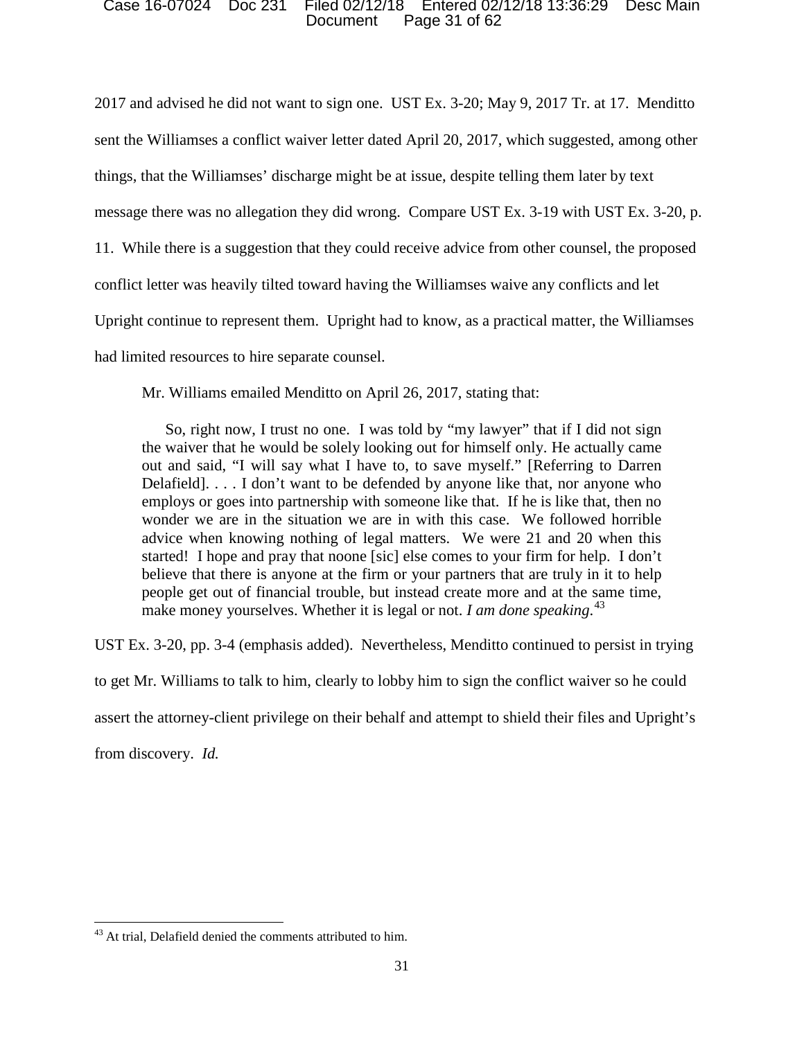### Document Page 31 of 62 Case 16-07024 Doc 231 Filed 02/12/18 Entered 02/12/18 13:36:29 Desc Main

 message there was no allegation they did wrong. Compare UST Ex. 3-19 with UST Ex. 3-20, p. had limited resources to hire separate counsel. 2017 and advised he did not want to sign one. UST Ex. 3-20; May 9, 2017 Tr. at 17. Menditto sent the Williamses a conflict waiver letter dated April 20, 2017, which suggested, among other things, that the Williamses' discharge might be at issue, despite telling them later by text 11. While there is a suggestion that they could receive advice from other counsel, the proposed conflict letter was heavily tilted toward having the Williamses waive any conflicts and let Upright continue to represent them. Upright had to know, as a practical matter, the Williamses

Mr. Williams emailed Menditto on April 26, 2017, stating that:

 So, right now, I trust no one. I was told by "my lawyer" that if I did not sign out and said, "I will say what I have to, to save myself." [Referring to Darren started! I hope and pray that noone [sic] else comes to your firm for help. I don't make money yourselves. Whether it is legal or not. *I am done speaking*. 43 the waiver that he would be solely looking out for himself only. He actually came Delafield]. . . . I don't want to be defended by anyone like that, nor anyone who employs or goes into partnership with someone like that. If he is like that, then no wonder we are in the situation we are in with this case. We followed horrible advice when knowing nothing of legal matters. We were 21 and 20 when this believe that there is anyone at the firm or your partners that are truly in it to help people get out of financial trouble, but instead create more and at the same time,

UST Ex. 3-20, pp. 3-4 (emphasis added). Nevertheless, Menditto continued to persist in trying

to get Mr. Williams to talk to him, clearly to lobby him to sign the conflict waiver so he could

assert the attorney-client privilege on their behalf and attempt to shield their files and Upright's

from discovery. *Id.* 

<sup>&</sup>lt;sup>43</sup> At trial, Delafield denied the comments attributed to him.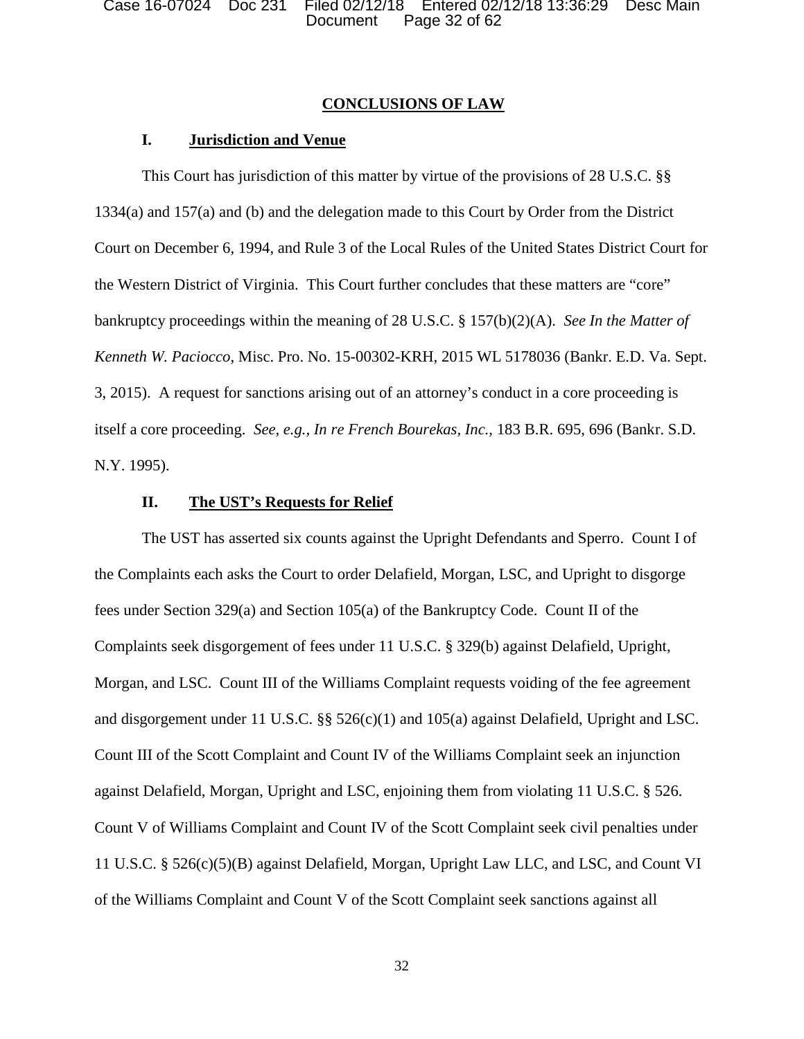Case 16-07024 Doc 231 Filed 02/12/18 Entered 02/12/18 13:36:29 Desc Main Document Page 32 of 62

## **CONCLUSIONS OF LAW**

## **I. Jurisdiction and Venue**

This Court has jurisdiction of this matter by virtue of the provisions of 28 U.S.C. §§ 1334(a) and 157(a) and (b) and the delegation made to this Court by Order from the District Court on December 6, 1994, and Rule 3 of the Local Rules of the United States District Court for the Western District of Virginia. This Court further concludes that these matters are "core" bankruptcy proceedings within the meaning of 28 U.S.C. § 157(b)(2)(A). *See In the Matter of Kenneth W. Paciocco*, Misc. Pro. No. 15-00302-KRH, 2015 WL 5178036 (Bankr. E.D. Va. Sept. 3, 2015). A request for sanctions arising out of an attorney's conduct in a core proceeding is itself a core proceeding. *See, e.g., In re French Bourekas, Inc.,* 183 B.R. 695, 696 (Bankr. S.D. N.Y. 1995).

## **II. The UST's Requests for Relief**

The UST has asserted six counts against the Upright Defendants and Sperro. Count I of the Complaints each asks the Court to order Delafield, Morgan, LSC, and Upright to disgorge fees under Section 329(a) and Section 105(a) of the Bankruptcy Code. Count II of the Complaints seek disgorgement of fees under 11 U.S.C. § 329(b) against Delafield, Upright, Morgan, and LSC. Count III of the Williams Complaint requests voiding of the fee agreement and disgorgement under 11 U.S.C. §§ 526(c)(1) and 105(a) against Delafield, Upright and LSC. Count III of the Scott Complaint and Count IV of the Williams Complaint seek an injunction against Delafield, Morgan, Upright and LSC, enjoining them from violating 11 U.S.C. § 526. Count V of Williams Complaint and Count IV of the Scott Complaint seek civil penalties under 11 U.S.C. § 526(c)(5)(B) against Delafield, Morgan, Upright Law LLC, and LSC, and Count VI of the Williams Complaint and Count V of the Scott Complaint seek sanctions against all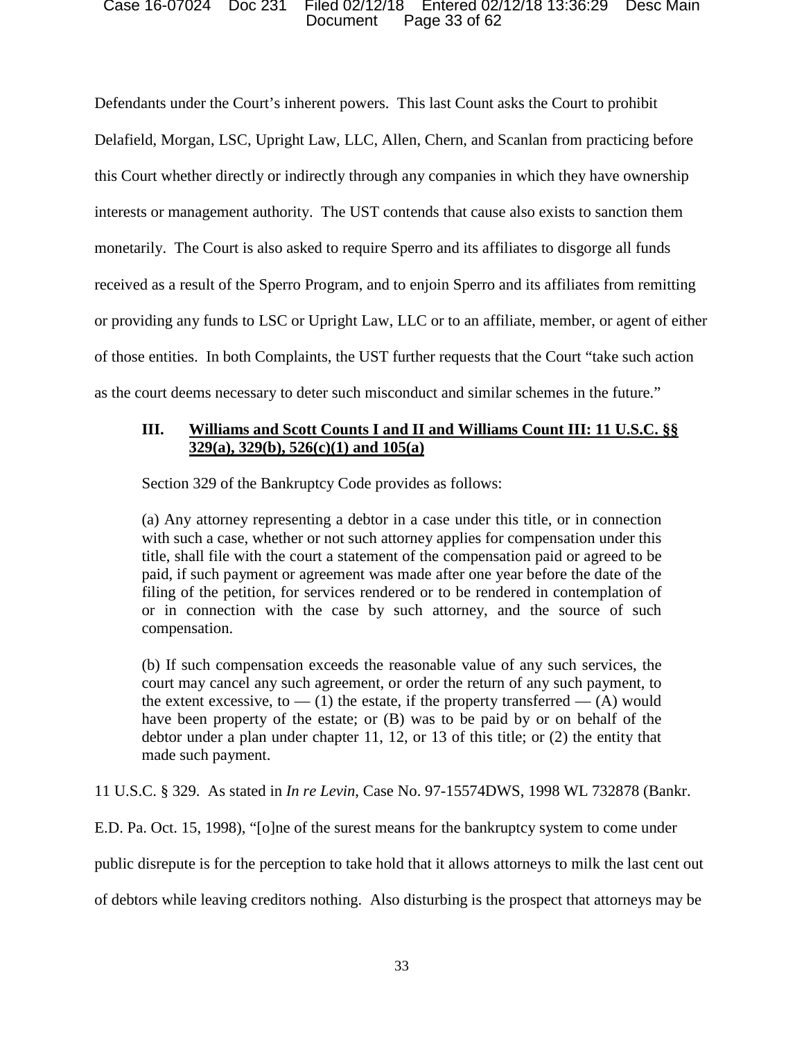### Document Page 33 of 62 Case 16-07024 Doc 231 Filed 02/12/18 Entered 02/12/18 13:36:29 Desc Main

Defendants under the Court's inherent powers. This last Count asks the Court to prohibit Delafield, Morgan, LSC, Upright Law, LLC, Allen, Chern, and Scanlan from practicing before this Court whether directly or indirectly through any companies in which they have ownership interests or management authority. The UST contends that cause also exists to sanction them monetarily. The Court is also asked to require Sperro and its affiliates to disgorge all funds received as a result of the Sperro Program, and to enjoin Sperro and its affiliates from remitting or providing any funds to LSC or Upright Law, LLC or to an affiliate, member, or agent of either of those entities. In both Complaints, the UST further requests that the Court "take such action as the court deems necessary to deter such misconduct and similar schemes in the future."

# **III. Williams and Scott Counts I and II and Williams Count III: 11 U.S.C. §§ 329(a), 329(b), 526(c)(1) and 105(a)**

Section 329 of the Bankruptcy Code provides as follows:

(a) Any attorney representing a debtor in a case under this title, or in connection with such a case, whether or not such attorney applies for compensation under this title, shall file with the court a statement of the compensation paid or agreed to be paid, if such payment or agreement was made after one year before the date of the filing of the petition, for services rendered or to be rendered in contemplation of or in connection with the case by such attorney, and the source of such compensation.

(b) If such compensation exceeds the reasonable value of any such services, the court may cancel any such agreement, or order the return of any such payment, to the extent excessive, to  $-$  (1) the estate, if the property transferred  $-$  (A) would have been property of the estate; or (B) was to be paid by or on behalf of the debtor under a plan under chapter 11, 12, or 13 of this title; or (2) the entity that made such payment.

11 U.S.C. § 329. As stated in *In re Levin*, Case No. 97-15574DWS, 1998 WL 732878 (Bankr.

E.D. Pa. Oct. 15, 1998), "[o]ne of the surest means for the bankruptcy system to come under

public disrepute is for the perception to take hold that it allows attorneys to milk the last cent out

of debtors while leaving creditors nothing. Also disturbing is the prospect that attorneys may be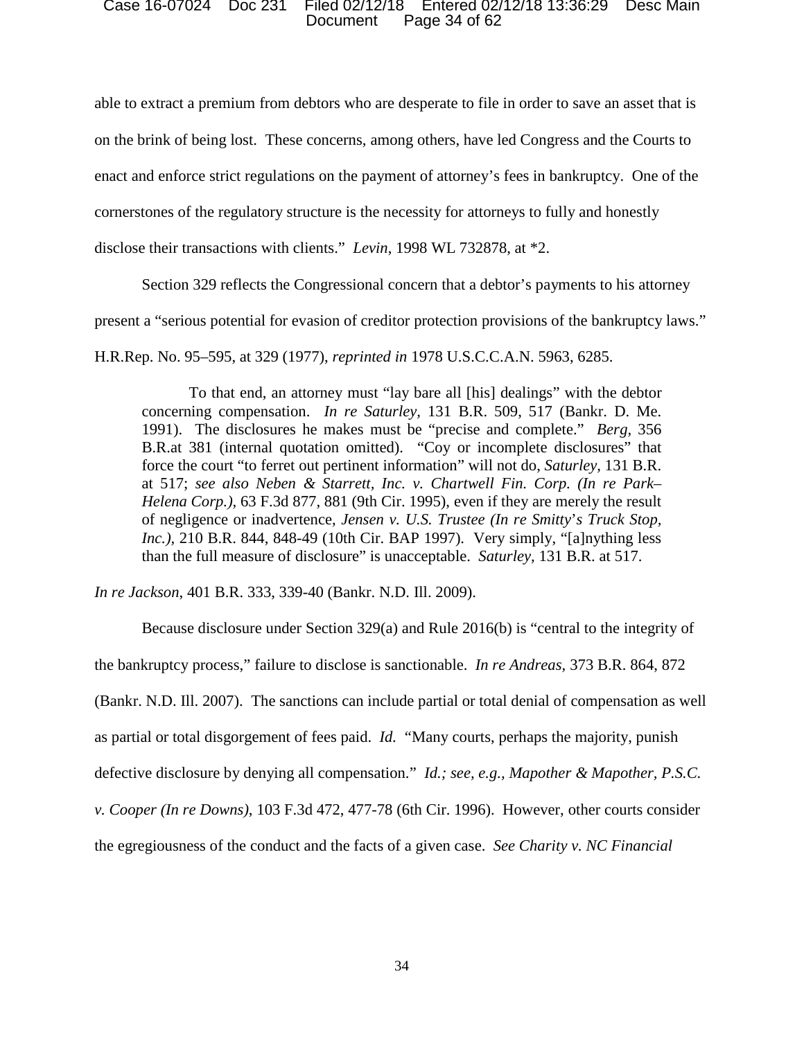### Document Page 34 of 62 Case 16-07024 Doc 231 Filed 02/12/18 Entered 02/12/18 13:36:29 Desc Main

 enact and enforce strict regulations on the payment of attorney's fees in bankruptcy. One of the able to extract a premium from debtors who are desperate to file in order to save an asset that is on the brink of being lost. These concerns, among others, have led Congress and the Courts to cornerstones of the regulatory structure is the necessity for attorneys to fully and honestly disclose their transactions with clients." *Levin*, 1998 WL 732878, at \*2.

Section 329 reflects the Congressional concern that a debtor's payments to his attorney

present a "serious potential for evasion of creditor protection provisions of the bankruptcy laws."

H.R.Rep. No. 95–595, at 329 (1977), *reprinted in* 1978 U.S.C.C.A.N. 5963, 6285.

 concerning compensation. *In re Saturley,* 131 B.R. 509, 517 (Bankr. D. Me. 1991). The disclosures he makes must be "precise and complete." *Berg,* 356 B.R.at 381 (internal quotation omitted). "Coy or incomplete disclosures" that force the court "to ferret out pertinent information" will not do, *Saturley,* 131 B.R.  of negligence or inadvertence, *Jensen v. U.S. Trustee (In re Smitty*'*s Truck Stop,*  than the full measure of disclosure" is unacceptable. *Saturley,* 131 B.R. at 517. To that end, an attorney must "lay bare all [his] dealings" with the debtor at 517; *see also Neben & Starrett, Inc. v. Chartwell Fin. Corp. (In re Park– Helena Corp.),* 63 F.3d 877, 881 (9th Cir. 1995), even if they are merely the result *Inc.),* 210 B.R. 844, 848-49 (10th Cir. BAP 1997). Very simply, "[a]nything less

*In re Jackson*, 401 B.R. 333, 339-40 (Bankr. N.D. Ill. 2009).

 (Bankr. N.D. Ill. 2007). The sanctions can include partial or total denial of compensation as well as partial or total disgorgement of fees paid. *Id.* "Many courts, perhaps the majority, punish  *v. Cooper (In re Downs)*, 103 F.3d 472, 477-78 (6th Cir. 1996). However, other courts consider Because disclosure under Section 329(a) and Rule 2016(b) is "central to the integrity of the bankruptcy process," failure to disclose is sanctionable. *In re Andreas,* 373 B.R. 864, 872 defective disclosure by denying all compensation." *Id.; see, e.g., Mapother & Mapother, P.S.C.*  the egregiousness of the conduct and the facts of a given case. *See Charity v. NC Financial*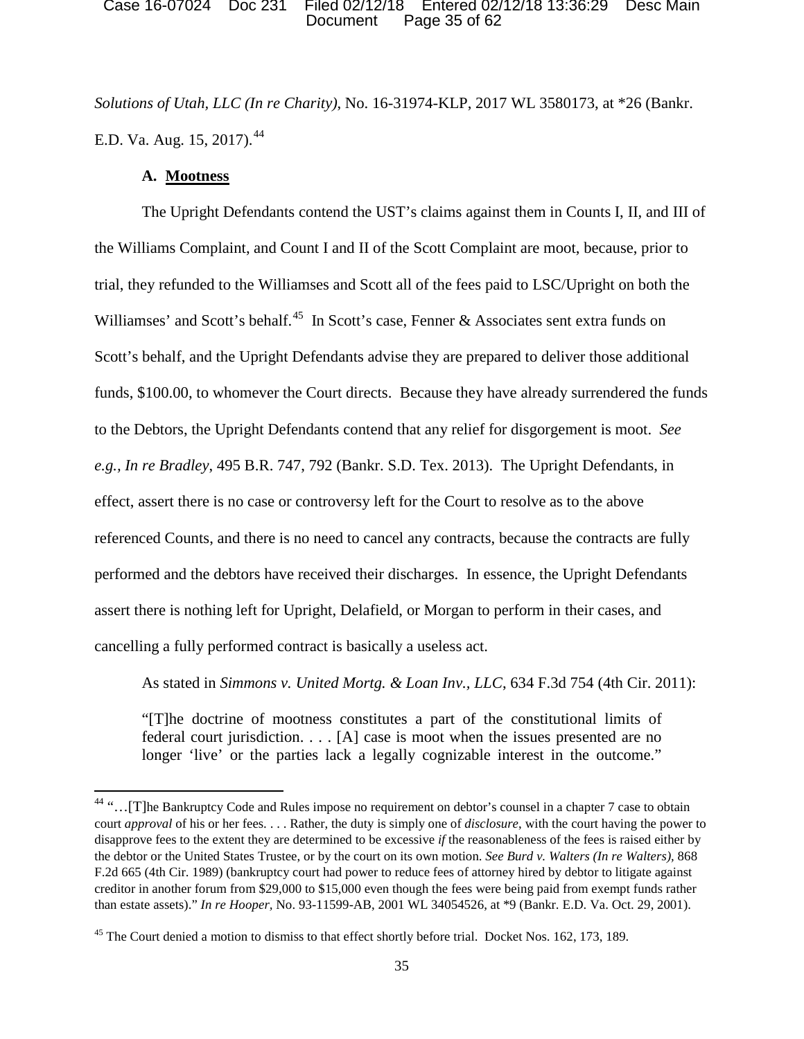### Document Page 35 of 62 Case 16-07024 Doc 231 Filed 02/12/18 Entered 02/12/18 13:36:29 Desc Main

*Solutions of Utah, LLC (In re Charity)*, No. 16-31974-KLP, 2017 WL 3580173, at \*26 (Bankr. E.D. Va. Aug. 15, 2017).<sup>44</sup>

## **A. Mootness**

l

The Upright Defendants contend the UST's claims against them in Counts I, II, and III of the Williams Complaint, and Count I and II of the Scott Complaint are moot, because, prior to trial, they refunded to the Williamses and Scott all of the fees paid to LSC/Upright on both the Williamses' and Scott's behalf.<sup>45</sup> In Scott's case, Fenner & Associates sent extra funds on Scott's behalf, and the Upright Defendants advise they are prepared to deliver those additional funds, \$100.00, to whomever the Court directs. Because they have already surrendered the funds to the Debtors, the Upright Defendants contend that any relief for disgorgement is moot. *See e.g., In re Bradley*, 495 B.R. 747, 792 (Bankr. S.D. Tex. 2013). The Upright Defendants, in effect, assert there is no case or controversy left for the Court to resolve as to the above referenced Counts, and there is no need to cancel any contracts, because the contracts are fully performed and the debtors have received their discharges. In essence, the Upright Defendants assert there is nothing left for Upright, Delafield, or Morgan to perform in their cases, and cancelling a fully performed contract is basically a useless act.

As stated in *Simmons v. United Mortg. & Loan Inv., LLC*, 634 F.3d 754 (4th Cir. 2011):

"[T]he doctrine of mootness constitutes a part of the constitutional limits of federal court jurisdiction. . . . [A] case is moot when the issues presented are no longer 'live' or the parties lack a legally cognizable interest in the outcome."

<sup>&</sup>lt;sup>44</sup> "...[T]he Bankruptcy Code and Rules impose no requirement on debtor's counsel in a chapter 7 case to obtain court *approval* of his or her fees. . . . Rather, the duty is simply one of *disclosure*, with the court having the power to disapprove fees to the extent they are determined to be excessive *if* the reasonableness of the fees is raised either by the debtor or the United States Trustee, or by the court on its own motion. *See Burd v. Walters (In re Walters),* 868 F.2d 665 (4th Cir. 1989) (bankruptcy court had power to reduce fees of attorney hired by debtor to litigate against creditor in another forum from \$29,000 to \$15,000 even though the fees were being paid from exempt funds rather than estate assets)." *In re Hooper,* No. 93-11599-AB, 2001 WL 34054526, at \*9 (Bankr. E.D. Va. Oct. 29, 2001).

<sup>&</sup>lt;sup>45</sup> The Court denied a motion to dismiss to that effect shortly before trial. Docket Nos. 162, 173, 189.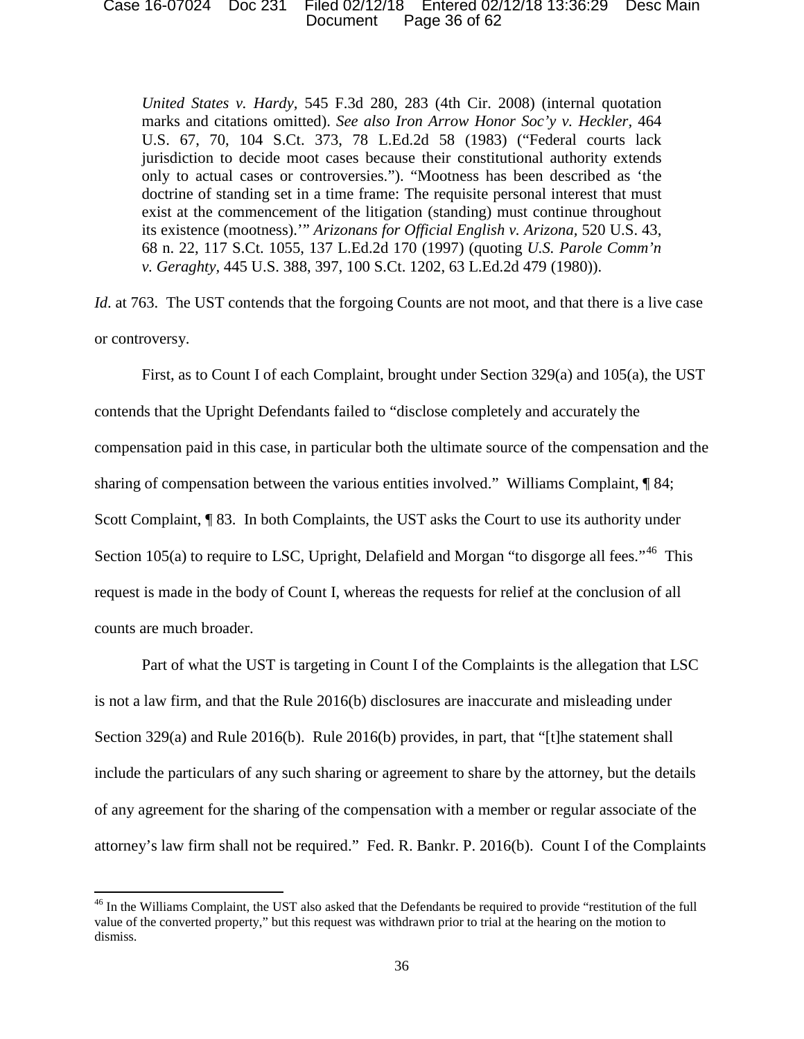### Document Page 36 of 62 Case 16-07024 Doc 231 Filed 02/12/18 Entered 02/12/18 13:36:29 Desc Main

*United States v. Hardy,* 545 F.3d 280, 283 (4th Cir. 2008) (internal quotation marks and citations omitted). *See also Iron Arrow Honor Soc'y v. Heckler,* 464 U.S. 67, 70, 104 S.Ct. 373, 78 L.Ed.2d 58 (1983) ("Federal courts lack jurisdiction to decide moot cases because their constitutional authority extends only to actual cases or controversies."). "Mootness has been described as 'the doctrine of standing set in a time frame: The requisite personal interest that must exist at the commencement of the litigation (standing) must continue throughout its existence (mootness).'" *Arizonans for Official English v. Arizona,* 520 U.S. 43, 68 n. 22, 117 S.Ct. 1055, 137 L.Ed.2d 170 (1997) (quoting *U.S. Parole Comm'n v. Geraghty,* 445 U.S. 388, 397, 100 S.Ct. 1202, 63 L.Ed.2d 479 (1980)).

*Id.* at 763. The UST contends that the forgoing Counts are not moot, and that there is a live case or controversy.

First, as to Count I of each Complaint, brought under Section 329(a) and 105(a), the UST contends that the Upright Defendants failed to "disclose completely and accurately the compensation paid in this case, in particular both the ultimate source of the compensation and the sharing of compensation between the various entities involved." Williams Complaint, ¶ 84; Scott Complaint,  $\lceil 83 \rceil$ . In both Complaints, the UST asks the Court to use its authority under Section 105(a) to require to LSC, Upright, Delafield and Morgan "to disgorge all fees."<sup>46</sup> This request is made in the body of Count I, whereas the requests for relief at the conclusion of all counts are much broader.

Part of what the UST is targeting in Count I of the Complaints is the allegation that LSC is not a law firm, and that the Rule 2016(b) disclosures are inaccurate and misleading under Section 329(a) and Rule 2016(b). Rule 2016(b) provides, in part, that "[t]he statement shall include the particulars of any such sharing or agreement to share by the attorney, but the details of any agreement for the sharing of the compensation with a member or regular associate of the attorney's law firm shall not be required." Fed. R. Bankr. P. 2016(b). Count I of the Complaints

<sup>&</sup>lt;sup>46</sup> In the Williams Complaint, the UST also asked that the Defendants be required to provide "restitution of the full value of the converted property," but this request was withdrawn prior to trial at the hearing on the motion to dismiss.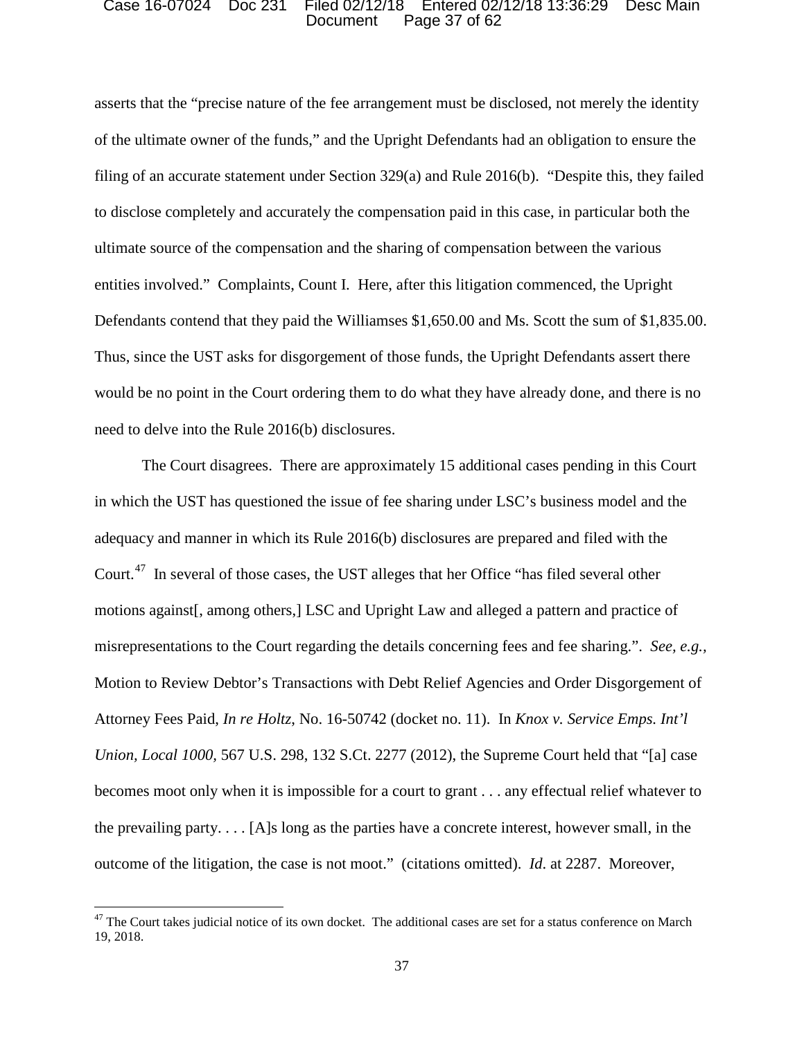### Document Page 37 of 62 Case 16-07024 Doc 231 Filed 02/12/18 Entered 02/12/18 13:36:29 Desc Main

asserts that the "precise nature of the fee arrangement must be disclosed, not merely the identity of the ultimate owner of the funds," and the Upright Defendants had an obligation to ensure the filing of an accurate statement under Section 329(a) and Rule 2016(b). "Despite this, they failed to disclose completely and accurately the compensation paid in this case, in particular both the ultimate source of the compensation and the sharing of compensation between the various entities involved." Complaints, Count I. Here, after this litigation commenced, the Upright Defendants contend that they paid the Williamses \$1,650.00 and Ms. Scott the sum of \$1,835.00. Thus, since the UST asks for disgorgement of those funds, the Upright Defendants assert there would be no point in the Court ordering them to do what they have already done, and there is no need to delve into the Rule 2016(b) disclosures.

 The Court disagrees. There are approximately 15 additional cases pending in this Court Court.<sup>47</sup> In several of those cases, the UST alleges that her Office "has filed several other motions against[, among others,] LSC and Upright Law and alleged a pattern and practice of misrepresentations to the Court regarding the details concerning fees and fee sharing.". *See, e.g.,*  Attorney Fees Paid, *In re Holtz*, No. 16-50742 (docket no. 11). In *Knox v. Service Emps. Int'l*  outcome of the litigation, the case is not moot." (citations omitted). *Id*. at 2287. Moreover, in which the UST has questioned the issue of fee sharing under LSC's business model and the adequacy and manner in which its Rule 2016(b) disclosures are prepared and filed with the Motion to Review Debtor's Transactions with Debt Relief Agencies and Order Disgorgement of *Union, Local 1000,* 567 U.S. 298, 132 S.Ct. 2277 (2012), the Supreme Court held that "[a] case becomes moot only when it is impossible for a court to grant . . . any effectual relief whatever to the prevailing party. . . . [A]s long as the parties have a concrete interest, however small, in the

 $47$  The Court takes judicial notice of its own docket. The additional cases are set for a status conference on March 19, 2018.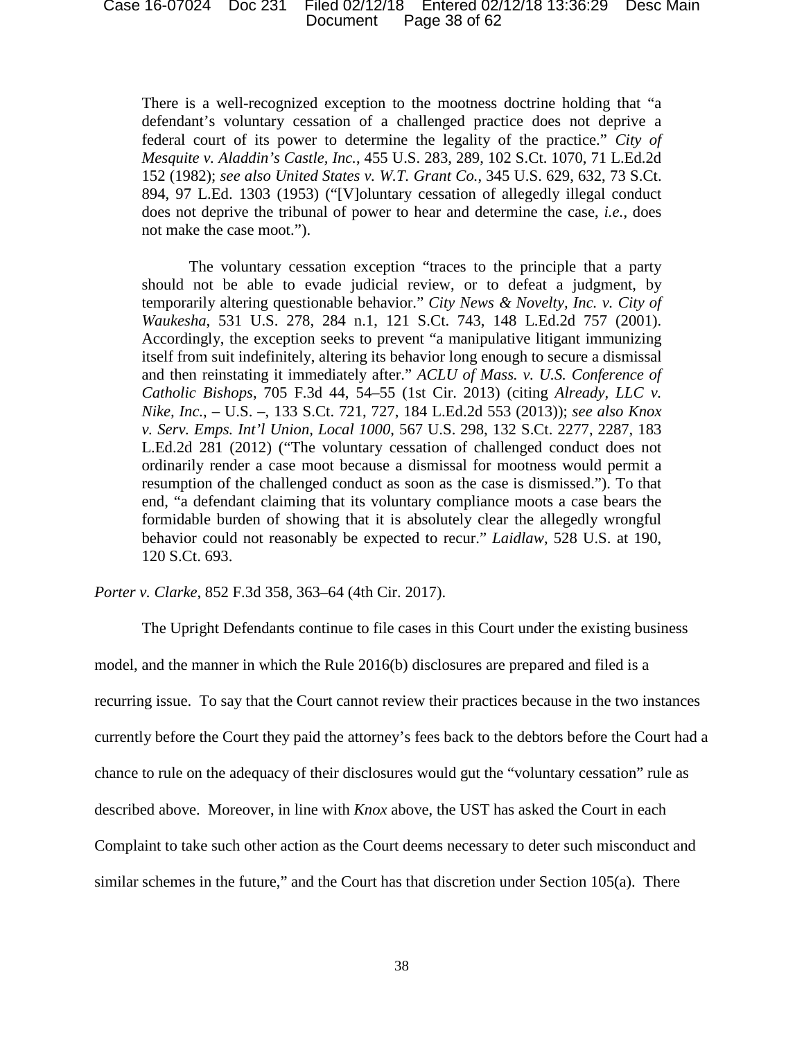### Document Page 38 of 62 Case 16-07024 Doc 231 Filed 02/12/18 Entered 02/12/18 13:36:29 Desc Main

 There is a well-recognized exception to the mootness doctrine holding that "a defendant's voluntary cessation of a challenged practice does not deprive a 894, 97 L.Ed. 1303 (1953) ("[V]oluntary cessation of allegedly illegal conduct not make the case moot."). federal court of its power to determine the legality of the practice." *City of Mesquite v. Aladdin's Castle, Inc.*, 455 U.S. 283, 289, 102 S.Ct. 1070, 71 L.Ed.2d 152 (1982); *see also United States v. W.T. Grant Co.*, 345 U.S. 629, 632, 73 S.Ct. does not deprive the tribunal of power to hear and determine the case, *i.e.*, does

 temporarily altering questionable behavior." *City News & Novelty, Inc. v. City of*  ordinarily render a case moot because a dismissal for mootness would permit a resumption of the challenged conduct as soon as the case is dismissed."). To that The voluntary cessation exception "traces to the principle that a party should not be able to evade judicial review, or to defeat a judgment, by *Waukesha*, 531 U.S. 278, 284 n.1, 121 S.Ct. 743, 148 L.Ed.2d 757 (2001). Accordingly, the exception seeks to prevent "a manipulative litigant immunizing itself from suit indefinitely, altering its behavior long enough to secure a dismissal and then reinstating it immediately after." *ACLU of Mass. v. U.S. Conference of Catholic Bishops*, 705 F.3d 44, 54–55 (1st Cir. 2013) (citing *Already, LLC v. Nike, Inc.*, – U.S. –, 133 S.Ct. 721, 727, 184 L.Ed.2d 553 (2013)); *see also Knox v. Serv. Emps. Int'l Union, Local 1000*, 567 U.S. 298, 132 S.Ct. 2277, 2287, 183 L.Ed.2d 281 (2012) ("The voluntary cessation of challenged conduct does not end, "a defendant claiming that its voluntary compliance moots a case bears the formidable burden of showing that it is absolutely clear the allegedly wrongful behavior could not reasonably be expected to recur." *Laidlaw*, 528 U.S. at 190, 120 S.Ct. 693.

*Porter v. Clarke*, 852 F.3d 358, 363–64 (4th Cir. 2017).

The Upright Defendants continue to file cases in this Court under the existing business

 currently before the Court they paid the attorney's fees back to the debtors before the Court had a chance to rule on the adequacy of their disclosures would gut the "voluntary cessation" rule as model, and the manner in which the Rule 2016(b) disclosures are prepared and filed is a recurring issue. To say that the Court cannot review their practices because in the two instances described above. Moreover, in line with *Knox* above, the UST has asked the Court in each Complaint to take such other action as the Court deems necessary to deter such misconduct and similar schemes in the future," and the Court has that discretion under Section 105(a). There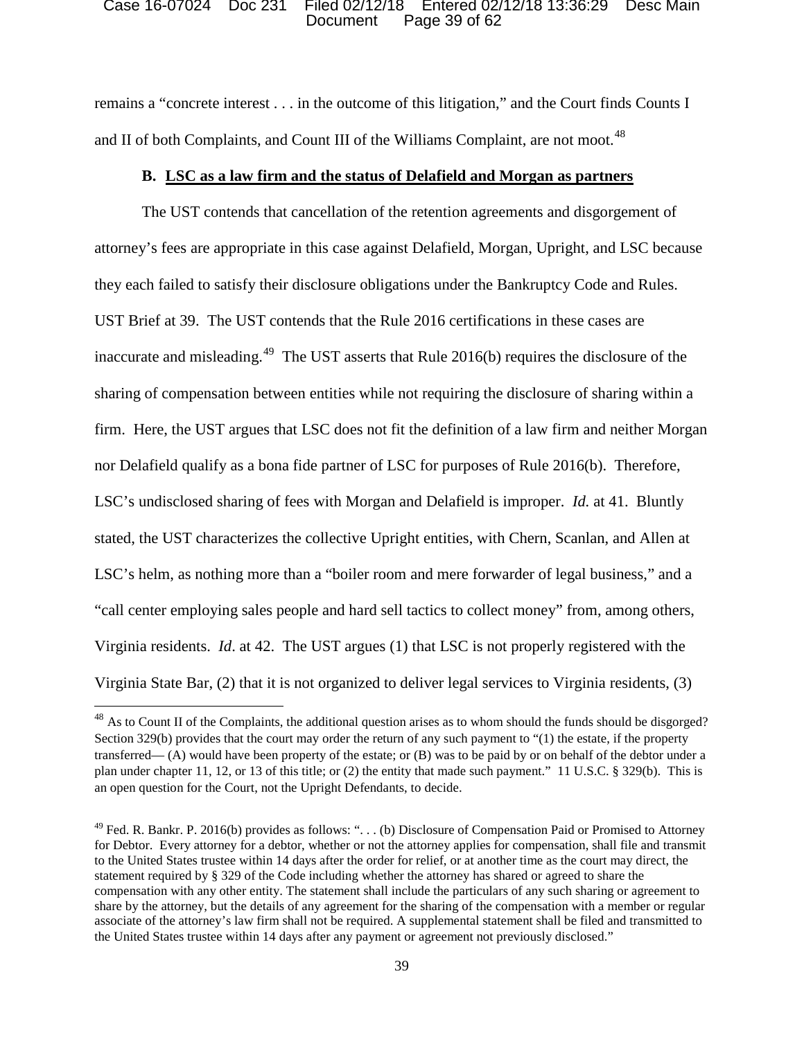### Document Page 39 of 62 Case 16-07024 Doc 231 Filed 02/12/18 Entered 02/12/18 13:36:29 Desc Main

remains a "concrete interest . . . in the outcome of this litigation," and the Court finds Counts I and II of both Complaints, and Count III of the Williams Complaint, are not moot.<sup>48</sup>

# **B. LSC as a law firm and the status of Delafield and Morgan as partners**

The UST contends that cancellation of the retention agreements and disgorgement of attorney's fees are appropriate in this case against Delafield, Morgan, Upright, and LSC because they each failed to satisfy their disclosure obligations under the Bankruptcy Code and Rules. UST Brief at 39. The UST contends that the Rule 2016 certifications in these cases are inaccurate and misleading.<sup>49</sup> The UST asserts that Rule 2016(b) requires the disclosure of the sharing of compensation between entities while not requiring the disclosure of sharing within a firm. Here, the UST argues that LSC does not fit the definition of a law firm and neither Morgan nor Delafield qualify as a bona fide partner of LSC for purposes of Rule 2016(b). Therefore, LSC's undisclosed sharing of fees with Morgan and Delafield is improper. *Id.* at 41. Bluntly stated, the UST characterizes the collective Upright entities, with Chern, Scanlan, and Allen at LSC's helm, as nothing more than a "boiler room and mere forwarder of legal business," and a "call center employing sales people and hard sell tactics to collect money" from, among others, Virginia residents. *Id*. at 42. The UST argues (1) that LSC is not properly registered with the Virginia State Bar, (2) that it is not organized to deliver legal services to Virginia residents, (3)

<sup>&</sup>lt;sup>48</sup> As to Count II of the Complaints, the additional question arises as to whom should the funds should be disgorged? Section 329(b) provides that the court may order the return of any such payment to "(1) the estate, if the property transferred— (A) would have been property of the estate; or (B) was to be paid by or on behalf of the debtor under a plan under chapter 11, 12, or 13 of this title; or (2) the entity that made such payment." 11 U.S.C. § 329(b). This is an open question for the Court, not the Upright Defendants, to decide.

<sup>&</sup>lt;sup>49</sup> Fed. R. Bankr. P. 2016(b) provides as follows: "... (b) Disclosure of Compensation Paid or Promised to Attorney for Debtor. Every attorney for a debtor, whether or not the attorney applies for compensation, shall file and transmit to the United States trustee within 14 days after the order for relief, or at another time as the court may direct, the statement required by § 329 of the Code including whether the attorney has shared or agreed to share the compensation with any other entity. The statement shall include the particulars of any such sharing or agreement to share by the attorney, but the details of any agreement for the sharing of the compensation with a member or regular associate of the attorney's law firm shall not be required. A supplemental statement shall be filed and transmitted to the United States trustee within 14 days after any payment or agreement not previously disclosed."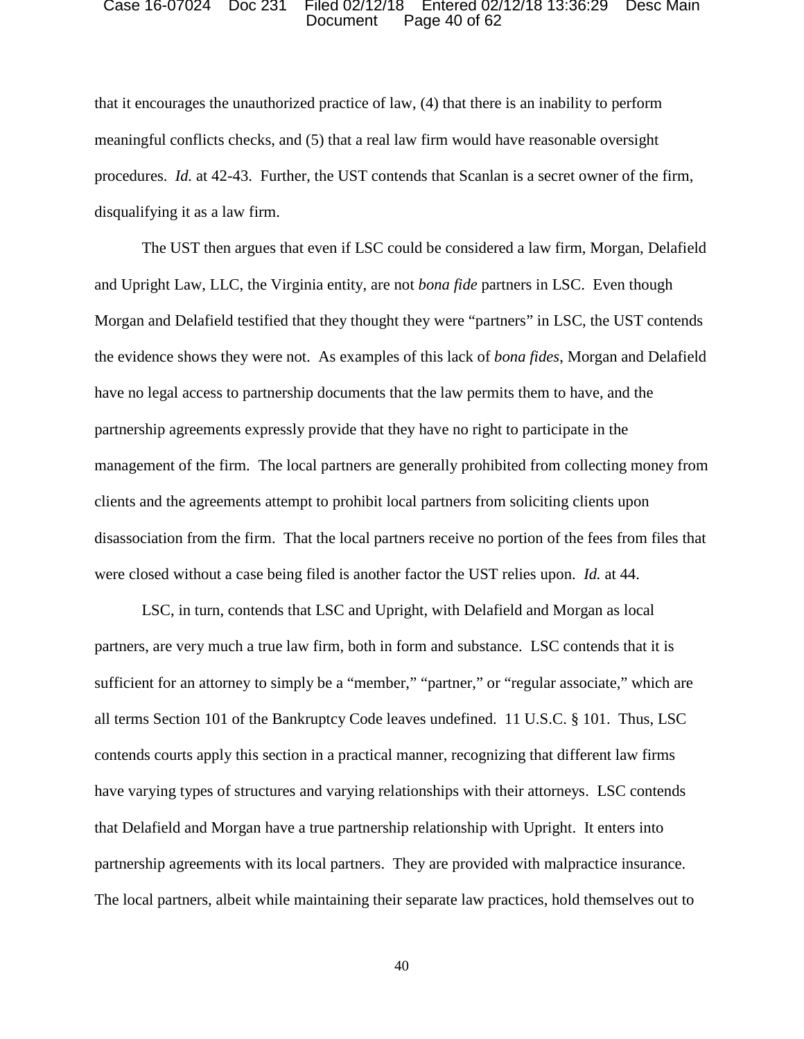### Document Page 40 of 62 Case 16-07024 Doc 231 Filed 02/12/18 Entered 02/12/18 13:36:29 Desc Main

 procedures. *Id.* at 42-43. Further, the UST contends that Scanlan is a secret owner of the firm, disqualifying it as a law firm. that it encourages the unauthorized practice of law, (4) that there is an inability to perform meaningful conflicts checks, and (5) that a real law firm would have reasonable oversight

 and Upright Law, LLC, the Virginia entity, are not *bona fide* partners in LSC. Even though partnership agreements expressly provide that they have no right to participate in the clients and the agreements attempt to prohibit local partners from soliciting clients upon were closed without a case being filed is another factor the UST relies upon. *Id.* at 44. The UST then argues that even if LSC could be considered a law firm, Morgan, Delafield Morgan and Delafield testified that they thought they were "partners" in LSC, the UST contends the evidence shows they were not. As examples of this lack of *bona fides*, Morgan and Delafield have no legal access to partnership documents that the law permits them to have, and the management of the firm. The local partners are generally prohibited from collecting money from disassociation from the firm. That the local partners receive no portion of the fees from files that

sufficient for an attorney to simply be a "member," "partner," or "regular associate," which are partnership agreements with its local partners. They are provided with malpractice insurance. LSC, in turn, contends that LSC and Upright, with Delafield and Morgan as local partners, are very much a true law firm, both in form and substance. LSC contends that it is all terms Section 101 of the Bankruptcy Code leaves undefined. 11 U.S.C. § 101. Thus, LSC contends courts apply this section in a practical manner, recognizing that different law firms have varying types of structures and varying relationships with their attorneys. LSC contends that Delafield and Morgan have a true partnership relationship with Upright. It enters into The local partners, albeit while maintaining their separate law practices, hold themselves out to

40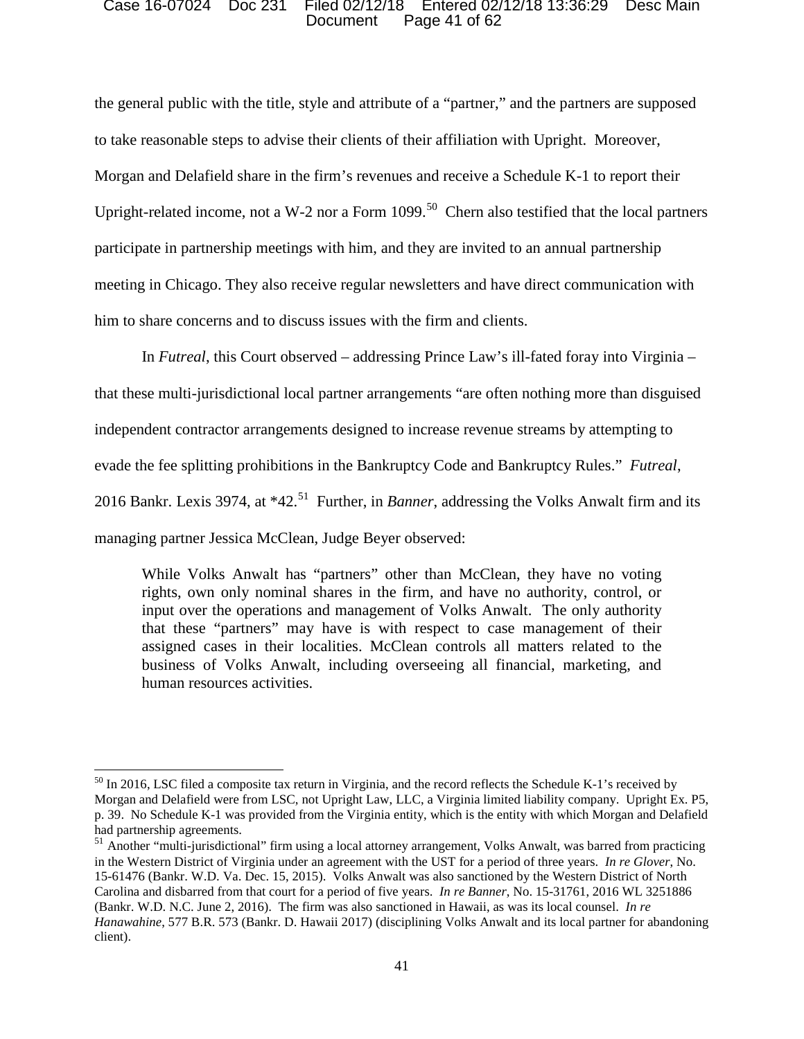### Document Page 41 of 62 Case 16-07024 Doc 231 Filed 02/12/18 Entered 02/12/18 13:36:29 Desc Main

 to take reasonable steps to advise their clients of their affiliation with Upright. Moreover, Upright-related income, not a W-2 nor a Form  $1099$ .<sup>50</sup> Chern also testified that the local partners the general public with the title, style and attribute of a "partner," and the partners are supposed Morgan and Delafield share in the firm's revenues and receive a Schedule K-1 to report their participate in partnership meetings with him, and they are invited to an annual partnership meeting in Chicago. They also receive regular newsletters and have direct communication with him to share concerns and to discuss issues with the firm and clients.

In *Futreal*, this Court observed – addressing Prince Law's ill-fated foray into Virginia –

that these multi-jurisdictional local partner arrangements "are often nothing more than disguised

independent contractor arrangements designed to increase revenue streams by attempting to

evade the fee splitting prohibitions in the Bankruptcy Code and Bankruptcy Rules." *Futreal*,

2016 Bankr. Lexis 3974, at \*42.<sup>51</sup> Further, in *Banner*, addressing the Volks Anwalt firm and its

managing partner Jessica McClean, Judge Beyer observed:

l

 that these "partners" may have is with respect to case management of their assigned cases in their localities. McClean controls all matters related to the While Volks Anwalt has "partners" other than McClean, they have no voting rights, own only nominal shares in the firm, and have no authority, control, or input over the operations and management of Volks Anwalt. The only authority business of Volks Anwalt, including overseeing all financial, marketing, and human resources activities.

 Morgan and Delafield were from LSC, not Upright Law, LLC, a Virginia limited liability company. Upright Ex. P5, p. 39. No Schedule K-1 was provided from the Virginia entity, which is the entity with which Morgan and Delafield had partnership agreements.  $50$  In 2016, LSC filed a composite tax return in Virginia, and the record reflects the Schedule K-1's received by

<sup>&</sup>lt;sup>51</sup> Another "multi-jurisdictional" firm using a local attorney arrangement, Volks Anwalt, was barred from practicing in the Western District of Virginia under an agreement with the UST for a period of three years. *In re Glover*, No. Carolina and disbarred from that court for a period of five years. *In re Banner*, No. 15-31761, 2016 WL 3251886 (Bankr. W.D. N.C. June 2, 2016). The firm was also sanctioned in Hawaii, as was its local counsel. *In re*  client). 15-61476 (Bankr. W.D. Va. Dec. 15, 2015). Volks Anwalt was also sanctioned by the Western District of North *Hanawahine*, 577 B.R. 573 (Bankr. D. Hawaii 2017) (disciplining Volks Anwalt and its local partner for abandoning client). 41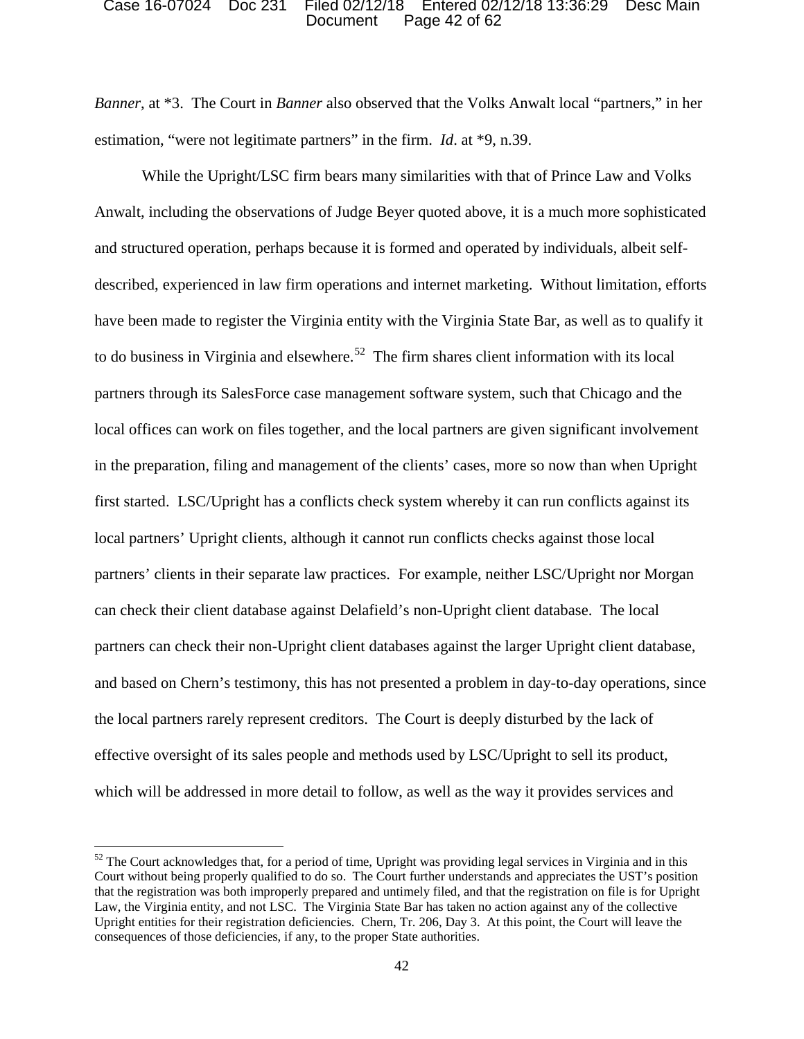### Document Page 42 of 62 Case 16-07024 Doc 231 Filed 02/12/18 Entered 02/12/18 13:36:29 Desc Main

 estimation, "were not legitimate partners" in the firm. *Id*. at \*9, n.39. *Banner*, at \*3. The Court in *Banner* also observed that the Volks Anwalt local "partners," in her

 and structured operation, perhaps because it is formed and operated by individuals, albeit self- described, experienced in law firm operations and internet marketing. Without limitation, efforts to do business in Virginia and elsewhere.<sup>52</sup> The firm shares client information with its local first started. LSC/Upright has a conflicts check system whereby it can run conflicts against its the local partners rarely represent creditors. The Court is deeply disturbed by the lack of While the Upright/LSC firm bears many similarities with that of Prince Law and Volks Anwalt, including the observations of Judge Beyer quoted above, it is a much more sophisticated have been made to register the Virginia entity with the Virginia State Bar, as well as to qualify it partners through its SalesForce case management software system, such that Chicago and the local offices can work on files together, and the local partners are given significant involvement in the preparation, filing and management of the clients' cases, more so now than when Upright local partners' Upright clients, although it cannot run conflicts checks against those local partners' clients in their separate law practices. For example, neither LSC/Upright nor Morgan can check their client database against Delafield's non-Upright client database. The local partners can check their non-Upright client databases against the larger Upright client database, and based on Chern's testimony, this has not presented a problem in day-to-day operations, since effective oversight of its sales people and methods used by LSC/Upright to sell its product, which will be addressed in more detail to follow, as well as the way it provides services and

 Court without being properly qualified to do so. The Court further understands and appreciates the UST's position  $52$  The Court acknowledges that, for a period of time, Upright was providing legal services in Virginia and in this that the registration was both improperly prepared and untimely filed, and that the registration on file is for Upright Law, the Virginia entity, and not LSC. The Virginia State Bar has taken no action against any of the collective Upright entities for their registration deficiencies. Chern, Tr. 206, Day 3. At this point, the Court will leave the consequences of those deficiencies, if any, to the proper State authorities.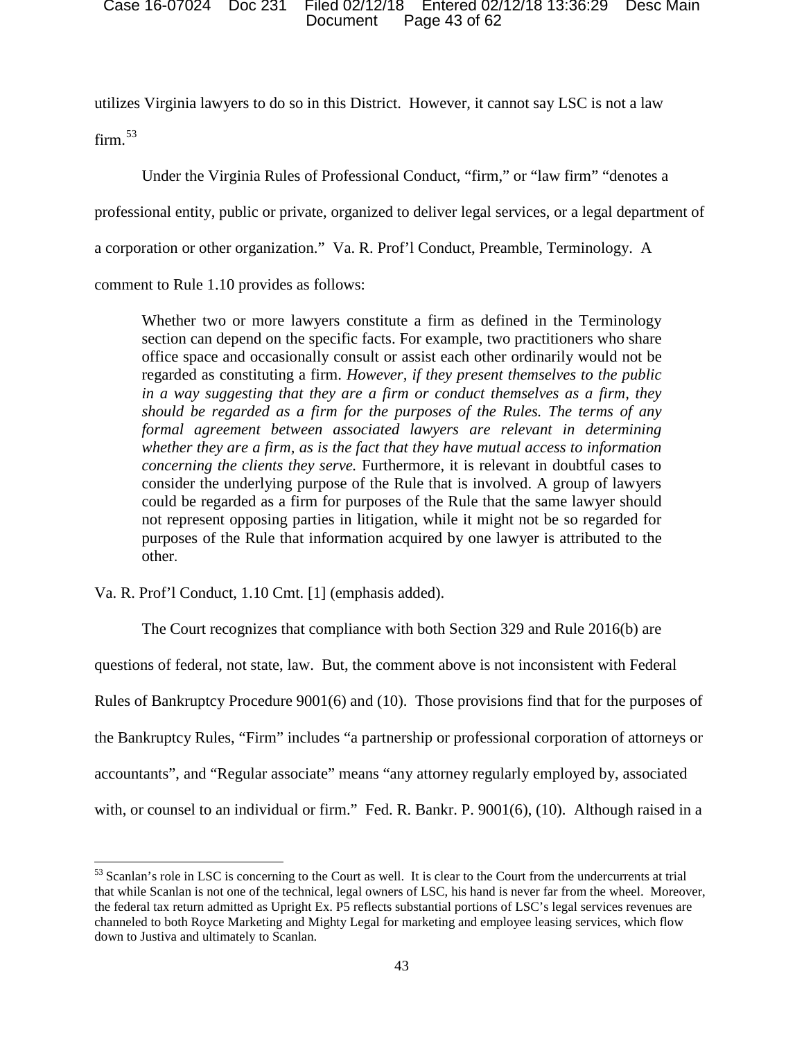### Document Page 43 of 62 Case 16-07024 Doc 231 Filed 02/12/18 Entered 02/12/18 13:36:29 Desc Main

 utilizes Virginia lawyers to do so in this District. However, it cannot say LSC is not a law  $firm.<sup>53</sup>$ 

Under the Virginia Rules of Professional Conduct, "firm," or "law firm" "denotes a

professional entity, public or private, organized to deliver legal services, or a legal department of

a corporation or other organization." Va. R. Prof'l Conduct, Preamble, Terminology. A

comment to Rule 1.10 provides as follows:

 could be regarded as a firm for purposes of the Rule that the same lawyer should other. Whether two or more lawyers constitute a firm as defined in the Terminology section can depend on the specific facts. For example, two practitioners who share office space and occasionally consult or assist each other ordinarily would not be regarded as constituting a firm. *However, if they present themselves to the public in a way suggesting that they are a firm or conduct themselves as a firm, they should be regarded as a firm for the purposes of the Rules. The terms of any formal agreement between associated lawyers are relevant in determining whether they are a firm, as is the fact that they have mutual access to information concerning the clients they serve.* Furthermore, it is relevant in doubtful cases to consider the underlying purpose of the Rule that is involved. A group of lawyers not represent opposing parties in litigation, while it might not be so regarded for purposes of the Rule that information acquired by one lawyer is attributed to the

Va. R. Prof'l Conduct, 1.10 Cmt. [1] (emphasis added).

 $\overline{\phantom{a}}$ 

 Rules of Bankruptcy Procedure 9001(6) and (10). Those provisions find that for the purposes of with, or counsel to an individual or firm." Fed. R. Bankr. P. 9001(6), (10). Although raised in a The Court recognizes that compliance with both Section 329 and Rule 2016(b) are questions of federal, not state, law. But, the comment above is not inconsistent with Federal the Bankruptcy Rules, "Firm" includes "a partnership or professional corporation of attorneys or accountants", and "Regular associate" means "any attorney regularly employed by, associated

 $53$  Scanlan's role in LSC is concerning to the Court as well. It is clear to the Court from the undercurrents at trial that while Scanlan is not one of the technical, legal owners of LSC, his hand is never far from the wheel. Moreover, channeled to both Royce Marketing and Mighty Legal for marketing and employee leasing services, which flow down to Justiva and ultimately to Scanlan. the federal tax return admitted as Upright Ex. P5 reflects substantial portions of LSC's legal services revenues are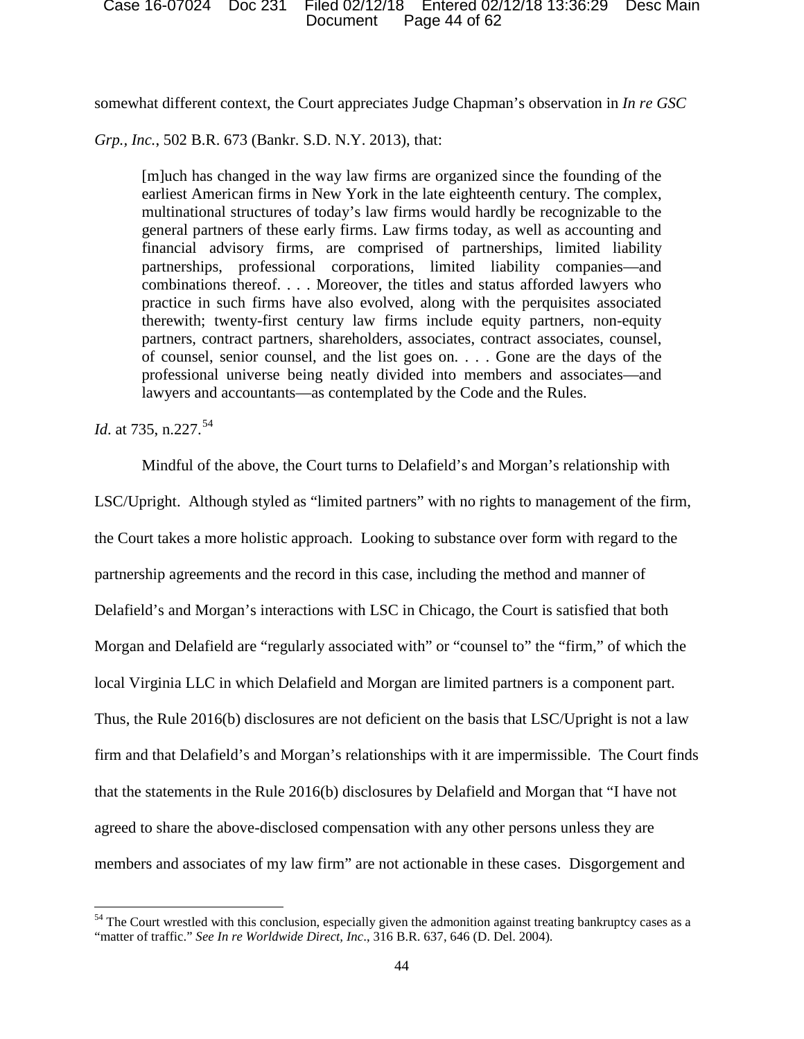Document Page 44 of 62 Case 16-07024 Doc 231 Filed 02/12/18 Entered 02/12/18 13:36:29 Desc Main

somewhat different context, the Court appreciates Judge Chapman's observation in *In re GSC* 

*Grp., Inc.*, 502 B.R. 673 (Bankr. S.D. N.Y. 2013), that:

 [m]uch has changed in the way law firms are organized since the founding of the practice in such firms have also evolved, along with the perquisites associated therewith; twenty-first century law firms include equity partners, non-equity earliest American firms in New York in the late eighteenth century. The complex, multinational structures of today's law firms would hardly be recognizable to the general partners of these early firms. Law firms today, as well as accounting and financial advisory firms, are comprised of partnerships, limited liability partnerships, professional corporations, limited liability companies—and combinations thereof. . . . Moreover, the titles and status afforded lawyers who partners, contract partners, shareholders, associates, contract associates, counsel, of counsel, senior counsel, and the list goes on. . . . Gone are the days of the professional universe being neatly divided into members and associates—and lawyers and accountants—as contemplated by the Code and the Rules.

*Id.* at 735, n.227.<sup>54</sup>

l

Mindful of the above, the Court turns to Delafield's and Morgan's relationship with

 the Court takes a more holistic approach. Looking to substance over form with regard to the Morgan and Delafield are "regularly associated with" or "counsel to" the "firm," of which the local Virginia LLC in which Delafield and Morgan are limited partners is a component part. agreed to share the above-disclosed compensation with any other persons unless they are LSC/Upright. Although styled as "limited partners" with no rights to management of the firm, partnership agreements and the record in this case, including the method and manner of Delafield's and Morgan's interactions with LSC in Chicago, the Court is satisfied that both Thus, the Rule 2016(b) disclosures are not deficient on the basis that LSC/Upright is not a law firm and that Delafield's and Morgan's relationships with it are impermissible. The Court finds that the statements in the Rule 2016(b) disclosures by Delafield and Morgan that "I have not members and associates of my law firm" are not actionable in these cases. Disgorgement and

<sup>&</sup>lt;sup>54</sup> The Court wrestled with this conclusion, especially given the admonition against treating bankruptcy cases as a "matter of traffic." *See In re Worldwide Direct, Inc.*, 316 B.R. 637, 646 (D. Del. 2004).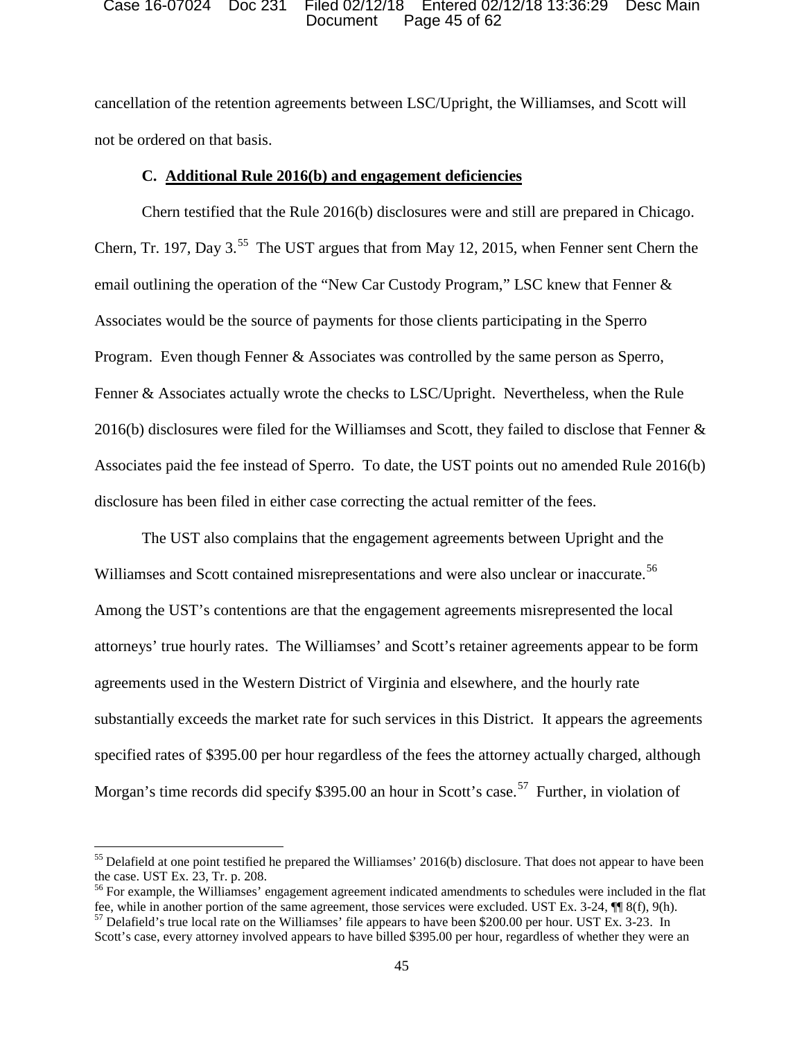### Document Page 45 of 62 Case 16-07024 Doc 231 Filed 02/12/18 Entered 02/12/18 13:36:29 Desc Main

cancellation of the retention agreements between LSC/Upright, the Williamses, and Scott will not be ordered on that basis.

## **C. Additional Rule 2016(b) and engagement deficiencies**

Chern testified that the Rule 2016(b) disclosures were and still are prepared in Chicago. Chern, Tr. 197, Day  $3.^{55}$  The UST argues that from May 12, 2015, when Fenner sent Chern the email outlining the operation of the "New Car Custody Program," LSC knew that Fenner & Associates would be the source of payments for those clients participating in the Sperro Program. Even though Fenner & Associates was controlled by the same person as Sperro, Fenner & Associates actually wrote the checks to LSC/Upright. Nevertheless, when the Rule 2016(b) disclosures were filed for the Williamses and Scott, they failed to disclose that Fenner  $\&$ Associates paid the fee instead of Sperro. To date, the UST points out no amended Rule 2016(b) disclosure has been filed in either case correcting the actual remitter of the fees.

The UST also complains that the engagement agreements between Upright and the Williamses and Scott contained misrepresentations and were also unclear or inaccurate.<sup>56</sup> Among the UST's contentions are that the engagement agreements misrepresented the local attorneys' true hourly rates. The Williamses' and Scott's retainer agreements appear to be form agreements used in the Western District of Virginia and elsewhere, and the hourly rate substantially exceeds the market rate for such services in this District. It appears the agreements specified rates of \$395.00 per hour regardless of the fees the attorney actually charged, although Morgan's time records did specify \$395.00 an hour in Scott's case.<sup>57</sup> Further, in violation of

**.** 

the case. UST Ex. 23, Tr. p. 208.  $<sup>55</sup>$  Delafield at one point testified he prepared the Williamses' 2016(b) disclosure. That does not appear to have been</sup>

 $56$  For example, the Williamses' engagement agreement indicated amendments to schedules were included in the flat fee, while in another portion of the same agreement, those services were excluded. UST Ex. 3-24,  $\P$  8(f), 9(h). <sup>57</sup> Delafield's true local rate on the Williamses' file appears to have been \$200.00 per hour. UST Ex. 3-23.

 Scott's case, every attorney involved appears to have billed \$395.00 per hour, regardless of whether they were an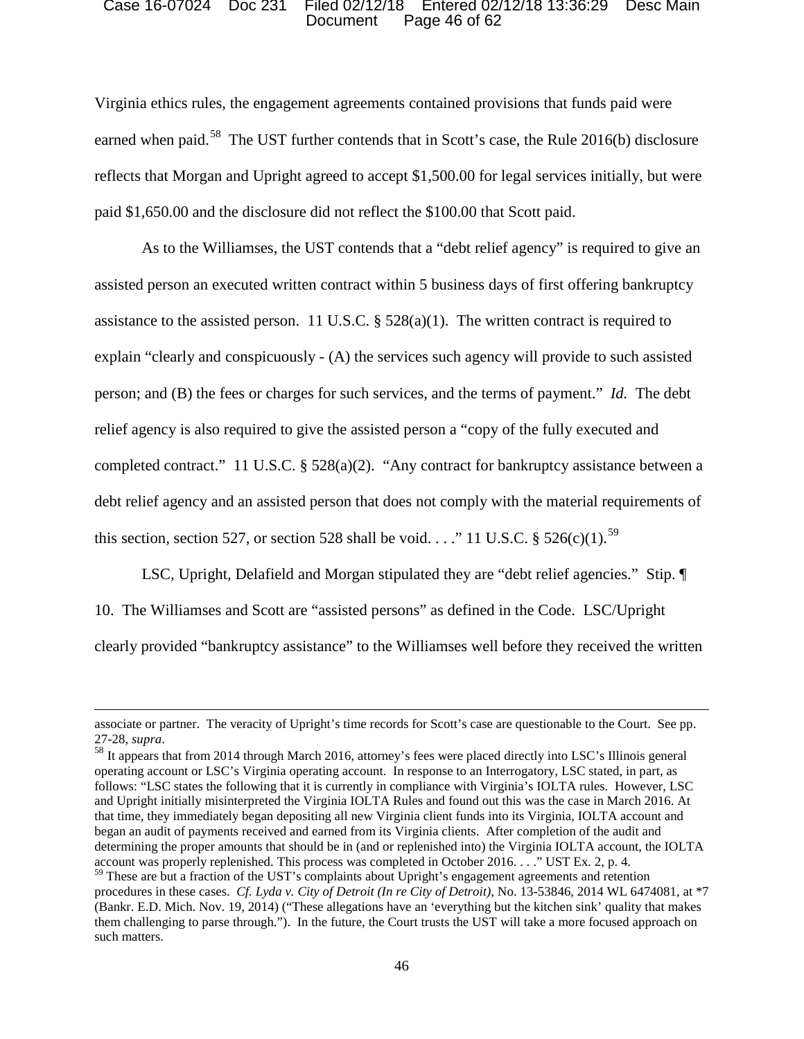### Document Page 46 of 62 Case 16-07024 Doc 231 Filed 02/12/18 Entered 02/12/18 13:36:29 Desc Main

 Virginia ethics rules, the engagement agreements contained provisions that funds paid were earned when paid.<sup>58</sup> The UST further contends that in Scott's case, the Rule 2016(b) disclosure paid \$1,650.00 and the disclosure did not reflect the \$100.00 that Scott paid. reflects that Morgan and Upright agreed to accept \$1,500.00 for legal services initially, but were

 explain "clearly and conspicuously - (A) the services such agency will provide to such assisted person; and (B) the fees or charges for such services, and the terms of payment." *Id.* The debt completed contract." 11 U.S.C. § 528(a)(2). "Any contract for bankruptcy assistance between a debt relief agency and an assisted person that does not comply with the material requirements of As to the Williamses, the UST contends that a "debt relief agency" is required to give an assisted person an executed written contract within 5 business days of first offering bankruptcy assistance to the assisted person. 11 U.S.C.  $\S$  528(a)(1). The written contract is required to relief agency is also required to give the assisted person a "copy of the fully executed and this section, section 527, or section 528 shall be void. . . ." 11 U.S.C.  $\S$  526(c)(1).<sup>59</sup>

LSC, Upright, Delafield and Morgan stipulated they are "debt relief agencies." Stip. ¶ 10. The Williamses and Scott are "assisted persons" as defined in the Code. LSC/Upright clearly provided "bankruptcy assistance" to the Williamses well before they received the written

 $\overline{\phantom{a}}$ 

27-28, *supra*.<br><sup>58</sup> It appears that from 2014 through March 2016, attorney's fees were placed directly into LSC's Illinois general that time, they immediately began depositing all new Virginia client funds into its Virginia, IOLTA account and began an audit of payments received and earned from its Virginia clients. After completion of the audit and account was properly replenished. This process was completed in October 2016. . . ." UST Ex. 2, p. 4. operating account or LSC's Virginia operating account. In response to an Interrogatory, LSC stated, in part, as follows: "LSC states the following that it is currently in compliance with Virginia's IOLTA rules. However, LSC and Upright initially misinterpreted the Virginia IOLTA Rules and found out this was the case in March 2016. At determining the proper amounts that should be in (and or replenished into) the Virginia IOLTA account, the IOLTA

 associate or partner. The veracity of Upright's time records for Scott's case are questionable to the Court. See pp. 27-28, supra.

 procedures in these cases. *Cf. Lyda v. City of Detroit (In re City of Detroit)*, No. 13-53846, 2014 WL 6474081, at \*7 (Bankr. E.D. Mich. Nov. 19, 2014) ("These allegations have an 'everything but the kitchen sink' quality that makes them challenging to parse through."). In the future, the Court trusts the UST will take a more focused approach on such matters. <sup>59</sup> These are but a fraction of the UST's complaints about Upright's engagement agreements and retention such matters.<br>
46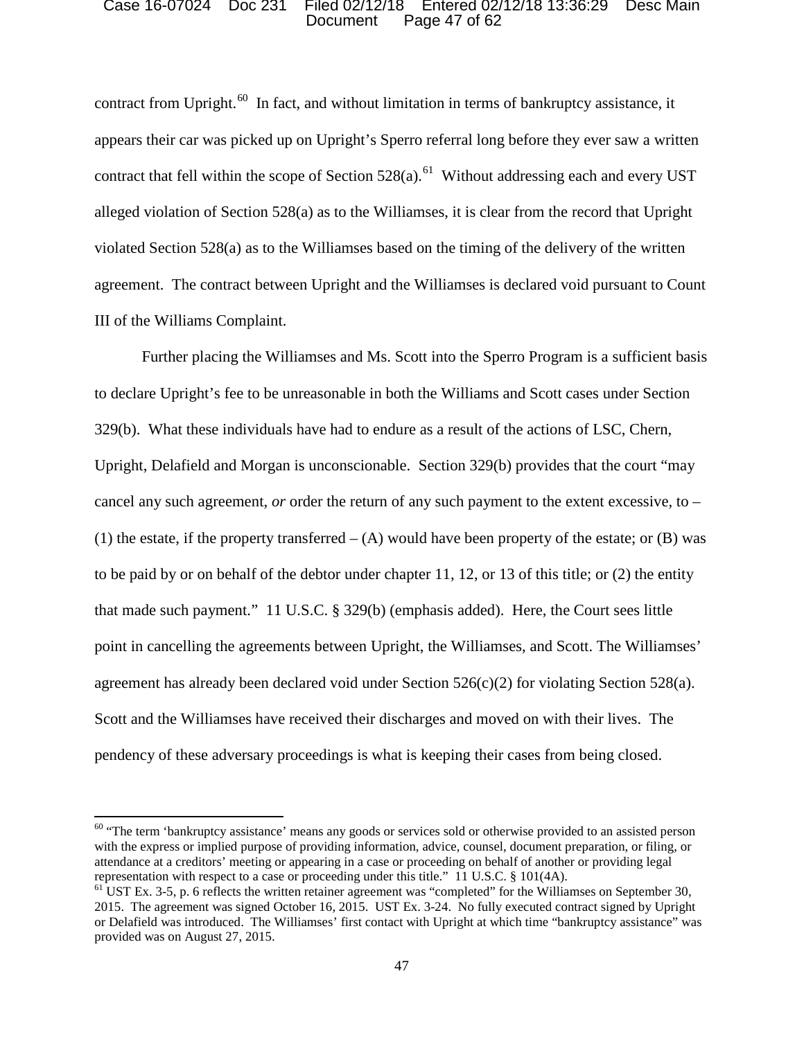### Document Page 47 of 62 Case 16-07024 Doc 231 Filed 02/12/18 Entered 02/12/18 13:36:29 Desc Main

contract from Upright.<sup>60</sup> In fact, and without limitation in terms of bankruptcy assistance, it appears their car was picked up on Upright's Sperro referral long before they ever saw a written contract that fell within the scope of Section  $528(a)$ .<sup>61</sup> Without addressing each and every UST violated Section 528(a) as to the Williamses based on the timing of the delivery of the written III of the Williams Complaint. alleged violation of Section 528(a) as to the Williamses, it is clear from the record that Upright agreement. The contract between Upright and the Williamses is declared void pursuant to Count

 329(b). What these individuals have had to endure as a result of the actions of LSC, Chern, (1) the estate, if the property transferred  $-$  (A) would have been property of the estate; or (B) was Scott and the Williamses have received their discharges and moved on with their lives. The Further placing the Williamses and Ms. Scott into the Sperro Program is a sufficient basis to declare Upright's fee to be unreasonable in both the Williams and Scott cases under Section Upright, Delafield and Morgan is unconscionable. Section 329(b) provides that the court "may cancel any such agreement, *or* order the return of any such payment to the extent excessive, to – to be paid by or on behalf of the debtor under chapter 11, 12, or 13 of this title; or (2) the entity that made such payment." 11 U.S.C. § 329(b) (emphasis added). Here, the Court sees little point in cancelling the agreements between Upright, the Williamses, and Scott. The Williamses' agreement has already been declared void under Section  $526(c)(2)$  for violating Section  $528(a)$ . pendency of these adversary proceedings is what is keeping their cases from being closed.

 $60$  "The term 'bankruptcy assistance' means any goods or services sold or otherwise provided to an assisted person with the express or implied purpose of providing information, advice, counsel, document preparation, or filing, or attendance at a creditors' meeting or appearing in a case or proceeding on behalf of another or providing legal representation with respect to a case or proceeding under this title." 11 U.S.C. § 101(4A).

 2015. The agreement was signed October 16, 2015. UST Ex. 3-24. No fully executed contract signed by Upright or Delafield was introduced. The Williamses' first contact with Upright at which time "bankruptcy assistance" was  $<sup>61</sup>$  UST Ex. 3-5, p. 6 reflects the written retainer agreement was "completed" for the Williamses on September 30,</sup> provided was on August 27, 2015.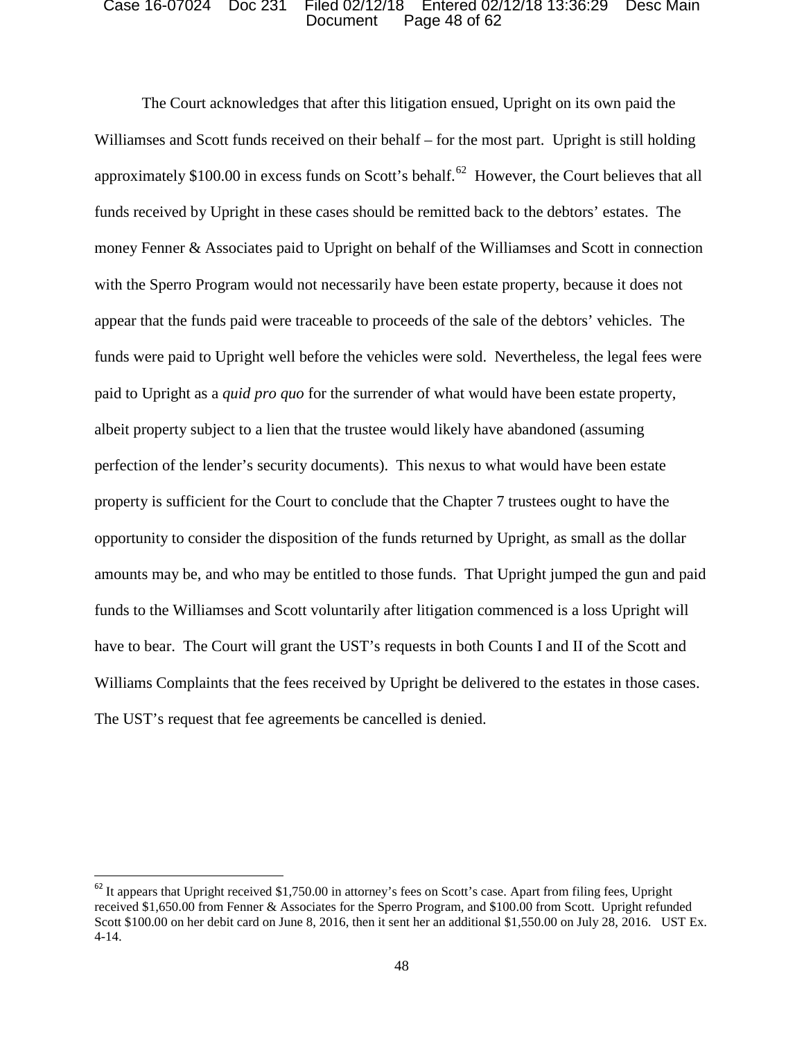### Document Page 48 of 62 Case 16-07024 Doc 231 Filed 02/12/18 Entered 02/12/18 13:36:29 Desc Main

 Williamses and Scott funds received on their behalf – for the most part. Upright is still holding approximately \$100.00 in excess funds on Scott's behalf.<sup>62</sup> However, the Court believes that all funds received by Upright in these cases should be remitted back to the debtors' estates. The money Fenner & Associates paid to Upright on behalf of the Williamses and Scott in connection paid to Upright as a *quid pro quo* for the surrender of what would have been estate property, opportunity to consider the disposition of the funds returned by Upright, as small as the dollar have to bear. The Court will grant the UST's requests in both Counts I and II of the Scott and Williams Complaints that the fees received by Upright be delivered to the estates in those cases. The UST's request that fee agreements be cancelled is denied. The UST's request that fee agreements be cancelled is denied. The Court acknowledges that after this litigation ensued, Upright on its own paid the with the Sperro Program would not necessarily have been estate property, because it does not appear that the funds paid were traceable to proceeds of the sale of the debtors' vehicles. The funds were paid to Upright well before the vehicles were sold. Nevertheless, the legal fees were albeit property subject to a lien that the trustee would likely have abandoned (assuming perfection of the lender's security documents). This nexus to what would have been estate property is sufficient for the Court to conclude that the Chapter 7 trustees ought to have the amounts may be, and who may be entitled to those funds. That Upright jumped the gun and paid funds to the Williamses and Scott voluntarily after litigation commenced is a loss Upright will

 $62$  It appears that Upright received \$1,750.00 in attorney's fees on Scott's case. Apart from filing fees, Upright  $4-14.$ received \$1,650.00 from Fenner & Associates for the Sperro Program, and \$100.00 from Scott. Upright refunded Scott \$100.00 on her debit card on June 8, 2016, then it sent her an additional \$1,550.00 on July 28, 2016. UST Ex.  $4-14.$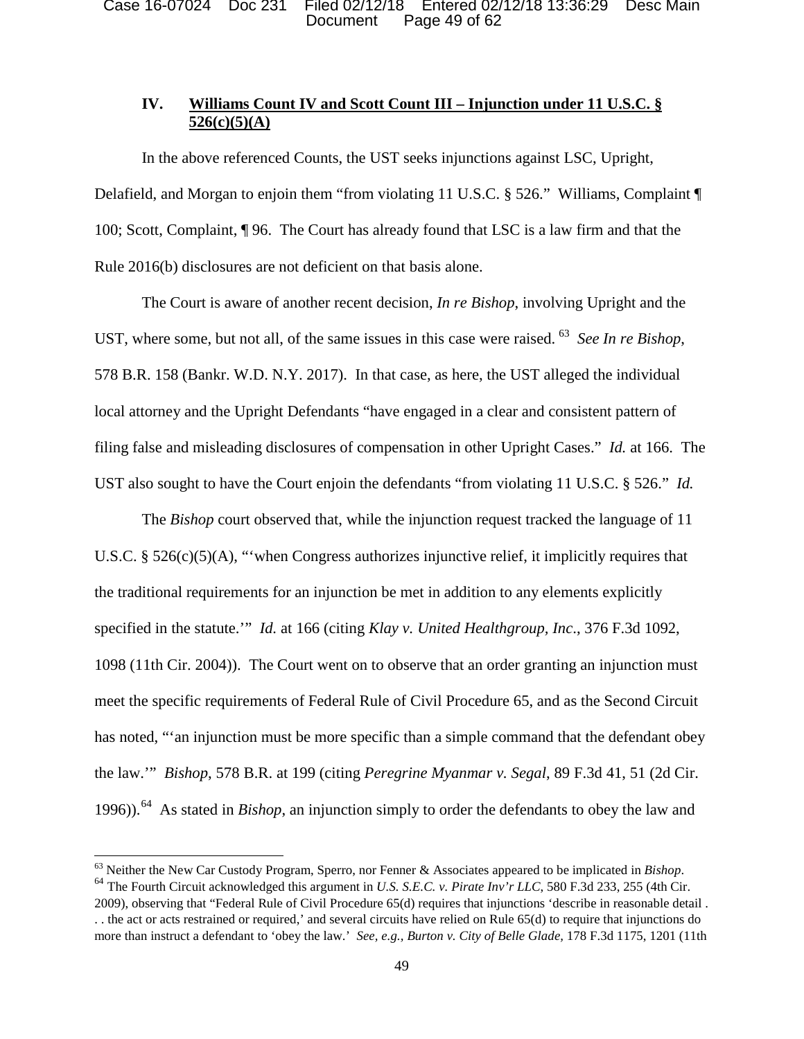# **IV. Williams Count IV and Scott Count III – Injunction under 11 U.S.C. § 526(c)(5)(A)**

 100; Scott, Complaint, ¶ 96. The Court has already found that LSC is a law firm and that the Rule 2016(b) disclosures are not deficient on that basis alone. In the above referenced Counts, the UST seeks injunctions against LSC, Upright, Delafield, and Morgan to enjoin them "from violating 11 U.S.C. § 526." Williams, Complaint ¶

UST, where some, but not all, of the same issues in this case were raised. <sup>63</sup> *See In re Bishop*, local attorney and the Upright Defendants "have engaged in a clear and consistent pattern of filing false and misleading disclosures of compensation in other Upright Cases." *Id.* at 166. The UST also sought to have the Court enjoin the defendants "from violating 11 U.S.C. § 526." *Id.*  The Court is aware of another recent decision, *In re Bishop*, involving Upright and the 578 B.R. 158 (Bankr. W.D. N.Y. 2017). In that case, as here, the UST alleged the individual

 1098 (11th Cir. 2004)). The Court went on to observe that an order granting an injunction must meet the specific requirements of Federal Rule of Civil Procedure 65, and as the Second Circuit 1996)).64 As stated in *Bishop*, an injunction simply to order the defendants to obey the law and The *Bishop* court observed that, while the injunction request tracked the language of 11 U.S.C. §  $526(c)(5)(A)$ , "when Congress authorizes injunctive relief, it implicitly requires that the traditional requirements for an injunction be met in addition to any elements explicitly specified in the statute.'" *Id.* at 166 (citing *Klay v. United Healthgroup, Inc*., 376 F.3d 1092, has noted, "'an injunction must be more specific than a simple command that the defendant obey the law.'" *Bishop*, 578 B.R. at 199 (citing *Peregrine Myanmar v. Segal*, 89 F.3d 41, 51 (2d Cir.

 more than instruct a defendant to 'obey the law.' *See, e.g., Burton v. City of Belle Glade,* 178 F.3d 1175, 1201 (11th  $^{64}$  The Fourth Circuit acknowledged this argument in U.S. S.E.C. v. Pirate Inv'r LLC, 580 F.3d 233, 255 (4th Cir. 2009), observing that "Federal Rule of Civil Procedure 65(d) requires that injunctions 'describe in reasonable detail . . . the act or acts restrained or required,' and several circuits have relied on Rule 65(d) to require that injunctions do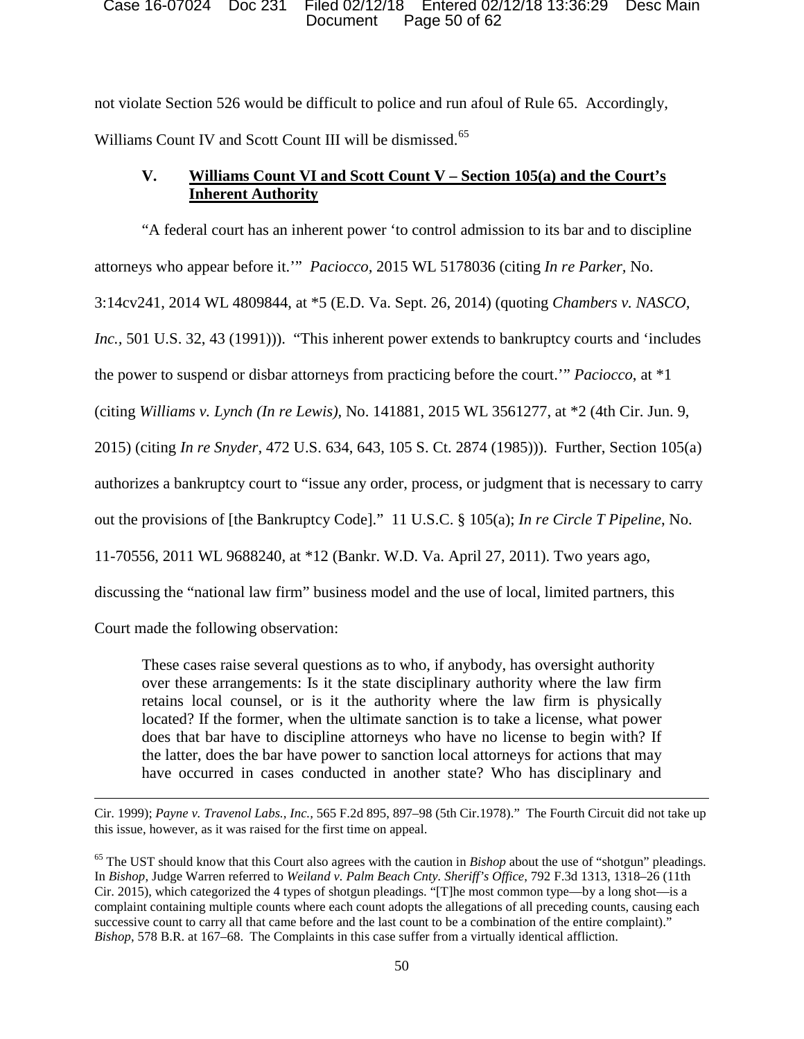### Document Page 50 of 62 Case 16-07024 Doc 231 Filed 02/12/18 Entered 02/12/18 13:36:29 Desc Main

not violate Section 526 would be difficult to police and run afoul of Rule 65. Accordingly, Williams Count IV and Scott Count III will be dismissed.<sup>65</sup>

# **V. Williams Count VI and Scott Count V – Section 105(a) and the Court's Inherent Authority**

"A federal court has an inherent power 'to control admission to its bar and to discipline attorneys who appear before it.'" *Paciocco,* 2015 WL 5178036 (citing *In re Parker,* No. 3:14cv241, 2014 WL 4809844, at \*5 (E.D. Va. Sept. 26, 2014) (quoting *Chambers v. NASCO, Inc.*, 501 U.S. 32, 43 (1991))). "This inherent power extends to bankruptcy courts and 'includes the power to suspend or disbar attorneys from practicing before the court.'" *Paciocco*, at \*1 (citing *Williams v. Lynch (In re Lewis),* No. 141881, 2015 WL 3561277, at \*2 (4th Cir. Jun. 9, 2015) (citing *In re Snyder,* 472 U.S. 634, 643, 105 S. Ct. 2874 (1985))). Further, Section 105(a) authorizes a bankruptcy court to "issue any order, process, or judgment that is necessary to carry out the provisions of [the Bankruptcy Code]." 11 U.S.C. § 105(a); *In re Circle T Pipeline*, No. 11-70556, 2011 WL 9688240, at \*12 (Bankr. W.D. Va. April 27, 2011). Two years ago, discussing the "national law firm" business model and the use of local, limited partners, this

Court made the following observation:

 $\overline{\phantom{a}}$ 

These cases raise several questions as to who, if anybody, has oversight authority over these arrangements: Is it the state disciplinary authority where the law firm retains local counsel, or is it the authority where the law firm is physically located? If the former, when the ultimate sanction is to take a license, what power does that bar have to discipline attorneys who have no license to begin with? If the latter, does the bar have power to sanction local attorneys for actions that may have occurred in cases conducted in another state? Who has disciplinary and

Cir. 1999); *Payne v. Travenol Labs., Inc.,* 565 F.2d 895, 897–98 (5th Cir.1978)." The Fourth Circuit did not take up this issue, however, as it was raised for the first time on appeal.

<sup>65</sup> The UST should know that this Court also agrees with the caution in *Bishop* about the use of "shotgun" pleadings. In *Bishop*, Judge Warren referred to *Weiland v. Palm Beach Cnty. Sheriff's Office*, 792 F.3d 1313, 1318–26 (11th Cir. 2015), which categorized the 4 types of shotgun pleadings. "[T]he most common type—by a long shot—is a complaint containing multiple counts where each count adopts the allegations of all preceding counts, causing each successive count to carry all that came before and the last count to be a combination of the entire complaint)." *Bishop*, 578 B.R. at 167–68. The Complaints in this case suffer from a virtually identical affliction.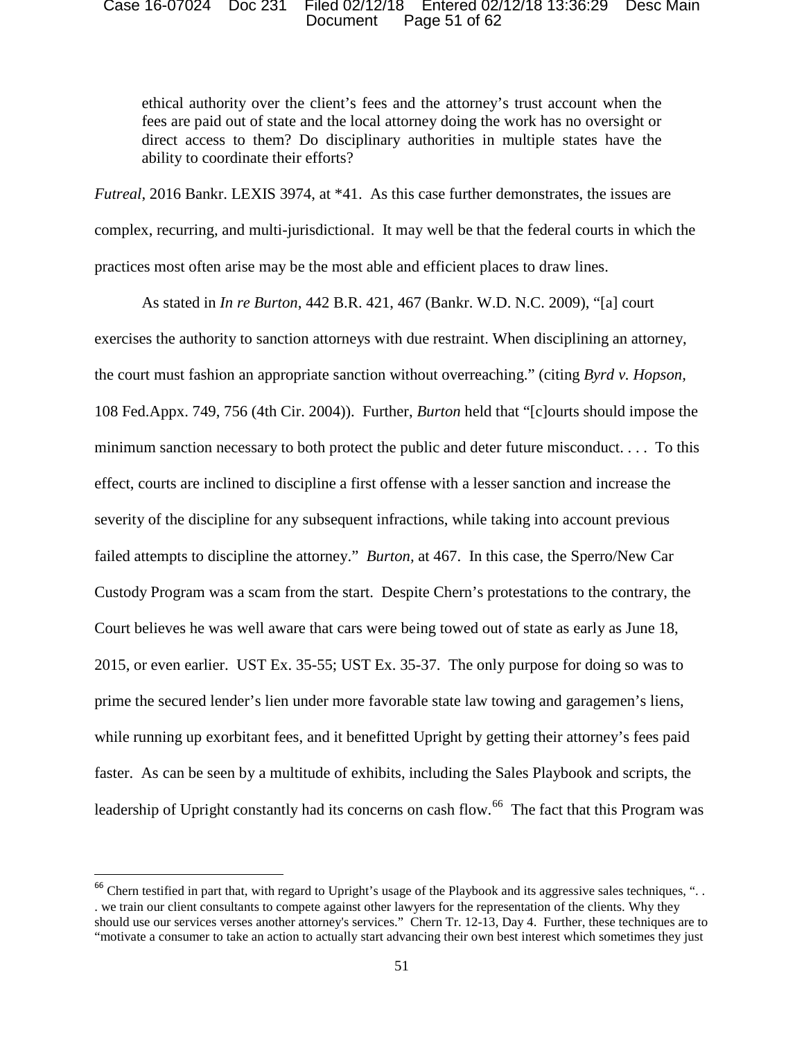### Document Page 51 of 62 Case 16-07024 Doc 231 Filed 02/12/18 Entered 02/12/18 13:36:29 Desc Main

 ethical authority over the client's fees and the attorney's trust account when the fees are paid out of state and the local attorney doing the work has no oversight or direct access to them? Do disciplinary authorities in multiple states have the ability to coordinate their efforts?

 *Futreal*, 2016 Bankr. LEXIS 3974, at \*41. As this case further demonstrates, the issues are complex, recurring, and multi-jurisdictional. It may well be that the federal courts in which the practices most often arise may be the most able and efficient places to draw lines.

 minimum sanction necessary to both protect the public and deter future misconduct. . . . To this failed attempts to discipline the attorney." *Burton,* at 467. In this case, the Sperro/New Car Court believes he was well aware that cars were being towed out of state as early as June 18, 2015, or even earlier. UST Ex. 35-55; UST Ex. 35-37. The only purpose for doing so was to while running up exorbitant fees, and it benefitted Upright by getting their attorney's fees paid faster. As can be seen by a multitude of exhibits, including the Sales Playbook and scripts, the leadership of Upright constantly had its concerns on cash flow.<sup>66</sup> The fact that this Program was As stated in *In re Burton*, 442 B.R. 421, 467 (Bankr. W.D. N.C. 2009), "[a] court exercises the authority to sanction attorneys with due restraint. When disciplining an attorney, the court must fashion an appropriate sanction without overreaching." (citing *Byrd v. Hopson,*  108 Fed.Appx. 749, 756 (4th Cir. 2004)). Further, *Burton* held that "[c]ourts should impose the effect, courts are inclined to discipline a first offense with a lesser sanction and increase the severity of the discipline for any subsequent infractions, while taking into account previous Custody Program was a scam from the start. Despite Chern's protestations to the contrary, the prime the secured lender's lien under more favorable state law towing and garagemen's liens,

 $66$  Chern testified in part that, with regard to Upright's usage of the Playbook and its aggressive sales techniques, "... should use our services verses another attorney's services." Chern Tr. 12-13, Day 4. Further, these techniques are to . we train our client consultants to compete against other lawyers for the representation of the clients. Why they "motivate a consumer to take an action to actually start advancing their own best interest which sometimes they just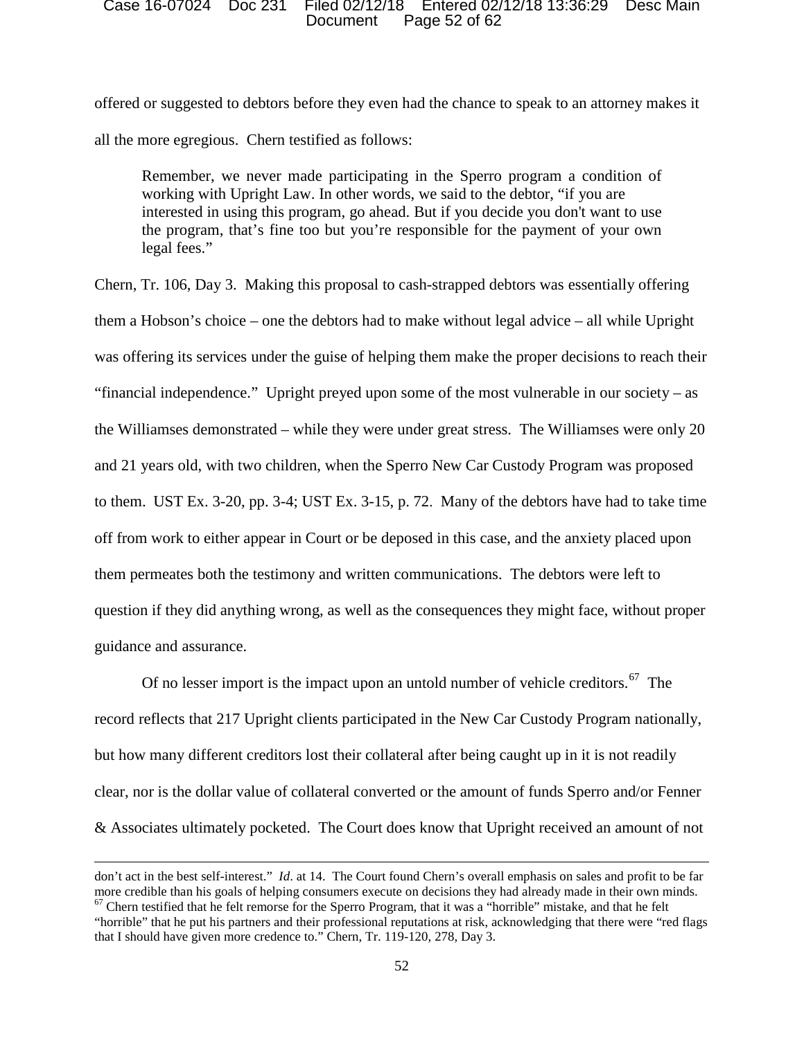### Document Page 52 of 62 Case 16-07024 Doc 231 Filed 02/12/18 Entered 02/12/18 13:36:29 Desc Main

all the more egregious. Chern testified as follows: offered or suggested to debtors before they even had the chance to speak to an attorney makes it

 working with Upright Law. In other words, we said to the debtor, "if you are legal fees." Remember, we never made participating in the Sperro program a condition of interested in using this program, go ahead. But if you decide you don't want to use the program, that's fine too but you're responsible for the payment of your own

 them a Hobson's choice – one the debtors had to make without legal advice – all while Upright was offering its services under the guise of helping them make the proper decisions to reach their "financial independence." Upright preyed upon some of the most vulnerable in our society – as the Williamses demonstrated – while they were under great stress. The Williamses were only 20 and 21 years old, with two children, when the Sperro New Car Custody Program was proposed to them. UST Ex. 3-20, pp. 3-4; UST Ex. 3-15, p. 72. Many of the debtors have had to take time them permeates both the testimony and written communications. The debtors were left to question if they did anything wrong, as well as the consequences they might face, without proper Chern, Tr. 106, Day 3. Making this proposal to cash-strapped debtors was essentially offering off from work to either appear in Court or be deposed in this case, and the anxiety placed upon guidance and assurance.

Of no lesser import is the impact upon an untold number of vehicle creditors.<sup>67</sup> The clear, nor is the dollar value of collateral converted or the amount of funds Sperro and/or Fenner & Associates ultimately pocketed. The Court does know that Upright received an amount of not record reflects that 217 Upright clients participated in the New Car Custody Program nationally, but how many different creditors lost their collateral after being caught up in it is not readily

 don't act in the best self-interest." *Id*. at 14. The Court found Chern's overall emphasis on sales and profit to be far more credible than his goals of helping consumers execute on decisions they had already made in their own minds.  $67$  Chern testified that he felt remorse for the Sperro Program, that it was a "horrible" mistake, and that he felt

 "horrible" that he put his partners and their professional reputations at risk, acknowledging that there were "red flags that I should have given more credence to." Chern, Tr. 119-120, 278, Day 3.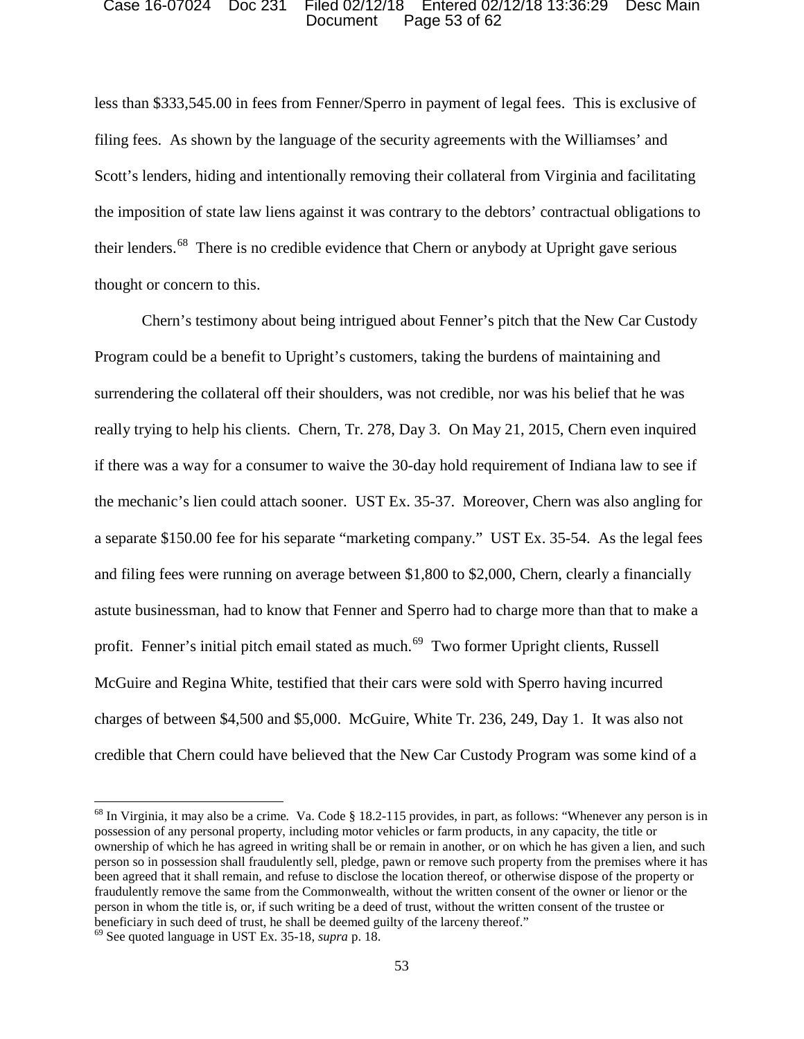### Document Page 53 of 62 Case 16-07024 Doc 231 Filed 02/12/18 Entered 02/12/18 13:36:29 Desc Main

 filing fees. As shown by the language of the security agreements with the Williamses' and their lenders.<sup>68</sup> There is no credible evidence that Chern or anybody at Upright gave serious less than \$333,545.00 in fees from Fenner/Sperro in payment of legal fees. This is exclusive of Scott's lenders, hiding and intentionally removing their collateral from Virginia and facilitating the imposition of state law liens against it was contrary to the debtors' contractual obligations to thought or concern to this.

 Program could be a benefit to Upright's customers, taking the burdens of maintaining and really trying to help his clients. Chern, Tr. 278, Day 3. On May 21, 2015, Chern even inquired if there was a way for a consumer to waive the 30-day hold requirement of Indiana law to see if a separate \$150.00 fee for his separate "marketing company." UST Ex. 35-54. As the legal fees and filing fees were running on average between \$1,800 to \$2,000, Chern, clearly a financially profit. Fenner's initial pitch email stated as much.<sup>69</sup> Two former Upright clients, Russell charges of between \$4,500 and \$5,000. McGuire, White Tr. 236, 249, Day 1. It was also not Chern's testimony about being intrigued about Fenner's pitch that the New Car Custody surrendering the collateral off their shoulders, was not credible, nor was his belief that he was the mechanic's lien could attach sooner. UST Ex. 35-37. Moreover, Chern was also angling for astute businessman, had to know that Fenner and Sperro had to charge more than that to make a McGuire and Regina White, testified that their cars were sold with Sperro having incurred credible that Chern could have believed that the New Car Custody Program was some kind of a

 ownership of which he has agreed in writing shall be or remain in another, or on which he has given a lien, and such person so in possession shall fraudulently sell, pledge, pawn or remove such property from the premises where it has fraudulently remove the same from the Commonwealth, without the written consent of the owner or lienor or the person in whom the title is, or, if such writing be a deed of trust, without the written consent of the trustee or 68 In Virginia, it may also be a crime*.* Va. Code § 18.2-115 provides, in part, as follows: "Whenever any person is in possession of any personal property, including motor vehicles or farm products, in any capacity, the title or been agreed that it shall remain, and refuse to disclose the location thereof, or otherwise dispose of the property or beneficiary in such deed of trust, he shall be deemed guilty of the larceny thereof."

 69 See quoted language in UST Ex. 35-18, *supra* p. 18.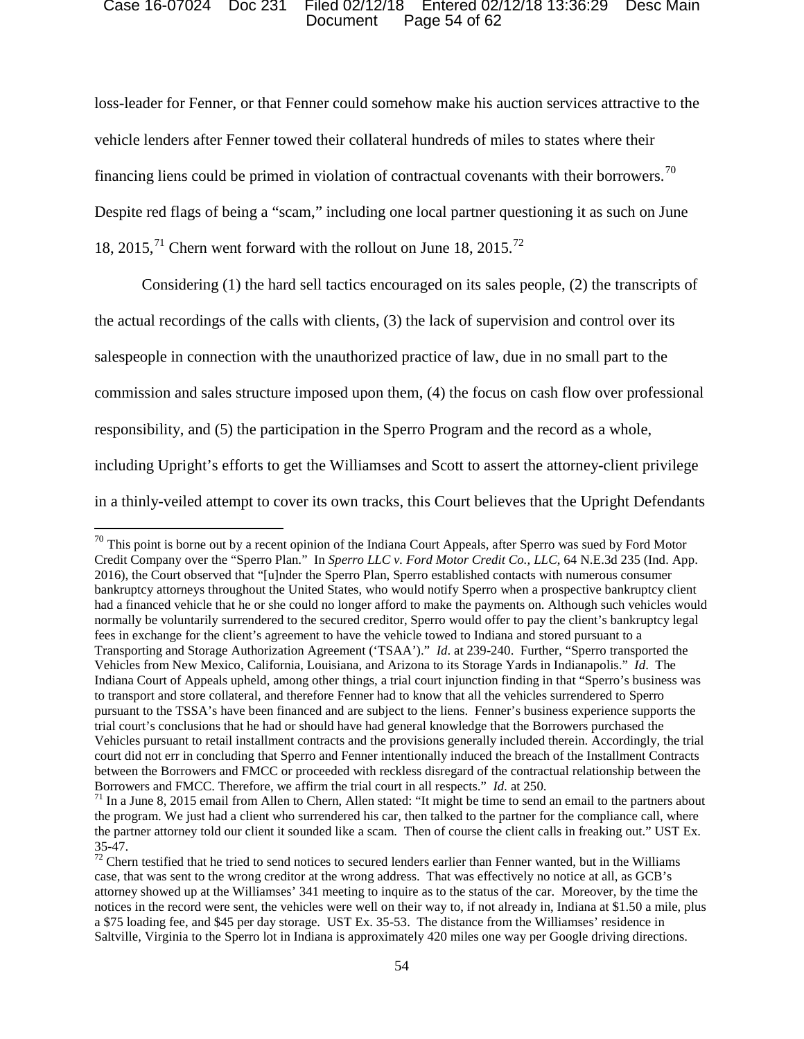### Document Page 54 of 62 Case 16-07024 Doc 231 Filed 02/12/18 Entered 02/12/18 13:36:29 Desc Main

financing liens could be primed in violation of contractual covenants with their borrowers.<sup>70</sup> 18, 2015,<sup>71</sup> Chern went forward with the rollout on June 18, 2015.<sup>72</sup> loss-leader for Fenner, or that Fenner could somehow make his auction services attractive to the vehicle lenders after Fenner towed their collateral hundreds of miles to states where their Despite red flags of being a "scam," including one local partner questioning it as such on June

 Considering (1) the hard sell tactics encouraged on its sales people, (2) the transcripts of the actual recordings of the calls with clients, (3) the lack of supervision and control over its salespeople in connection with the unauthorized practice of law, due in no small part to the commission and sales structure imposed upon them, (4) the focus on cash flow over professional responsibility, and (5) the participation in the Sperro Program and the record as a whole, including Upright's efforts to get the Williamses and Scott to assert the attorney-client privilege in a thinly-veiled attempt to cover its own tracks, this Court believes that the Upright Defendants

 Credit Company over the "Sperro Plan." In *Sperro LLC v. Ford Motor Credit Co., LLC*, 64 N.E.3d 235 (Ind. App. 2016), the Court observed that "[u]nder the Sperro Plan, Sperro established contacts with numerous consumer bankruptcy attorneys throughout the United States, who would notify Sperro when a prospective bankruptcy client had a financed vehicle that he or she could no longer afford to make the payments on. Although such vehicles would Transporting and Storage Authorization Agreement ('TSAA')." *Id*. at 239-240. Further, "Sperro transported the Vehicles from New Mexico, California, Louisiana, and Arizona to its Storage Yards in Indianapolis." *Id*. The Indiana Court of Appeals upheld, among other things, a trial court injunction finding in that "Sperro's business was court did not err in concluding that Sperro and Fenner intentionally induced the breach of the Installment Contracts  $70$  This point is borne out by a recent opinion of the Indiana Court Appeals, after Sperro was sued by Ford Motor normally be voluntarily surrendered to the secured creditor, Sperro would offer to pay the client's bankruptcy legal fees in exchange for the client's agreement to have the vehicle towed to Indiana and stored pursuant to a to transport and store collateral, and therefore Fenner had to know that all the vehicles surrendered to Sperro pursuant to the TSSA's have been financed and are subject to the liens. Fenner's business experience supports the trial court's conclusions that he had or should have had general knowledge that the Borrowers purchased the Vehicles pursuant to retail installment contracts and the provisions generally included therein. Accordingly, the trial between the Borrowers and FMCC or proceeded with reckless disregard of the contractual relationship between the Borrowers and FMCC. Therefore, we affirm the trial court in all respects." *Id.* at 250.

<sup>&</sup>lt;sup>71</sup> In a June 8, 2015 email from Allen to Chern, Allen stated: "It might be time to send an email to the partners about the program. We just had a client who surrendered his car, then talked to the partner for the compliance call, where the partner attorney told our client it sounded like a scam. Then of course the client calls in freaking out." UST Ex.

<sup>35-47.&</sup>lt;br><sup>72</sup> Chern testified that he tried to send notices to secured lenders earlier than Fenner wanted, but in the Williams case, that was sent to the wrong creditor at the wrong address. That was effectively no notice at all, as GCB's notices in the record were sent, the vehicles were well on their way to, if not already in, Indiana at \$1.50 a mile, plus a \$75 loading fee, and \$45 per day storage. UST Ex. 35-53. The distance from the Williamses' residence in Saltville, Virginia to the Sperro lot in Indiana is approximately 420 miles one way per Google driving directions.<br>54 attorney showed up at the Williamses' 341 meeting to inquire as to the status of the car. Moreover, by the time the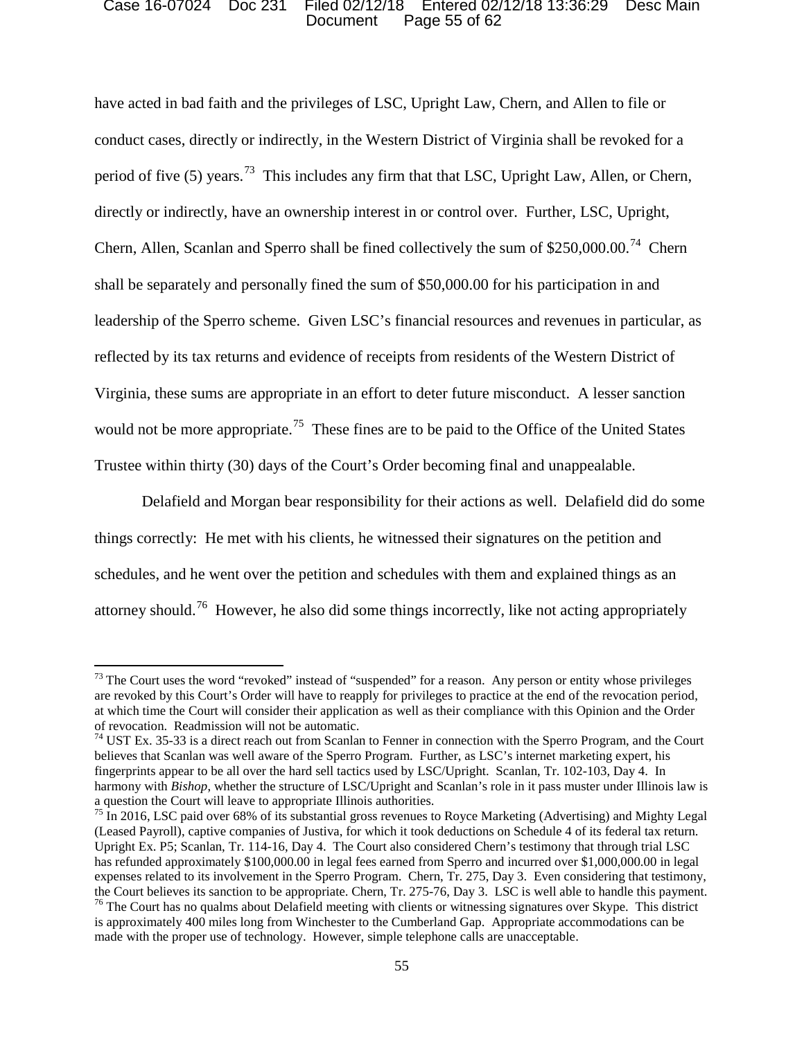### Document Page 55 of 62 Case 16-07024 Doc 231 Filed 02/12/18 Entered 02/12/18 13:36:29 Desc Main

period of five (5) years.<sup>73</sup> This includes any firm that that LSC, Upright Law, Allen, or Chern, Chern, Allen, Scanlan and Sperro shall be fined collectively the sum of  $$250,000.00$ .<sup>74</sup> Chern leadership of the Sperro scheme. Given LSC's financial resources and revenues in particular, as would not be more appropriate.<sup>75</sup> These fines are to be paid to the Office of the United States have acted in bad faith and the privileges of LSC, Upright Law, Chern, and Allen to file or conduct cases, directly or indirectly, in the Western District of Virginia shall be revoked for a directly or indirectly, have an ownership interest in or control over. Further, LSC, Upright, shall be separately and personally fined the sum of \$50,000.00 for his participation in and reflected by its tax returns and evidence of receipts from residents of the Western District of Virginia, these sums are appropriate in an effort to deter future misconduct. A lesser sanction Trustee within thirty (30) days of the Court's Order becoming final and unappealable.

 Delafield and Morgan bear responsibility for their actions as well. Delafield did do some things correctly: He met with his clients, he witnessed their signatures on the petition and attorney should.<sup>76</sup> However, he also did some things incorrectly, like not acting appropriately schedules, and he went over the petition and schedules with them and explained things as an

 $73$  The Court uses the word "revoked" instead of "suspended" for a reason. Any person or entity whose privileges at which time the Court will consider their application as well as their compliance with this Opinion and the Order of revocation. Readmission will not be automatic. are revoked by this Court's Order will have to reapply for privileges to practice at the end of the revocation period,

 believes that Scanlan was well aware of the Sperro Program. Further, as LSC's internet marketing expert, his harmony with *Bishop*, whether the structure of LSC/Upright and Scanlan's role in it pass muster under Illinois law is  $^{74}$  UST Ex. 35-33 is a direct reach out from Scanlan to Fenner in connection with the Sperro Program, and the Court fingerprints appear to be all over the hard sell tactics used by LSC/Upright. Scanlan, Tr. 102-103, Day 4. In a question the Court will leave to appropriate Illinois authorities.

 $75$  In 2016, LSC paid over 68% of its substantial gross revenues to Royce Marketing (Advertising) and Mighty Legal (Leased Payroll), captive companies of Justiva, for which it took deductions on Schedule 4 of its federal tax return. expenses related to its involvement in the Sperro Program. Chern, Tr. 275, Day 3. Even considering that testimony, the Court believes its sanction to be appropriate. Chern, Tr. 275-76, Day 3. LSC is well able to handle this payment.<br><sup>76</sup> The Court has no qualms about Delafield meeting with clients or witnessing signatures over Skype. T Upright Ex. P5; Scanlan, Tr. 114-16, Day 4. The Court also considered Chern's testimony that through trial LSC has refunded approximately \$100,000.00 in legal fees earned from Sperro and incurred over \$1,000,000.00 in legal

is approximately 400 miles long from Winchester to the Cumberland Gap. Appropriate accommodations can be made with the proper use of technology. However, simple telephone calls are unacceptable.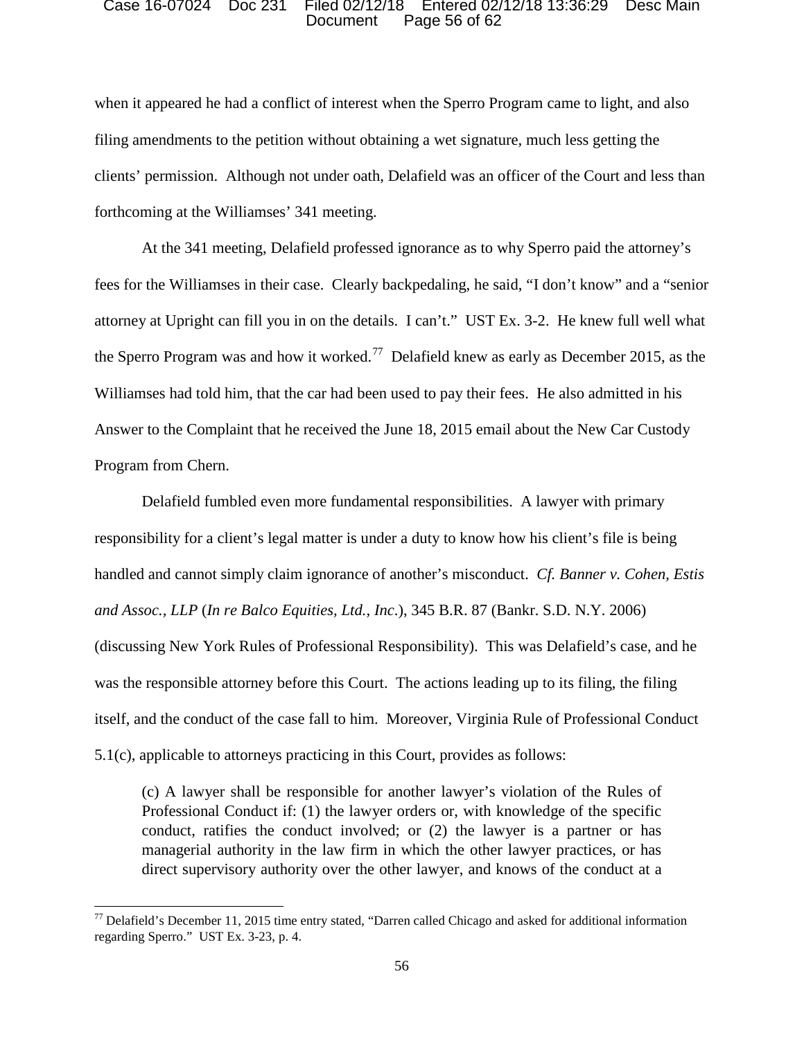### Document Page 56 of 62 Case 16-07024 Doc 231 Filed 02/12/18 Entered 02/12/18 13:36:29 Desc Main

forthcoming at the Williamses' 341 meeting. when it appeared he had a conflict of interest when the Sperro Program came to light, and also filing amendments to the petition without obtaining a wet signature, much less getting the clients' permission. Although not under oath, Delafield was an officer of the Court and less than

 fees for the Williamses in their case. Clearly backpedaling, he said, "I don't know" and a "senior the Sperro Program was and how it worked.<sup>77</sup> Delafield knew as early as December 2015, as the Williamses had told him, that the car had been used to pay their fees. He also admitted in his At the 341 meeting, Delafield professed ignorance as to why Sperro paid the attorney's attorney at Upright can fill you in on the details. I can't." UST Ex. 3-2. He knew full well what Answer to the Complaint that he received the June 18, 2015 email about the New Car Custody Program from Chern.

 responsibility for a client's legal matter is under a duty to know how his client's file is being itself, and the conduct of the case fall to him. Moreover, Virginia Rule of Professional Conduct Delafield fumbled even more fundamental responsibilities. A lawyer with primary handled and cannot simply claim ignorance of another's misconduct. *Cf. Banner v. Cohen, Estis and Assoc., LLP* (*In re Balco Equities, Ltd., Inc*.), 345 B.R. 87 (Bankr. S.D. N.Y. 2006) (discussing New York Rules of Professional Responsibility). This was Delafield's case, and he was the responsible attorney before this Court. The actions leading up to its filing, the filing 5.1(c), applicable to attorneys practicing in this Court, provides as follows:

 (c) A lawyer shall be responsible for another lawyer's violation of the Rules of managerial authority in the law firm in which the other lawyer practices, or has Professional Conduct if: (1) the lawyer orders or, with knowledge of the specific conduct, ratifies the conduct involved; or (2) the lawyer is a partner or has direct supervisory authority over the other lawyer, and knows of the conduct at a

 $77$  Delafield's December 11, 2015 time entry stated, "Darren called Chicago and asked for additional information regarding Sperro." UST Ex. 3-23, p. 4.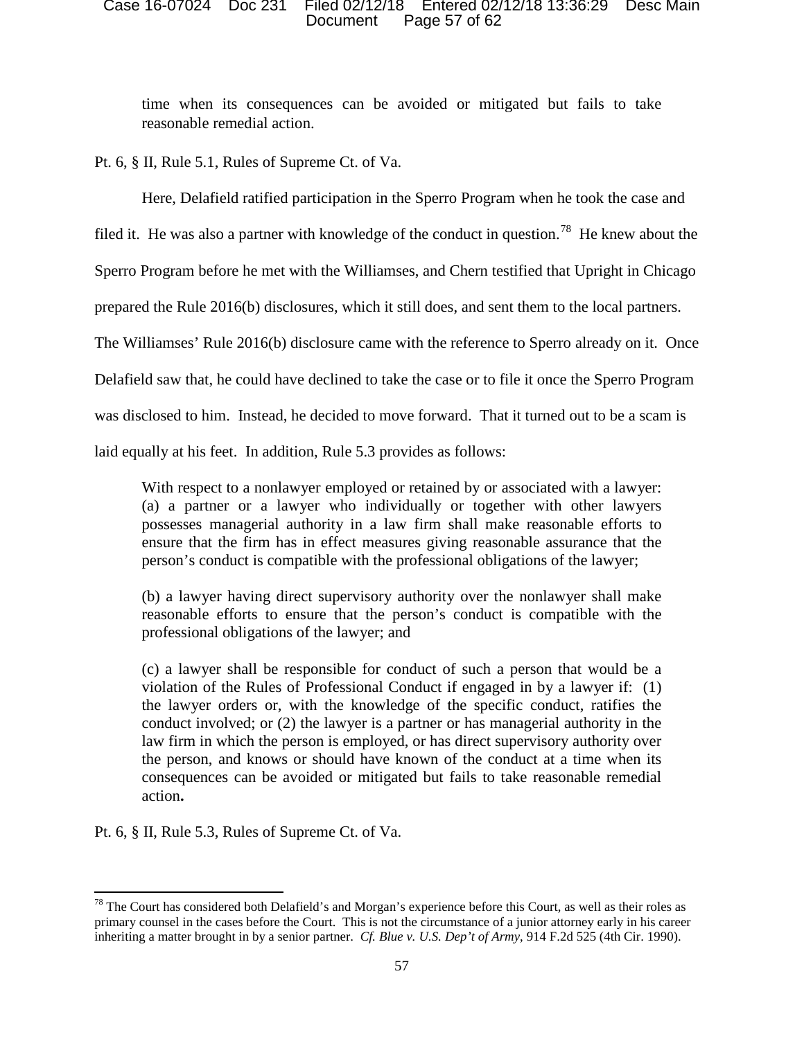### Document Page 57 of 62 Case 16-07024 Doc 231 Filed 02/12/18 Entered 02/12/18 13:36:29 Desc Main

time when its consequences can be avoided or mitigated but fails to take reasonable remedial action.

Pt. 6, § II, Rule 5.1, Rules of Supreme Ct. of Va.

Here, Delafield ratified participation in the Sperro Program when he took the case and

filed it. He was also a partner with knowledge of the conduct in question.<sup>78</sup> He knew about the

Sperro Program before he met with the Williamses, and Chern testified that Upright in Chicago

prepared the Rule 2016(b) disclosures, which it still does, and sent them to the local partners.

The Williamses' Rule 2016(b) disclosure came with the reference to Sperro already on it. Once

Delafield saw that, he could have declined to take the case or to file it once the Sperro Program

was disclosed to him. Instead, he decided to move forward. That it turned out to be a scam is

laid equally at his feet. In addition, Rule 5.3 provides as follows:

 With respect to a nonlawyer employed or retained by or associated with a lawyer: (a) a partner or a lawyer who individually or together with other lawyers possesses managerial authority in a law firm shall make reasonable efforts to ensure that the firm has in effect measures giving reasonable assurance that the person's conduct is compatible with the professional obligations of the lawyer;

 (b) a lawyer having direct supervisory authority over the nonlawyer shall make reasonable efforts to ensure that the person's conduct is compatible with the professional obligations of the lawyer; and

 conduct involved; or (2) the lawyer is a partner or has managerial authority in the (c) a lawyer shall be responsible for conduct of such a person that would be a violation of the Rules of Professional Conduct if engaged in by a lawyer if: (1) the lawyer orders or, with the knowledge of the specific conduct, ratifies the law firm in which the person is employed, or has direct supervisory authority over the person, and knows or should have known of the conduct at a time when its consequences can be avoided or mitigated but fails to take reasonable remedial action**.** 

Pt. 6, § II, Rule 5.3, Rules of Supreme Ct. of Va.

 $78$  The Court has considered both Delafield's and Morgan's experience before this Court, as well as their roles as primary counsel in the cases before the Court. This is not the circumstance of a junior attorney early in his career inheriting a matter brought in by a senior partner. *Cf. Blue v. U.S. Dep't of Army*, 914 F.2d 525 (4th Cir. 1990). 57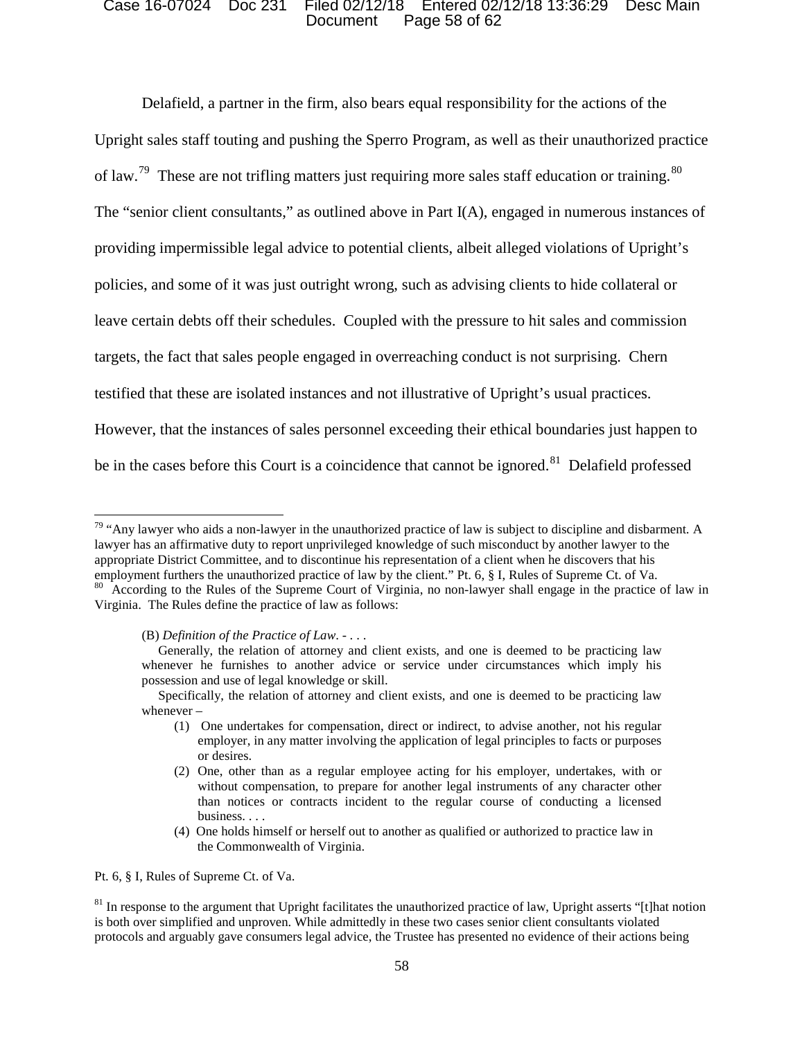### Document Page 58 of 62 Case 16-07024 Doc 231 Filed 02/12/18 Entered 02/12/18 13:36:29 Desc Main

of law.<sup>79</sup> These are not trifling matters just requiring more sales staff education or training.<sup>80</sup> leave certain debts off their schedules. Coupled with the pressure to hit sales and commission be in the cases before this Court is a coincidence that cannot be ignored.<sup>81</sup> Delafield professed Delafield, a partner in the firm, also bears equal responsibility for the actions of the Upright sales staff touting and pushing the Sperro Program, as well as their unauthorized practice The "senior client consultants," as outlined above in Part  $I(A)$ , engaged in numerous instances of providing impermissible legal advice to potential clients, albeit alleged violations of Upright's policies, and some of it was just outright wrong, such as advising clients to hide collateral or targets, the fact that sales people engaged in overreaching conduct is not surprising. Chern testified that these are isolated instances and not illustrative of Upright's usual practices. However, that the instances of sales personnel exceeding their ethical boundaries just happen to

(B) *Definition of the Practice of Law*. - . . .

Pt. 6, 8 I. Rules of Supreme Ct. of Va.

 $79$  "Any lawyer who aids a non-lawyer in the unauthorized practice of law is subject to discipline and disbarment. A employment furthers the unauthorized practice of law by the client." Pt. 6, § I, Rules of Supreme Ct. of Va.<br><sup>80</sup> According to the Rules of the Supreme Court of Virginia, no non-lawyer shall engage in the practice of law i lawyer has an affirmative duty to report unprivileged knowledge of such misconduct by another lawyer to the appropriate District Committee, and to discontinue his representation of a client when he discovers that his employment furthers the unauthorized practice of law by the client." Pt. 6, § I, Rules of Supreme Ct. of Va. Virginia. The Rules define the practice of law as follows:

 whenever he furnishes to another advice or service under circumstances which imply his possession and use of legal knowledge or skill. Generally, the relation of attorney and client exists, and one is deemed to be practicing law

Specifically, the relation of attorney and client exists, and one is deemed to be practicing law whenever –

<sup>(1)</sup> One undertakes for compensation, direct or indirect, to advise another, not his regular employer, in any matter involving the application of legal principles to facts or purposes or desires.

 (2) One, other than as a regular employee acting for his employer, undertakes, with or without compensation, to prepare for another legal instruments of any character other than notices or contracts incident to the regular course of conducting a licensed business. . . .

 (4) One holds himself or herself out to another as qualified or authorized to practice law in the Commonwealth of Virginia.

 is both over simplified and unproven. While admittedly in these two cases senior client consultants violated  $81$  In response to the argument that Upright facilitates the unauthorized practice of law, Upright asserts "[t]hat notion protocols and arguably gave consumers legal advice, the Trustee has presented no evidence of their actions being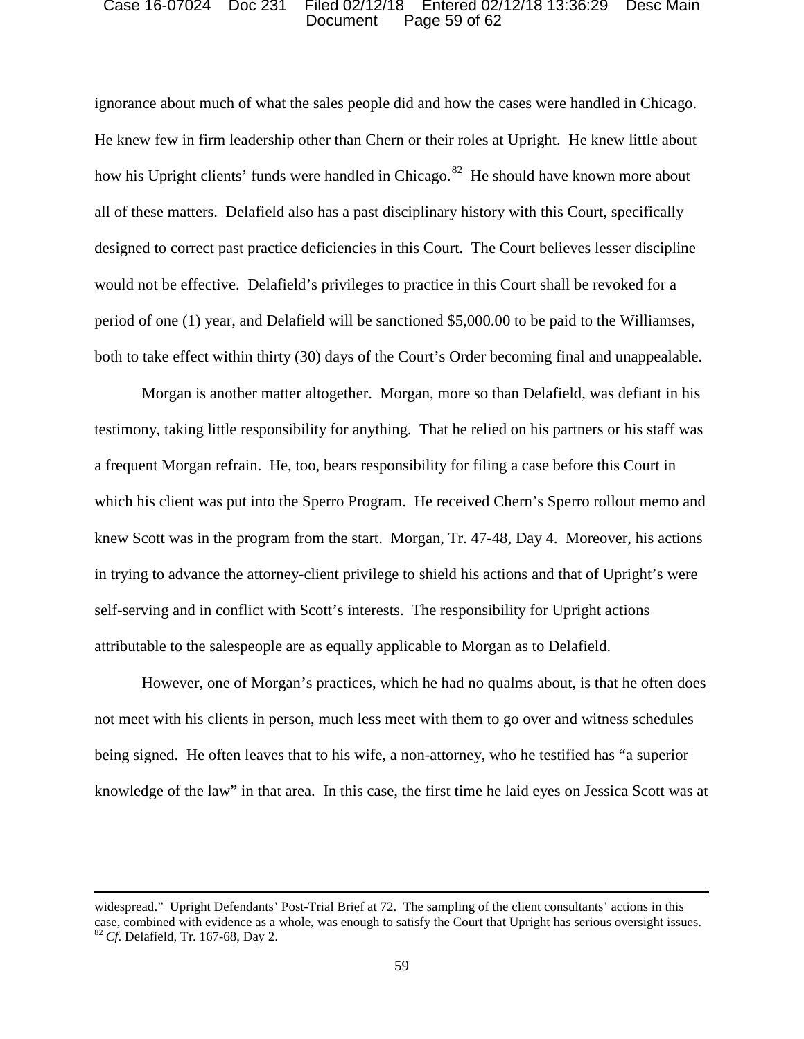### Document Page 59 of 62 Case 16-07024 Doc 231 Filed 02/12/18 Entered 02/12/18 13:36:29 Desc Main

 He knew few in firm leadership other than Chern or their roles at Upright. He knew little about how his Upright clients' funds were handled in Chicago.<sup>82</sup> He should have known more about all of these matters. Delafield also has a past disciplinary history with this Court, specifically would not be effective. Delafield's privileges to practice in this Court shall be revoked for a period of one (1) year, and Delafield will be sanctioned \$5,000.00 to be paid to the Williamses, ignorance about much of what the sales people did and how the cases were handled in Chicago. designed to correct past practice deficiencies in this Court. The Court believes lesser discipline both to take effect within thirty (30) days of the Court's Order becoming final and unappealable.

 testimony, taking little responsibility for anything. That he relied on his partners or his staff was which his client was put into the Sperro Program. He received Chern's Sperro rollout memo and knew Scott was in the program from the start. Morgan, Tr. 47-48, Day 4. Moreover, his actions attributable to the salespeople are as equally applicable to Morgan as to Delafield. Morgan is another matter altogether. Morgan, more so than Delafield, was defiant in his a frequent Morgan refrain. He, too, bears responsibility for filing a case before this Court in in trying to advance the attorney-client privilege to shield his actions and that of Upright's were self-serving and in conflict with Scott's interests. The responsibility for Upright actions

 being signed. He often leaves that to his wife, a non-attorney, who he testified has "a superior knowledge of the law" in that area. In this case, the first time he laid eyes on Jessica Scott was at However, one of Morgan's practices, which he had no qualms about, is that he often does not meet with his clients in person, much less meet with them to go over and witness schedules

 widespread." Upright Defendants' Post-Trial Brief at 72. The sampling of the client consultants' actions in this case, combined with evidence as a whole, was enough to satisfy the Court that Upright has serious oversight issues.<br><sup>82</sup>*Cf*. Delafield, Tr. 167-68, Day 2. 59  $^{82}$  Cf. Delafield, Tr. 167-68, Day 2.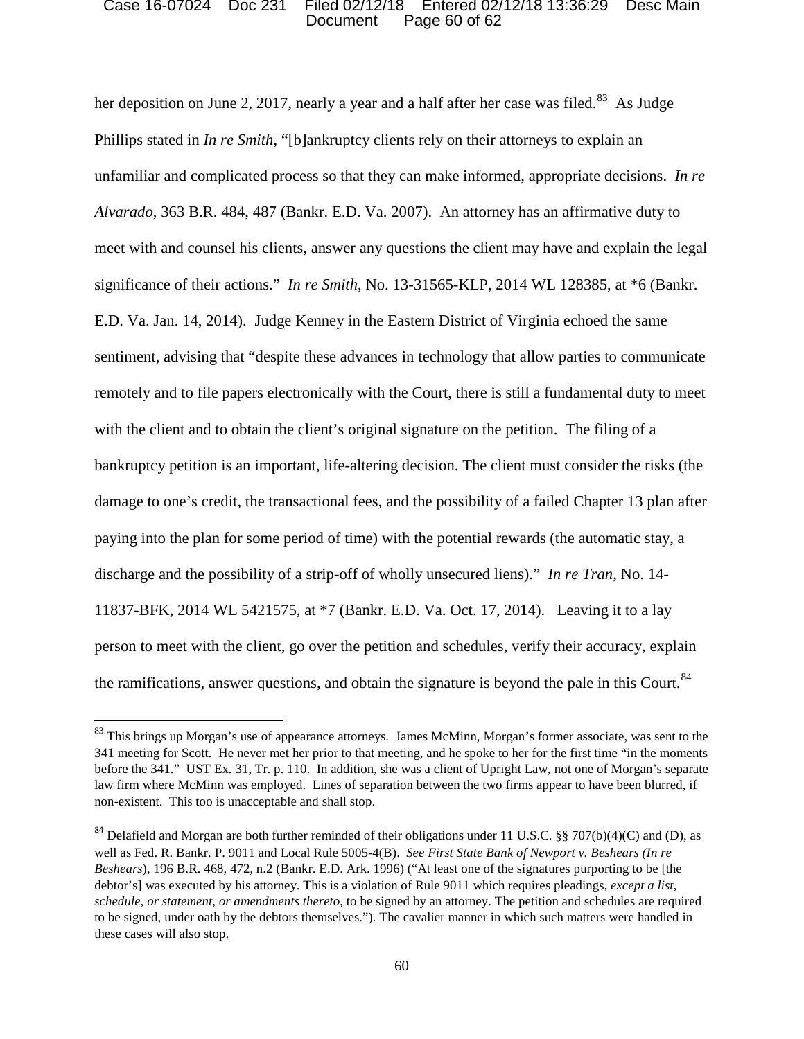### Document Page 60 of 62 Case 16-07024 Doc 231 Filed 02/12/18 Entered 02/12/18 13:36:29 Desc Main

her deposition on June 2, 2017, nearly a year and a half after her case was filed.<sup>83</sup> As Judge Phillips stated in *In re Smith*, "[b]ankruptcy clients rely on their attorneys to explain an *Alvarado,* 363 B.R. 484, 487 (Bankr. E.D. Va. 2007). An attorney has an affirmative duty to with the client and to obtain the client's original signature on the petition. The filing of a discharge and the possibility of a strip-off of wholly unsecured liens)." *In re Tran*, No. 14- 11837-BFK, 2014 WL 5421575, at \*7 (Bankr. E.D. Va. Oct. 17, 2014). Leaving it to a lay the ramifications, answer questions, and obtain the signature is beyond the pale in this Court.<sup>84</sup> unfamiliar and complicated process so that they can make informed, appropriate decisions. *In re*  meet with and counsel his clients, answer any questions the client may have and explain the legal significance of their actions." *In re Smith*, No. 13-31565-KLP, 2014 WL 128385, at \*6 (Bankr. E.D. Va. Jan. 14, 2014). Judge Kenney in the Eastern District of Virginia echoed the same sentiment, advising that "despite these advances in technology that allow parties to communicate remotely and to file papers electronically with the Court, there is still a fundamental duty to meet bankruptcy petition is an important, life-altering decision. The client must consider the risks (the damage to one's credit, the transactional fees, and the possibility of a failed Chapter 13 plan after paying into the plan for some period of time) with the potential rewards (the automatic stay, a person to meet with the client, go over the petition and schedules, verify their accuracy, explain

<sup>&</sup>lt;sup>83</sup> This brings up Morgan's use of appearance attorneys. James McMinn, Morgan's former associate, was sent to the 341 meeting for Scott. He never met her prior to that meeting, and he spoke to her for the first time "in the moments before the 341." UST Ex. 31, Tr. p. 110. In addition, she was a client of Upright Law, not one of Morgan's separate law firm where McMinn was employed. Lines of separation between the two firms appear to have been blurred, if non-existent. This too is unacceptable and shall stop.

 to be signed, under oath by the debtors themselves."). The cavalier manner in which such matters were handled in <sup>84</sup> Delafield and Morgan are both further reminded of their obligations under 11 U.S.C. §§ 707(b)(4)(C) and (D), as well as Fed. R. Bankr. P. 9011 and Local Rule 5005-4(B). *See First State Bank of Newport v. Beshears (In re Beshears*), 196 B.R. 468, 472, n.2 (Bankr. E.D. Ark. 1996) ("At least one of the signatures purporting to be [the debtor's] was executed by his attorney. This is a violation of Rule 9011 which requires pleadings, *except a list, schedule, or statement, or amendments thereto,* to be signed by an attorney. The petition and schedules are required these cases will also stop.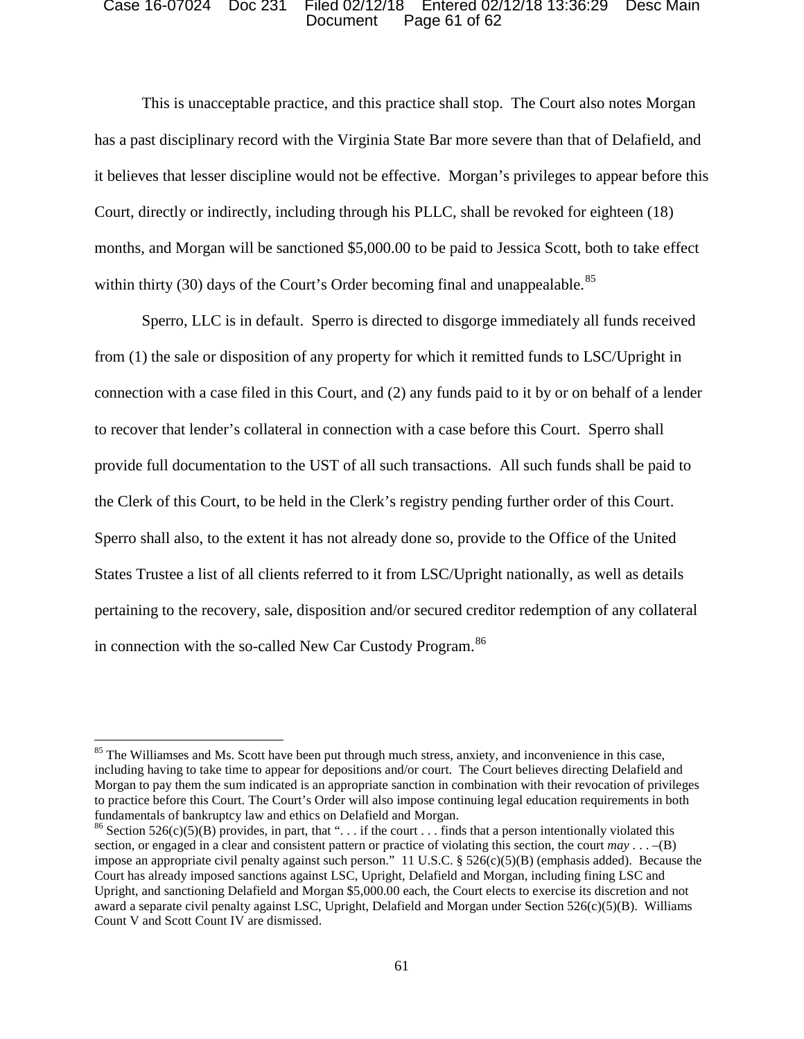### Document Page 61 of 62 Case 16-07024 Doc 231 Filed 02/12/18 Entered 02/12/18 13:36:29 Desc Main

within thirty (30) days of the Court's Order becoming final and unappealable.<sup>85</sup> This is unacceptable practice, and this practice shall stop. The Court also notes Morgan has a past disciplinary record with the Virginia State Bar more severe than that of Delafield, and it believes that lesser discipline would not be effective. Morgan's privileges to appear before this Court, directly or indirectly, including through his PLLC, shall be revoked for eighteen (18) months, and Morgan will be sanctioned \$5,000.00 to be paid to Jessica Scott, both to take effect

 connection with a case filed in this Court, and (2) any funds paid to it by or on behalf of a lender pertaining to the recovery, sale, disposition and/or secured creditor redemption of any collateral in connection with the so-called New Car Custody Program. 86 Sperro, LLC is in default. Sperro is directed to disgorge immediately all funds received from (1) the sale or disposition of any property for which it remitted funds to LSC/Upright in to recover that lender's collateral in connection with a case before this Court. Sperro shall provide full documentation to the UST of all such transactions. All such funds shall be paid to the Clerk of this Court, to be held in the Clerk's registry pending further order of this Court. Sperro shall also, to the extent it has not already done so, provide to the Office of the United States Trustee a list of all clients referred to it from LSC/Upright nationally, as well as details

 including having to take time to appear for depositions and/or court. The Court believes directing Delafield and Morgan to pay them the sum indicated is an appropriate sanction in combination with their revocation of privileges fundamentals of bankruptcy law and ethics on Delafield and Morgan. <sup>85</sup> The Williamses and Ms. Scott have been put through much stress, anxiety, and inconvenience in this case, to practice before this Court. The Court's Order will also impose continuing legal education requirements in both

<sup>&</sup>lt;sup>86</sup> Section 526(c)(5)(B) provides, in part, that "... if the court ... finds that a person intentionally violated this section, or engaged in a clear and consistent pattern or practice of violating this section, the court *may* . . . –(B) award a separate civil penalty against LSC, Upright, Delafield and Morgan under Section 526(c)(5)(B). Williams impose an appropriate civil penalty against such person." 11 U.S.C. §  $526(c)(5)(B)$  (emphasis added). Because the Court has already imposed sanctions against LSC, Upright, Delafield and Morgan, including fining LSC and Upright, and sanctioning Delafield and Morgan \$5,000.00 each, the Court elects to exercise its discretion and not Count V and Scott Count IV are dismissed.